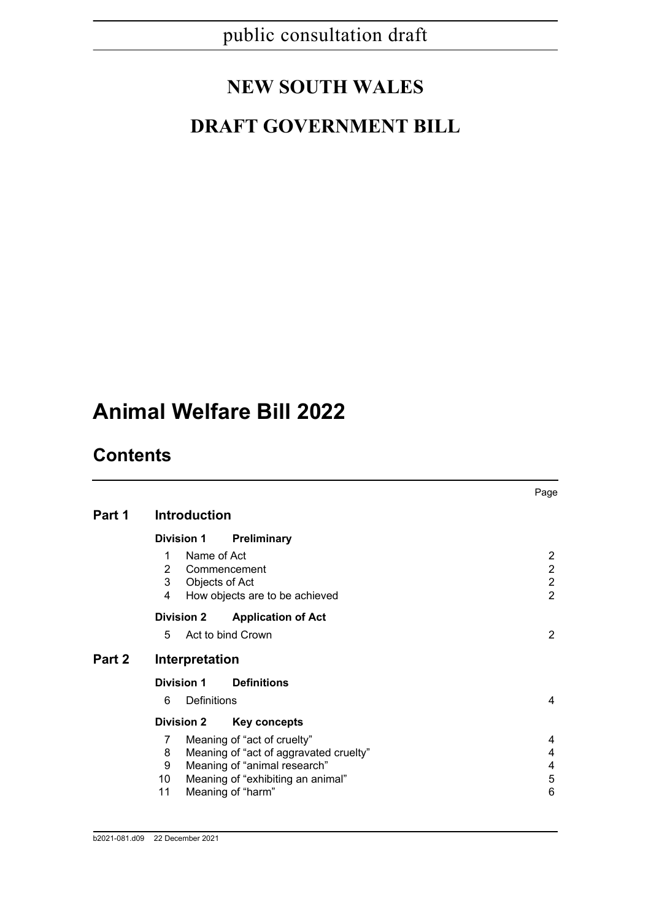# **NEW SOUTH WALES**

## **DRAFT GOVERNMENT BILL**

# **Animal Welfare Bill 2022**

## **Contents**

|        |                         |                                                                                                                                                                 | Page                                                    |  |  |
|--------|-------------------------|-----------------------------------------------------------------------------------------------------------------------------------------------------------------|---------------------------------------------------------|--|--|
| Part 1 | <b>Introduction</b>     |                                                                                                                                                                 |                                                         |  |  |
|        | <b>Division 1</b>       | <b>Preliminary</b>                                                                                                                                              |                                                         |  |  |
|        | 1<br>2<br>3<br>4        | Name of Act<br>Commencement<br>Objects of Act<br>How objects are to be achieved                                                                                 | $\overline{2}$<br>$\overline{2}$<br>$\overline{2}$<br>2 |  |  |
|        | <b>Division 2</b>       | <b>Application of Act</b>                                                                                                                                       |                                                         |  |  |
|        | 5                       | Act to bind Crown                                                                                                                                               | 2                                                       |  |  |
| Part 2 | Interpretation          |                                                                                                                                                                 |                                                         |  |  |
|        | <b>Division 1</b>       | <b>Definitions</b>                                                                                                                                              |                                                         |  |  |
|        | Definitions<br>6        |                                                                                                                                                                 | 4                                                       |  |  |
|        | <b>Division 2</b>       | <b>Key concepts</b>                                                                                                                                             |                                                         |  |  |
|        | 7<br>8<br>9<br>10<br>11 | Meaning of "act of cruelty"<br>Meaning of "act of aggravated cruelty"<br>Meaning of "animal research"<br>Meaning of "exhibiting an animal"<br>Meaning of "harm" | 4<br>4<br>4<br>5<br>6                                   |  |  |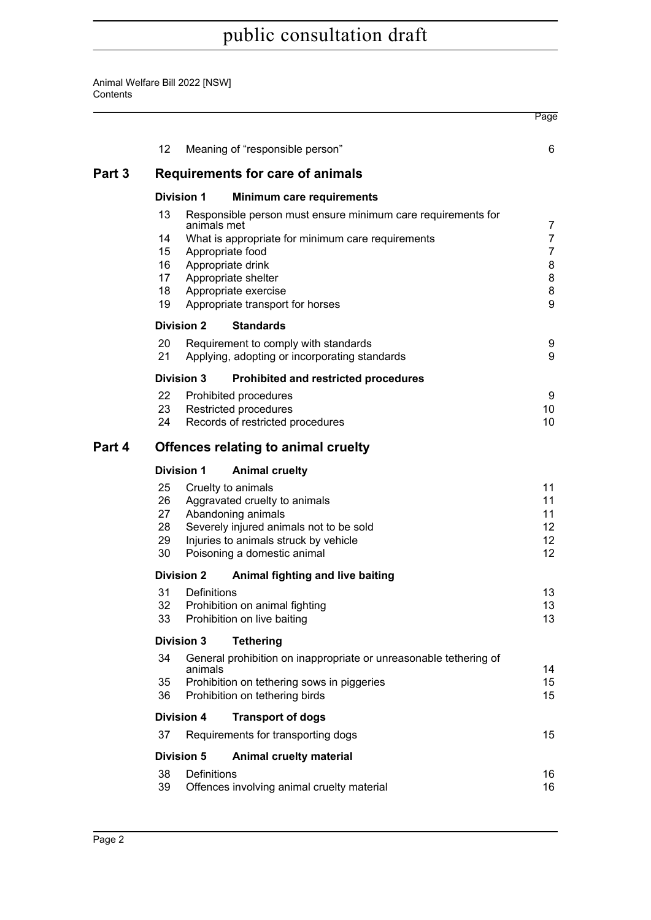|        |                                                |                   |                                                                                                                                                                                              | Page                                                                        |  |
|--------|------------------------------------------------|-------------------|----------------------------------------------------------------------------------------------------------------------------------------------------------------------------------------------|-----------------------------------------------------------------------------|--|
|        | 12                                             |                   | Meaning of "responsible person"                                                                                                                                                              | 6                                                                           |  |
| Part 3 |                                                |                   | Requirements for care of animals                                                                                                                                                             |                                                                             |  |
|        | <b>Division 1</b><br>Minimum care requirements |                   |                                                                                                                                                                                              |                                                                             |  |
|        | 13<br>14<br>15<br>16<br>17                     | animals met       | Responsible person must ensure minimum care requirements for<br>What is appropriate for minimum care requirements<br>Appropriate food<br>Appropriate drink<br>Appropriate shelter            | 7<br>$\overline{7}$<br>$\overline{7}$<br>8<br>8                             |  |
|        | 18<br>19                                       |                   | Appropriate exercise<br>Appropriate transport for horses                                                                                                                                     | 8<br>9                                                                      |  |
|        |                                                | <b>Division 2</b> | <b>Standards</b>                                                                                                                                                                             |                                                                             |  |
|        | 20<br>21                                       |                   | Requirement to comply with standards<br>Applying, adopting or incorporating standards                                                                                                        | 9<br>9                                                                      |  |
|        |                                                | <b>Division 3</b> | Prohibited and restricted procedures                                                                                                                                                         |                                                                             |  |
|        | 22<br>23<br>24                                 |                   | Prohibited procedures<br>Restricted procedures<br>Records of restricted procedures                                                                                                           | 9<br>10<br>10                                                               |  |
| Part 4 | Offences relating to animal cruelty            |                   |                                                                                                                                                                                              |                                                                             |  |
|        |                                                | <b>Division 1</b> | <b>Animal cruelty</b>                                                                                                                                                                        |                                                                             |  |
|        | 25<br>26<br>27<br>28<br>29<br>30               |                   | Cruelty to animals<br>Aggravated cruelty to animals<br>Abandoning animals<br>Severely injured animals not to be sold<br>Injuries to animals struck by vehicle<br>Poisoning a domestic animal | 11<br>11<br>11<br>$12 \overline{ }$<br>12 <sup>°</sup><br>$12 \overline{ }$ |  |
|        |                                                | <b>Division 2</b> | Animal fighting and live baiting                                                                                                                                                             |                                                                             |  |
|        | 31<br>32<br>33                                 | Definitions       | Prohibition on animal fighting<br>Prohibition on live baiting                                                                                                                                | 13<br>13<br>13                                                              |  |
|        |                                                | <b>Division 3</b> | <b>Tethering</b>                                                                                                                                                                             |                                                                             |  |
|        | 34<br>35<br>36                                 | animals           | General prohibition on inappropriate or unreasonable tethering of<br>Prohibition on tethering sows in piggeries<br>Prohibition on tethering birds                                            | 14<br>15<br>15                                                              |  |
|        |                                                | <b>Division 4</b> | <b>Transport of dogs</b>                                                                                                                                                                     |                                                                             |  |
|        | 37                                             |                   | Requirements for transporting dogs                                                                                                                                                           | 15                                                                          |  |
|        |                                                | <b>Division 5</b> | Animal cruelty material                                                                                                                                                                      |                                                                             |  |
|        | 38<br>39                                       | Definitions       | Offences involving animal cruelty material                                                                                                                                                   | 16<br>16                                                                    |  |
|        |                                                |                   |                                                                                                                                                                                              |                                                                             |  |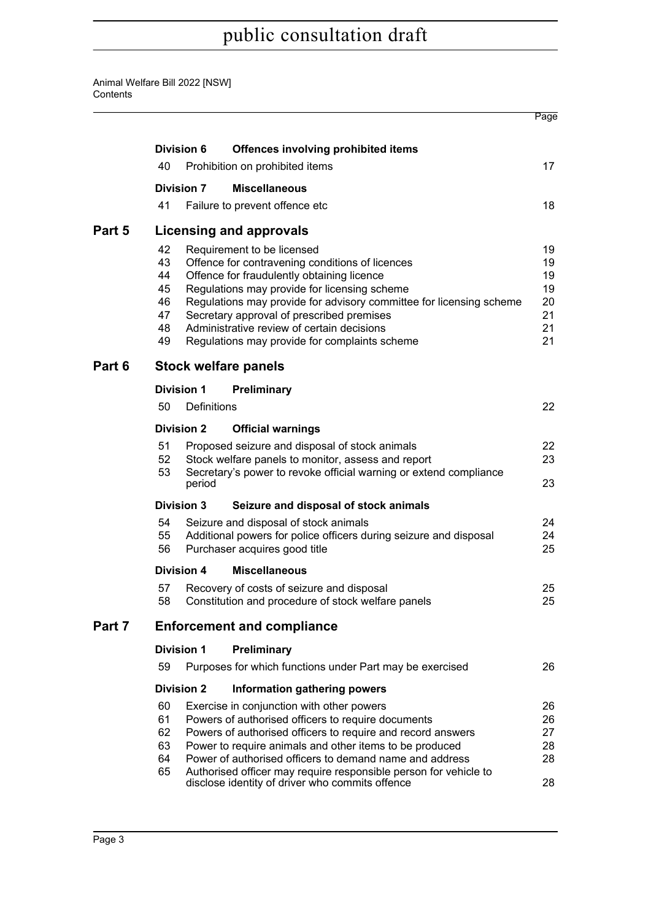|        |                                              |                   |                                                                                                                                                                                                                                                                                                                                                                                                | Page                                         |  |
|--------|----------------------------------------------|-------------------|------------------------------------------------------------------------------------------------------------------------------------------------------------------------------------------------------------------------------------------------------------------------------------------------------------------------------------------------------------------------------------------------|----------------------------------------------|--|
|        |                                              | <b>Division 6</b> | <b>Offences involving prohibited items</b>                                                                                                                                                                                                                                                                                                                                                     |                                              |  |
|        | 40                                           |                   | Prohibition on prohibited items                                                                                                                                                                                                                                                                                                                                                                | 17                                           |  |
|        |                                              | <b>Division 7</b> | <b>Miscellaneous</b>                                                                                                                                                                                                                                                                                                                                                                           |                                              |  |
|        | 41                                           |                   | Failure to prevent offence etc                                                                                                                                                                                                                                                                                                                                                                 | 18                                           |  |
| Part 5 |                                              |                   | Licensing and approvals                                                                                                                                                                                                                                                                                                                                                                        |                                              |  |
|        | 42<br>43<br>44<br>45<br>46<br>47<br>48<br>49 |                   | Requirement to be licensed<br>Offence for contravening conditions of licences<br>Offence for fraudulently obtaining licence<br>Regulations may provide for licensing scheme<br>Regulations may provide for advisory committee for licensing scheme<br>Secretary approval of prescribed premises<br>Administrative review of certain decisions<br>Regulations may provide for complaints scheme | 19<br>19<br>19<br>19<br>20<br>21<br>21<br>21 |  |
| Part 6 | <b>Stock welfare panels</b>                  |                   |                                                                                                                                                                                                                                                                                                                                                                                                |                                              |  |
|        |                                              | <b>Division 1</b> | Preliminary                                                                                                                                                                                                                                                                                                                                                                                    |                                              |  |
|        | 50                                           | Definitions       |                                                                                                                                                                                                                                                                                                                                                                                                | 22                                           |  |
|        |                                              | <b>Division 2</b> | <b>Official warnings</b>                                                                                                                                                                                                                                                                                                                                                                       |                                              |  |
|        | 51<br>52<br>53                               | period            | Proposed seizure and disposal of stock animals<br>Stock welfare panels to monitor, assess and report<br>Secretary's power to revoke official warning or extend compliance                                                                                                                                                                                                                      | 22<br>23<br>23                               |  |
|        |                                              | <b>Division 3</b> | Seizure and disposal of stock animals                                                                                                                                                                                                                                                                                                                                                          |                                              |  |
|        | 54<br>55<br>56                               |                   | Seizure and disposal of stock animals<br>Additional powers for police officers during seizure and disposal<br>Purchaser acquires good title                                                                                                                                                                                                                                                    | 24<br>24<br>25                               |  |
|        |                                              | <b>Division 4</b> | <b>Miscellaneous</b>                                                                                                                                                                                                                                                                                                                                                                           |                                              |  |
|        | 57<br>58                                     |                   | Recovery of costs of seizure and disposal<br>Constitution and procedure of stock welfare panels                                                                                                                                                                                                                                                                                                | 25<br>25                                     |  |
| Part 7 | <b>Enforcement and compliance</b>            |                   |                                                                                                                                                                                                                                                                                                                                                                                                |                                              |  |
|        |                                              | <b>Division 1</b> | Preliminary                                                                                                                                                                                                                                                                                                                                                                                    |                                              |  |
|        | 59                                           |                   | Purposes for which functions under Part may be exercised                                                                                                                                                                                                                                                                                                                                       | 26                                           |  |
|        |                                              | <b>Division 2</b> | Information gathering powers                                                                                                                                                                                                                                                                                                                                                                   |                                              |  |
|        | 60<br>61<br>62<br>63<br>64<br>65             |                   | Exercise in conjunction with other powers<br>Powers of authorised officers to require documents<br>Powers of authorised officers to require and record answers<br>Power to require animals and other items to be produced<br>Power of authorised officers to demand name and address<br>Authorised officer may require responsible person for vehicle to                                       | 26<br>26<br>27<br>28<br>28                   |  |
|        |                                              |                   | disclose identity of driver who commits offence                                                                                                                                                                                                                                                                                                                                                | 28                                           |  |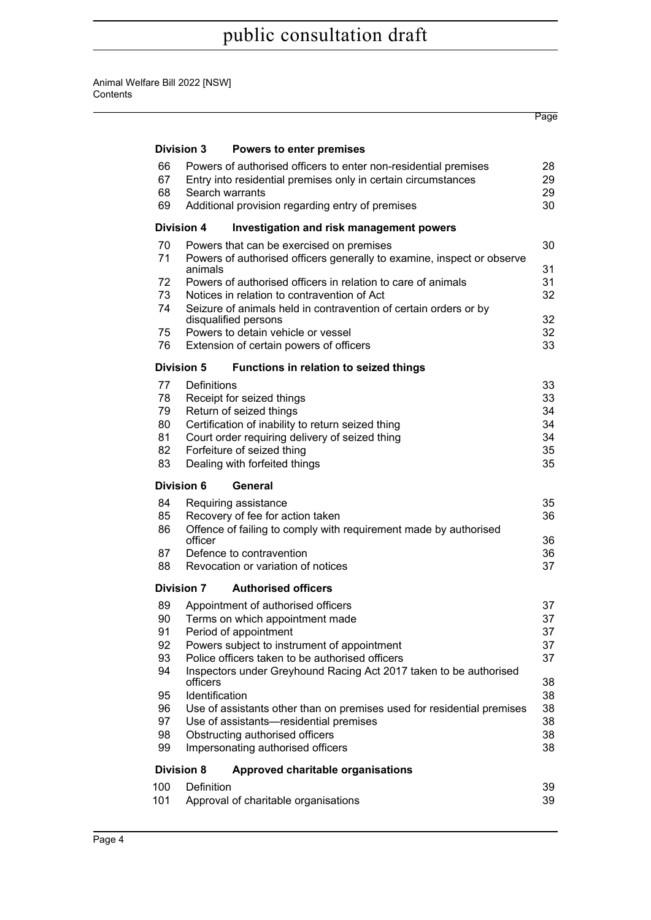|     |                                                                        | Page |
|-----|------------------------------------------------------------------------|------|
|     | Division 3<br>Powers to enter premises                                 |      |
| 66  | Powers of authorised officers to enter non-residential premises        | 28   |
| 67  | Entry into residential premises only in certain circumstances          | 29   |
| 68  | Search warrants                                                        | 29   |
| 69  | Additional provision regarding entry of premises                       | 30   |
|     | Division 4<br>Investigation and risk management powers                 |      |
| 70  | Powers that can be exercised on premises                               | 30   |
| 71  | Powers of authorised officers generally to examine, inspect or observe |      |
|     | animals                                                                | 31   |
| 72  | Powers of authorised officers in relation to care of animals           | 31   |
| 73  | Notices in relation to contravention of Act                            | 32   |
| 74  | Seizure of animals held in contravention of certain orders or by       |      |
|     | disqualified persons                                                   | 32   |
| 75  | Powers to detain vehicle or vessel                                     | 32   |
| 76  | Extension of certain powers of officers                                | 33   |
|     | Division 5<br>Functions in relation to seized things                   |      |
| 77  | Definitions                                                            | 33   |
| 78  | Receipt for seized things                                              | 33   |
| 79  | Return of seized things                                                | 34   |
| 80  | Certification of inability to return seized thing                      | 34   |
| 81  | Court order requiring delivery of seized thing                         | 34   |
| 82  | Forfeiture of seized thing                                             | 35   |
| 83  | Dealing with forfeited things                                          | 35   |
|     | Division 6<br>General                                                  |      |
| 84  | Requiring assistance                                                   | 35   |
| 85  | Recovery of fee for action taken                                       | 36   |
| 86  | Offence of failing to comply with requirement made by authorised       |      |
|     | officer                                                                | 36   |
| 87  | Defence to contravention                                               | 36   |
| 88  | Revocation or variation of notices                                     | 37   |
|     | <b>Division 7</b><br><b>Authorised officers</b>                        |      |
| 89  | Appointment of authorised officers                                     | 37   |
| 90  | Terms on which appointment made                                        | 37   |
| 91  | Period of appointment                                                  | 37   |
| 92  | Powers subject to instrument of appointment                            | 37   |
| 93  | Police officers taken to be authorised officers                        | 37   |
| 94  | Inspectors under Greyhound Racing Act 2017 taken to be authorised      |      |
|     | officers                                                               | 38   |
| 95  | Identification                                                         | 38   |
| 96  | Use of assistants other than on premises used for residential premises | 38   |
| 97  | Use of assistants-residential premises                                 | 38   |
| 98  | Obstructing authorised officers                                        | 38   |
| 99  | Impersonating authorised officers                                      | 38   |
|     | <b>Division 8</b><br>Approved charitable organisations                 |      |
| 100 | Definition                                                             | 39   |
| 101 | Approval of charitable organisations                                   | 39   |
|     |                                                                        |      |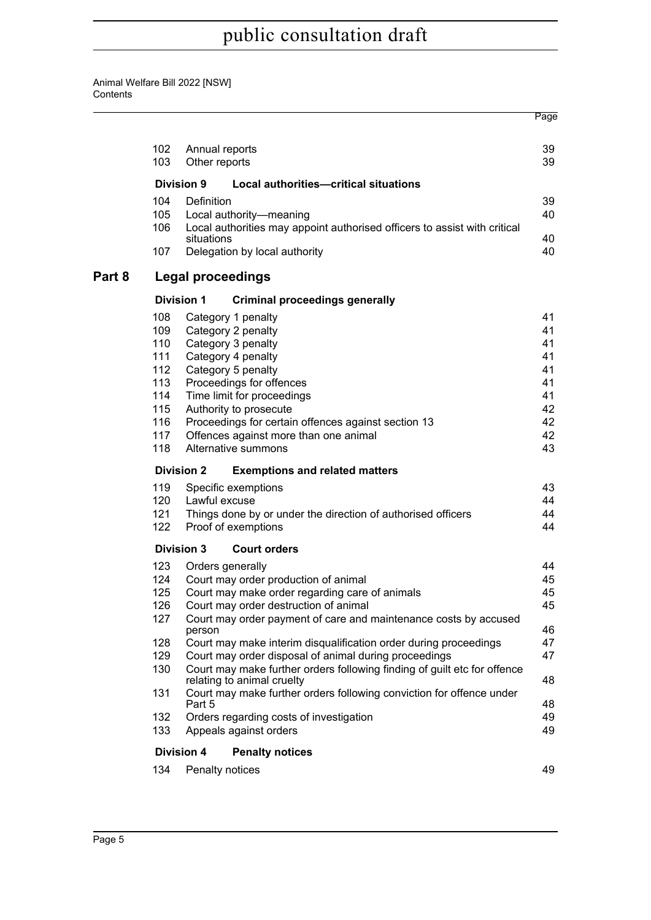|        |                                                                           |                          |                                                                                                                                                                                                                                                                                                                                                                                                                                                                                                                                                                                   | Page                                                           |
|--------|---------------------------------------------------------------------------|--------------------------|-----------------------------------------------------------------------------------------------------------------------------------------------------------------------------------------------------------------------------------------------------------------------------------------------------------------------------------------------------------------------------------------------------------------------------------------------------------------------------------------------------------------------------------------------------------------------------------|----------------------------------------------------------------|
|        | 102<br>103                                                                |                          | Annual reports<br>Other reports                                                                                                                                                                                                                                                                                                                                                                                                                                                                                                                                                   | 39<br>39                                                       |
|        |                                                                           | <b>Division 9</b>        | <b>Local authorities-critical situations</b>                                                                                                                                                                                                                                                                                                                                                                                                                                                                                                                                      |                                                                |
|        | 104<br>105<br>106                                                         | Definition<br>situations | Local authority-meaning<br>Local authorities may appoint authorised officers to assist with critical                                                                                                                                                                                                                                                                                                                                                                                                                                                                              | 39<br>40<br>40                                                 |
|        | 107                                                                       |                          | Delegation by local authority                                                                                                                                                                                                                                                                                                                                                                                                                                                                                                                                                     | 40                                                             |
| Part 8 |                                                                           |                          | <b>Legal proceedings</b>                                                                                                                                                                                                                                                                                                                                                                                                                                                                                                                                                          |                                                                |
|        |                                                                           | <b>Division 1</b>        | <b>Criminal proceedings generally</b>                                                                                                                                                                                                                                                                                                                                                                                                                                                                                                                                             |                                                                |
|        | 108<br>109<br>110<br>111<br>112<br>113<br>114<br>115<br>116<br>117<br>118 |                          | Category 1 penalty<br>Category 2 penalty<br>Category 3 penalty<br>Category 4 penalty<br>Category 5 penalty<br>Proceedings for offences<br>Time limit for proceedings<br>Authority to prosecute<br>Proceedings for certain offences against section 13<br>Offences against more than one animal<br>Alternative summons                                                                                                                                                                                                                                                             | 41<br>41<br>41<br>41<br>41<br>41<br>41<br>42<br>42<br>42<br>43 |
|        |                                                                           | <b>Division 2</b>        | <b>Exemptions and related matters</b>                                                                                                                                                                                                                                                                                                                                                                                                                                                                                                                                             |                                                                |
|        | 119<br>120<br>121<br>122                                                  |                          | Specific exemptions<br>Lawful excuse<br>Things done by or under the direction of authorised officers<br>Proof of exemptions                                                                                                                                                                                                                                                                                                                                                                                                                                                       | 43<br>44<br>44<br>44                                           |
|        |                                                                           | <b>Division 3</b>        | <b>Court orders</b>                                                                                                                                                                                                                                                                                                                                                                                                                                                                                                                                                               |                                                                |
|        | 123<br>124<br>125<br>126<br>127<br>128<br>129<br>130<br>131<br>132        | person<br>Part 5         | Orders generally<br>Court may order production of animal<br>Court may make order regarding care of animals<br>Court may order destruction of animal<br>Court may order payment of care and maintenance costs by accused<br>Court may make interim disqualification order during proceedings<br>Court may order disposal of animal during proceedings<br>Court may make further orders following finding of guilt etc for offence<br>relating to animal cruelty<br>Court may make further orders following conviction for offence under<br>Orders regarding costs of investigation | 44<br>45<br>45<br>45<br>46<br>47<br>47<br>48<br>48<br>49       |
|        | 133                                                                       |                          | Appeals against orders                                                                                                                                                                                                                                                                                                                                                                                                                                                                                                                                                            | 49                                                             |
|        |                                                                           | <b>Division 4</b>        | <b>Penalty notices</b>                                                                                                                                                                                                                                                                                                                                                                                                                                                                                                                                                            |                                                                |
|        | 134                                                                       |                          | Penalty notices                                                                                                                                                                                                                                                                                                                                                                                                                                                                                                                                                                   | 49                                                             |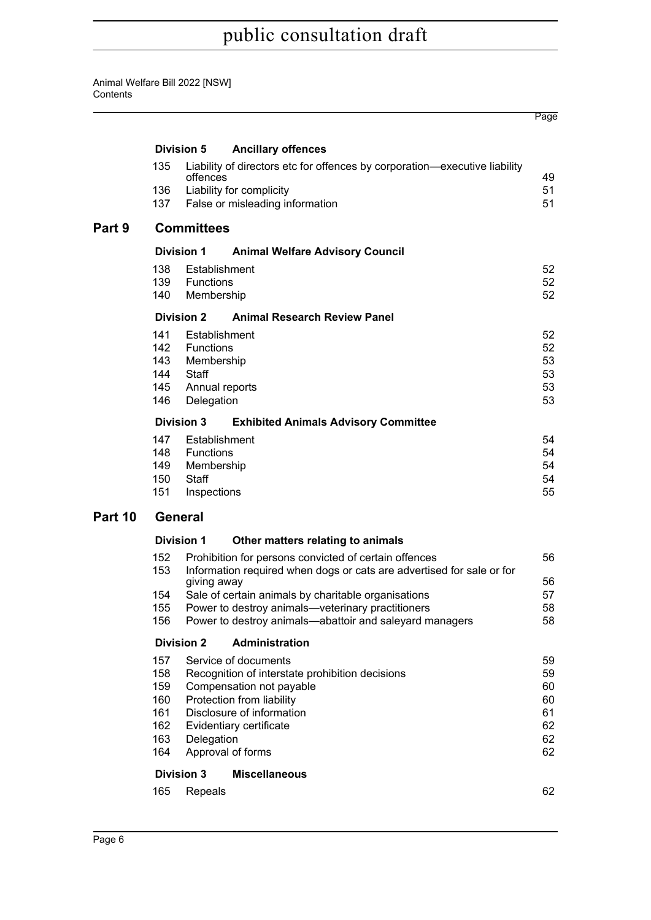|         |            |                                |                                                                            | Page     |
|---------|------------|--------------------------------|----------------------------------------------------------------------------|----------|
|         |            | <b>Division 5</b>              | <b>Ancillary offences</b>                                                  |          |
|         | 135        | offences                       | Liability of directors etc for offences by corporation-executive liability | 49       |
|         | 136        |                                | Liability for complicity                                                   | 51       |
|         | 137        |                                | False or misleading information                                            | 51       |
| Part 9  |            | <b>Committees</b>              |                                                                            |          |
|         |            | <b>Division 1</b>              | <b>Animal Welfare Advisory Council</b>                                     |          |
|         | 138        | Establishment                  |                                                                            | 52       |
|         | 139<br>140 | <b>Functions</b><br>Membership |                                                                            | 52<br>52 |
|         |            | <b>Division 2</b>              | <b>Animal Research Review Panel</b>                                        |          |
|         | 141        | Establishment                  |                                                                            | 52       |
|         | 142        | <b>Functions</b>               |                                                                            | 52       |
|         | 143        | Membership                     |                                                                            | 53       |
|         | 144<br>145 | Staff<br>Annual reports        |                                                                            | 53<br>53 |
|         | 146        | Delegation                     |                                                                            | 53       |
|         |            | <b>Division 3</b>              | <b>Exhibited Animals Advisory Committee</b>                                |          |
|         | 147        | Establishment                  |                                                                            | 54       |
|         | 148<br>149 | <b>Functions</b><br>Membership |                                                                            | 54<br>54 |
|         | 150        | Staff                          |                                                                            | 54       |
|         | 151        | Inspections                    |                                                                            | 55       |
| Part 10 |            | <b>General</b>                 |                                                                            |          |
|         |            | <b>Division 1</b>              | Other matters relating to animals                                          |          |
|         | 152        |                                | Prohibition for persons convicted of certain offences                      | 56       |
|         | 153        | giving away                    | Information required when dogs or cats are advertised for sale or for      | 56       |
|         | 154        |                                | Sale of certain animals by charitable organisations                        | 57       |
|         | 155        |                                | Power to destroy animals-veterinary practitioners                          | 58       |
|         | 156        |                                | Power to destroy animals—abattoir and saleyard managers                    | 58       |
|         |            | <b>Division 2</b>              | <b>Administration</b>                                                      |          |
|         | 157<br>158 |                                | Service of documents<br>Recognition of interstate prohibition decisions    | 59<br>59 |
|         | 159        |                                | Compensation not payable                                                   | 60       |
|         | 160        |                                | Protection from liability                                                  | 60       |
|         | 161<br>162 |                                | Disclosure of information<br>Evidentiary certificate                       | 61<br>62 |
|         | 163        | Delegation                     |                                                                            | 62       |
|         | 164        |                                | Approval of forms                                                          | 62       |
|         |            | <b>Division 3</b>              | <b>Miscellaneous</b>                                                       |          |
|         | 165        | Repeals                        |                                                                            | 62       |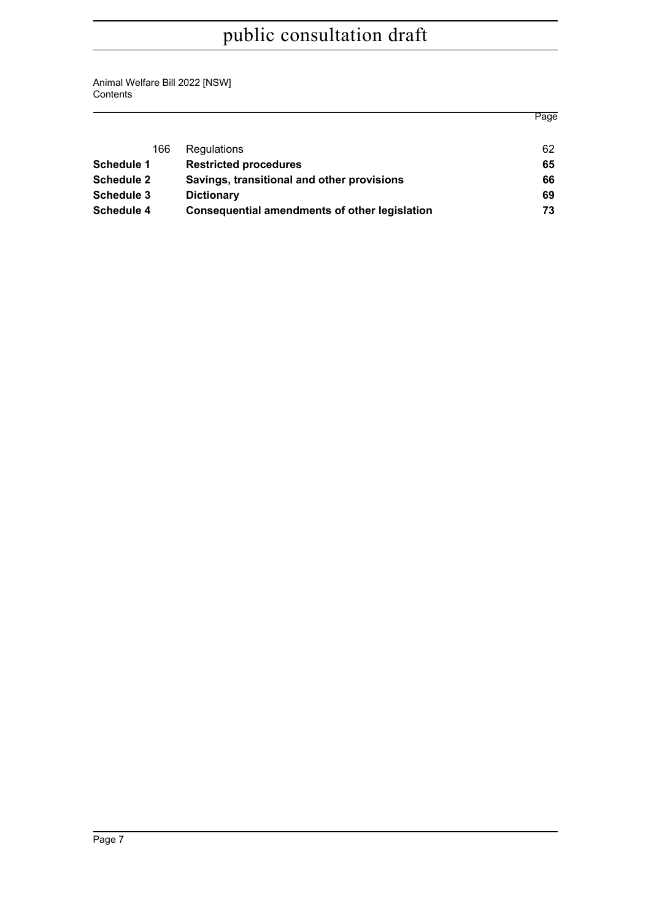Animal Welfare Bill 2022 [NSW] **Contents** 

| 166               | Regulations                                          | 62 |
|-------------------|------------------------------------------------------|----|
| Schedule 1        | <b>Restricted procedures</b>                         | 65 |
| <b>Schedule 2</b> | Savings, transitional and other provisions           | 66 |
| Schedule 3        | <b>Dictionary</b>                                    | 69 |
| <b>Schedule 4</b> | <b>Consequential amendments of other legislation</b> | 73 |

Page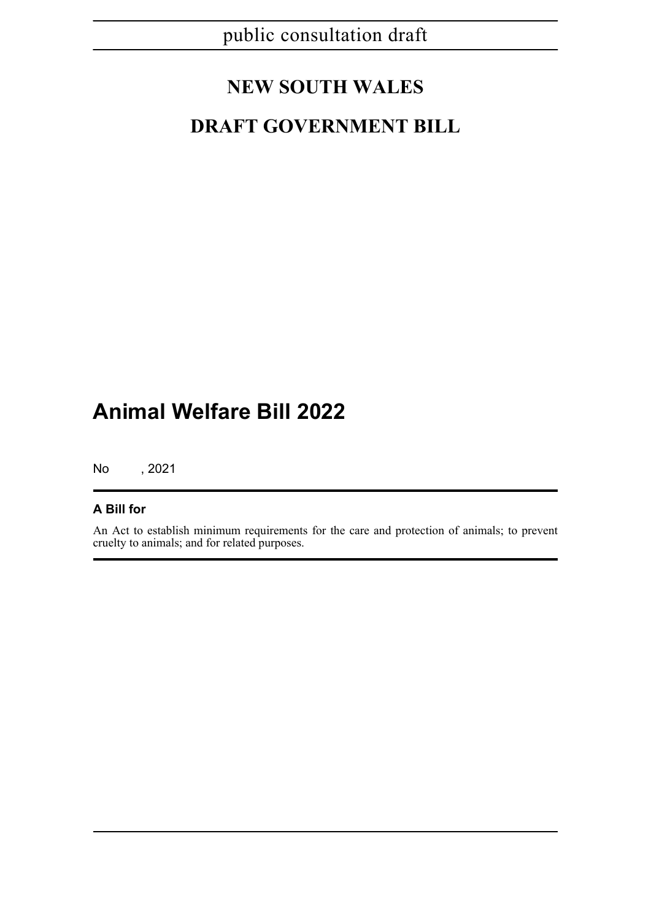## **NEW SOUTH WALES**

## **DRAFT GOVERNMENT BILL**

# **Animal Welfare Bill 2022**

No , 2021

## **A Bill for**

An Act to establish minimum requirements for the care and protection of animals; to prevent cruelty to animals; and for related purposes.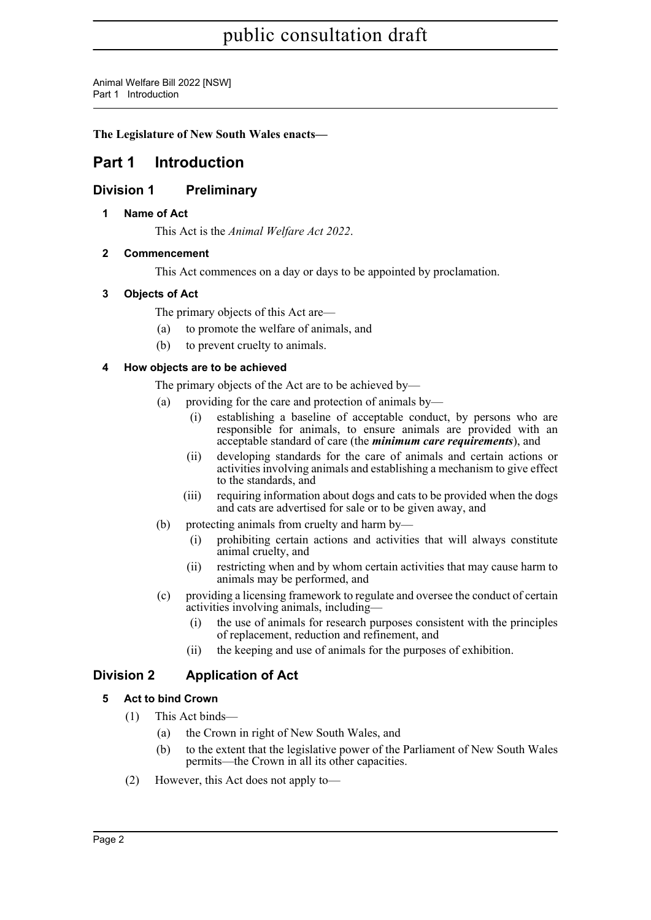Animal Welfare Bill 2022 [NSW] Part 1 Introduction

**The Legislature of New South Wales enacts—**

## <span id="page-8-0"></span>**Part 1 Introduction**

## <span id="page-8-2"></span><span id="page-8-1"></span>**Division 1 Preliminary**

## **1 Name of Act**

This Act is the *Animal Welfare Act 2022*.

## <span id="page-8-3"></span>**2 Commencement**

This Act commences on a day or days to be appointed by proclamation.

## <span id="page-8-4"></span>**3 Objects of Act**

The primary objects of this Act are—

- (a) to promote the welfare of animals, and
- (b) to prevent cruelty to animals.

## <span id="page-8-5"></span>**4 How objects are to be achieved**

The primary objects of the Act are to be achieved by—

- (a) providing for the care and protection of animals by-
	- (i) establishing a baseline of acceptable conduct, by persons who are responsible for animals, to ensure animals are provided with an acceptable standard of care (the *minimum care requirements*), and
	- (ii) developing standards for the care of animals and certain actions or activities involving animals and establishing a mechanism to give effect to the standards, and
	- (iii) requiring information about dogs and cats to be provided when the dogs and cats are advertised for sale or to be given away, and
- (b) protecting animals from cruelty and harm by—
	- (i) prohibiting certain actions and activities that will always constitute animal cruelty, and
	- (ii) restricting when and by whom certain activities that may cause harm to animals may be performed, and
- (c) providing a licensing framework to regulate and oversee the conduct of certain activities involving animals, including—
	- (i) the use of animals for research purposes consistent with the principles of replacement, reduction and refinement, and
	- (ii) the keeping and use of animals for the purposes of exhibition.

## <span id="page-8-7"></span><span id="page-8-6"></span>**Division 2 Application of Act**

### **5 Act to bind Crown**

- (1) This Act binds—
	- (a) the Crown in right of New South Wales, and
	- (b) to the extent that the legislative power of the Parliament of New South Wales permits—the Crown in all its other capacities.
- (2) However, this Act does not apply to—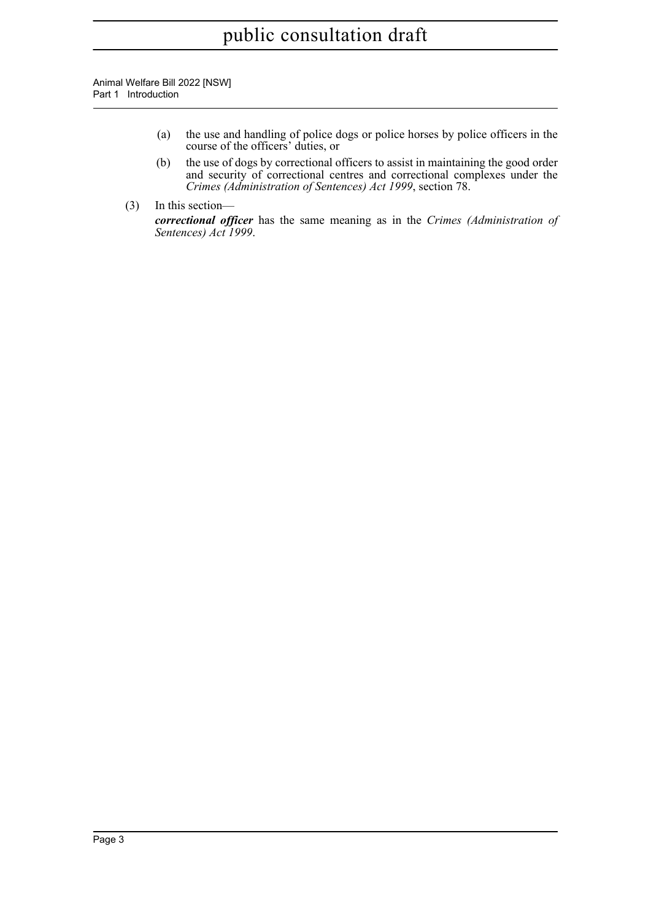Animal Welfare Bill 2022 [NSW] Part 1 Introduction

- (a) the use and handling of police dogs or police horses by police officers in the course of the officers' duties, or
- (b) the use of dogs by correctional officers to assist in maintaining the good order and security of correctional centres and correctional complexes under the *Crimes (Administration of Sentences) Act 1999*, section 78.
- (3) In this section—

*correctional officer* has the same meaning as in the *Crimes (Administration of Sentences) Act 1999*.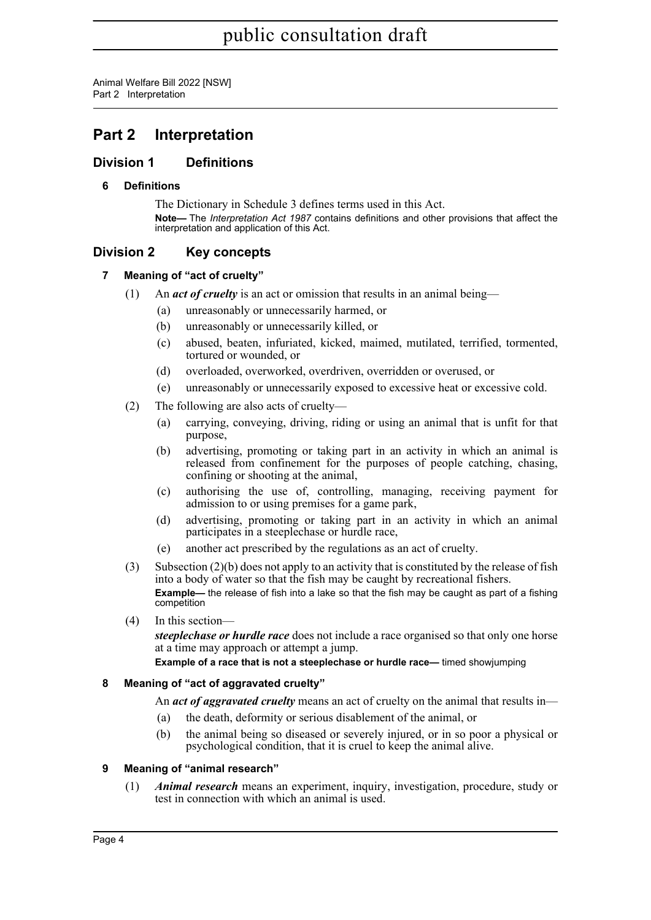Animal Welfare Bill 2022 [NSW] Part 2 Interpretation

## <span id="page-10-0"></span>**Part 2 Interpretation**

## <span id="page-10-2"></span><span id="page-10-1"></span>**Division 1 Definitions**

**6 Definitions**

The Dictionary in Schedule 3 defines terms used in this Act. **Note—** The *Interpretation Act 1987* contains definitions and other provisions that affect the interpretation and application of this Act.

## <span id="page-10-4"></span><span id="page-10-3"></span>**Division 2 Key concepts**

## **7 Meaning of "act of cruelty"**

- (1) An *act of cruelty* is an act or omission that results in an animal being—
	- (a) unreasonably or unnecessarily harmed, or
	- (b) unreasonably or unnecessarily killed, or
	- (c) abused, beaten, infuriated, kicked, maimed, mutilated, terrified, tormented, tortured or wounded, or
	- (d) overloaded, overworked, overdriven, overridden or overused, or
	- (e) unreasonably or unnecessarily exposed to excessive heat or excessive cold.
- (2) The following are also acts of cruelty—
	- (a) carrying, conveying, driving, riding or using an animal that is unfit for that purpose,
	- (b) advertising, promoting or taking part in an activity in which an animal is released from confinement for the purposes of people catching, chasing, confining or shooting at the animal,
	- (c) authorising the use of, controlling, managing, receiving payment for admission to or using premises for a game park,
	- (d) advertising, promoting or taking part in an activity in which an animal participates in a steeplechase or hurdle race,
	- (e) another act prescribed by the regulations as an act of cruelty.
- (3) Subsection  $(2)(b)$  does not apply to an activity that is constituted by the release of fish into a body of water so that the fish may be caught by recreational fishers. **Example—** the release of fish into a lake so that the fish may be caught as part of a fishing competition
- (4) In this section—

*steeplechase or hurdle race* does not include a race organised so that only one horse at a time may approach or attempt a jump.

**Example of a race that is not a steeplechase or hurdle race—** timed showjumping

### <span id="page-10-5"></span>**8 Meaning of "act of aggravated cruelty"**

An *act of aggravated cruelty* means an act of cruelty on the animal that results in—

- (a) the death, deformity or serious disablement of the animal, or
- (b) the animal being so diseased or severely injured, or in so poor a physical or psychological condition, that it is cruel to keep the animal alive.

### <span id="page-10-6"></span>**9 Meaning of "animal research"**

(1) *Animal research* means an experiment, inquiry, investigation, procedure, study or test in connection with which an animal is used.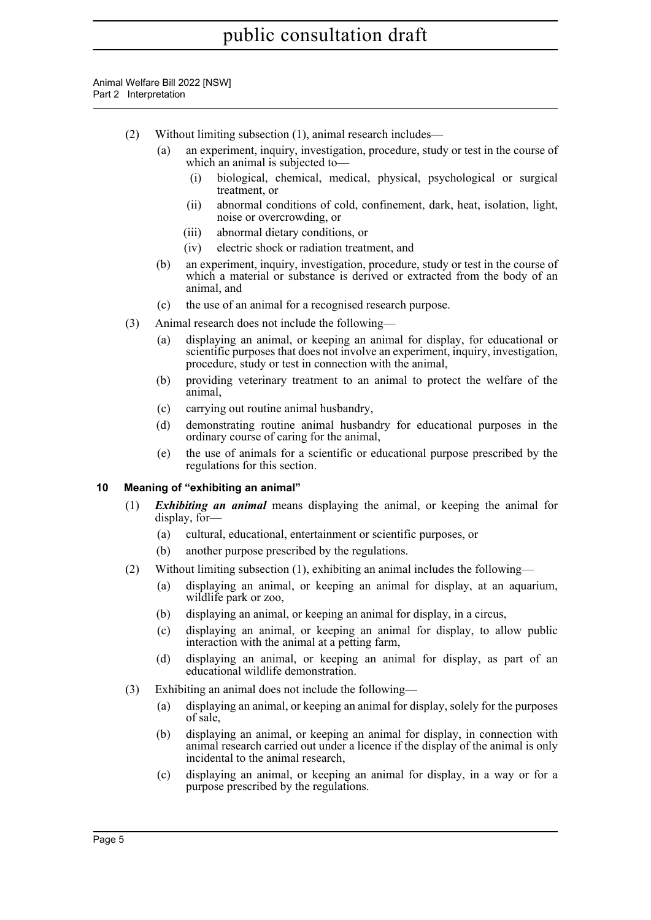- (2) Without limiting subsection (1), animal research includes—
	- (a) an experiment, inquiry, investigation, procedure, study or test in the course of which an animal is subjected to-
		- (i) biological, chemical, medical, physical, psychological or surgical treatment, or
		- (ii) abnormal conditions of cold, confinement, dark, heat, isolation, light, noise or overcrowding, or
		- (iii) abnormal dietary conditions, or
		- (iv) electric shock or radiation treatment, and
	- (b) an experiment, inquiry, investigation, procedure, study or test in the course of which a material or substance is derived or extracted from the body of an animal, and
	- (c) the use of an animal for a recognised research purpose.
- (3) Animal research does not include the following—
	- (a) displaying an animal, or keeping an animal for display, for educational or scientific purposes that does not involve an experiment, inquiry, investigation, procedure, study or test in connection with the animal,
	- (b) providing veterinary treatment to an animal to protect the welfare of the animal,
	- (c) carrying out routine animal husbandry,
	- (d) demonstrating routine animal husbandry for educational purposes in the ordinary course of caring for the animal,
	- (e) the use of animals for a scientific or educational purpose prescribed by the regulations for this section.

### <span id="page-11-0"></span>**10 Meaning of "exhibiting an animal"**

- (1) *Exhibiting an animal* means displaying the animal, or keeping the animal for display, for—
	- (a) cultural, educational, entertainment or scientific purposes, or
	- (b) another purpose prescribed by the regulations.
- (2) Without limiting subsection (1), exhibiting an animal includes the following—
	- (a) displaying an animal, or keeping an animal for display, at an aquarium, wildlife park or zoo,
	- (b) displaying an animal, or keeping an animal for display, in a circus,
	- (c) displaying an animal, or keeping an animal for display, to allow public interaction with the animal at a petting farm,
	- (d) displaying an animal, or keeping an animal for display, as part of an educational wildlife demonstration.
- (3) Exhibiting an animal does not include the following—
	- (a) displaying an animal, or keeping an animal for display, solely for the purposes of sale,
	- (b) displaying an animal, or keeping an animal for display, in connection with animal research carried out under a licence if the display of the animal is only incidental to the animal research,
	- (c) displaying an animal, or keeping an animal for display, in a way or for a purpose prescribed by the regulations.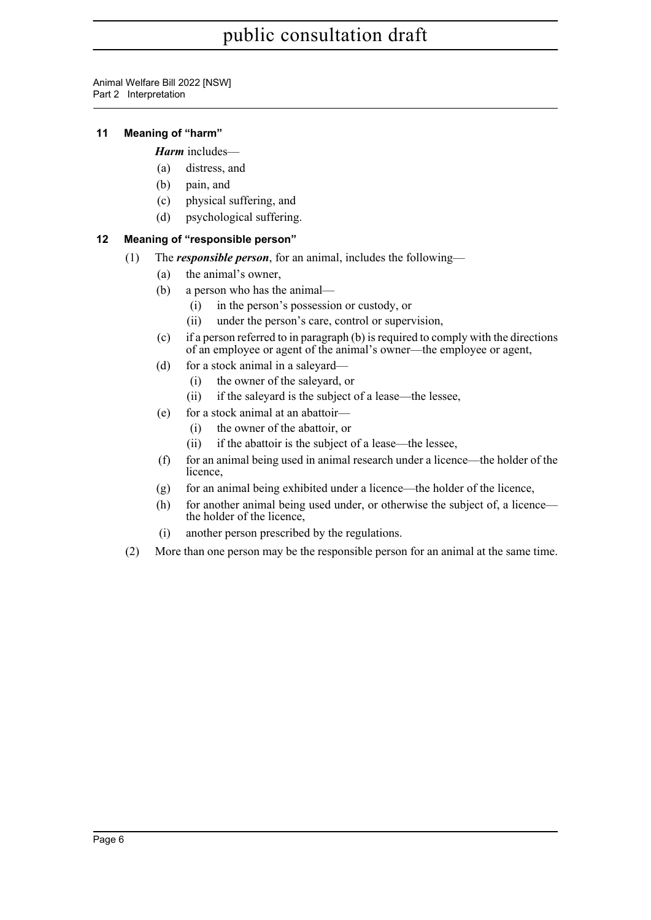Animal Welfare Bill 2022 [NSW] Part 2 Interpretation

## <span id="page-12-0"></span>**11 Meaning of "harm"**

## *Harm* includes—

- (a) distress, and
- (b) pain, and
- (c) physical suffering, and
- (d) psychological suffering.

## <span id="page-12-1"></span>**12 Meaning of "responsible person"**

- (1) The *responsible person*, for an animal, includes the following—
	- (a) the animal's owner,
	- (b) a person who has the animal—
		- (i) in the person's possession or custody, or
		- (ii) under the person's care, control or supervision,
	- (c) if a person referred to in paragraph (b) is required to comply with the directions of an employee or agent of the animal's owner—the employee or agent,
	- (d) for a stock animal in a saleyard—
		- (i) the owner of the saleyard, or
		- (ii) if the saleyard is the subject of a lease—the lessee,
	- (e) for a stock animal at an abattoir—
		- (i) the owner of the abattoir, or
		- (ii) if the abattoir is the subject of a lease—the lessee,
	- (f) for an animal being used in animal research under a licence—the holder of the licence,
	- (g) for an animal being exhibited under a licence—the holder of the licence,
	- (h) for another animal being used under, or otherwise the subject of, a licence the holder of the licence,
	- (i) another person prescribed by the regulations.
- (2) More than one person may be the responsible person for an animal at the same time.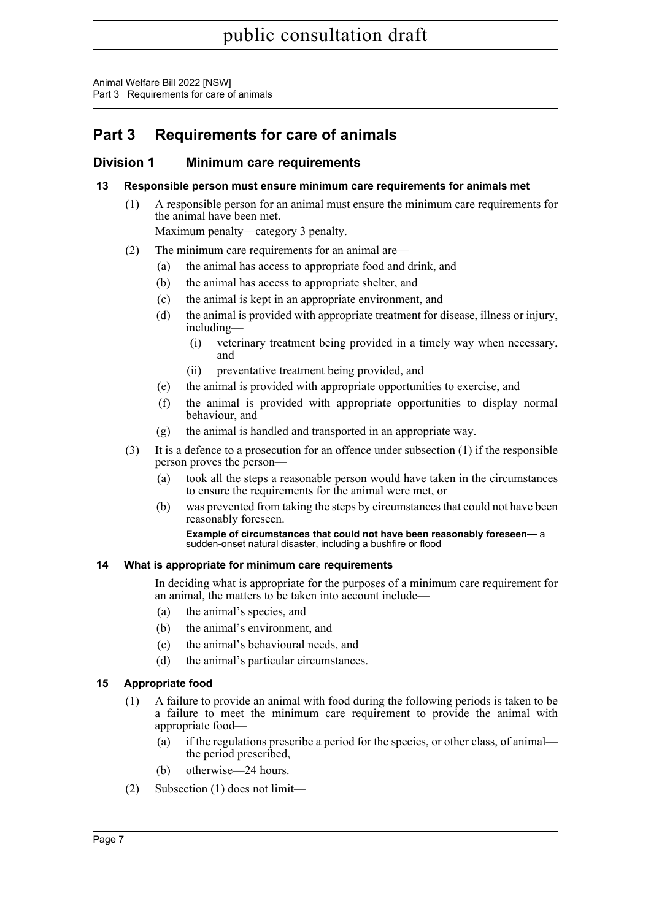Animal Welfare Bill 2022 [NSW] Part 3 Requirements for care of animals

## <span id="page-13-0"></span>**Part 3 Requirements for care of animals**

## <span id="page-13-1"></span>**Division 1 Minimum care requirements**

## <span id="page-13-2"></span>**13 Responsible person must ensure minimum care requirements for animals met**

(1) A responsible person for an animal must ensure the minimum care requirements for the animal have been met.

Maximum penalty—category 3 penalty.

- (2) The minimum care requirements for an animal are—
	- (a) the animal has access to appropriate food and drink, and
	- (b) the animal has access to appropriate shelter, and
	- (c) the animal is kept in an appropriate environment, and
	- (d) the animal is provided with appropriate treatment for disease, illness or injury, including—
		- (i) veterinary treatment being provided in a timely way when necessary, and
		- (ii) preventative treatment being provided, and
	- (e) the animal is provided with appropriate opportunities to exercise, and
	- (f) the animal is provided with appropriate opportunities to display normal behaviour, and
	- (g) the animal is handled and transported in an appropriate way.
- $(3)$  It is a defence to a prosecution for an offence under subsection  $(1)$  if the responsible person proves the person—
	- (a) took all the steps a reasonable person would have taken in the circumstances to ensure the requirements for the animal were met, or
	- (b) was prevented from taking the steps by circumstances that could not have been reasonably foreseen.

**Example of circumstances that could not have been reasonably foreseen—** a sudden-onset natural disaster, including a bushfire or flood

### <span id="page-13-3"></span>**14 What is appropriate for minimum care requirements**

In deciding what is appropriate for the purposes of a minimum care requirement for an animal, the matters to be taken into account include—

- (a) the animal's species, and
- (b) the animal's environment, and
- (c) the animal's behavioural needs, and
- (d) the animal's particular circumstances.

### <span id="page-13-4"></span>**15 Appropriate food**

- (1) A failure to provide an animal with food during the following periods is taken to be a failure to meet the minimum care requirement to provide the animal with appropriate food—
	- (a) if the regulations prescribe a period for the species, or other class, of animal the period prescribed,
	- (b) otherwise—24 hours.
- (2) Subsection (1) does not limit—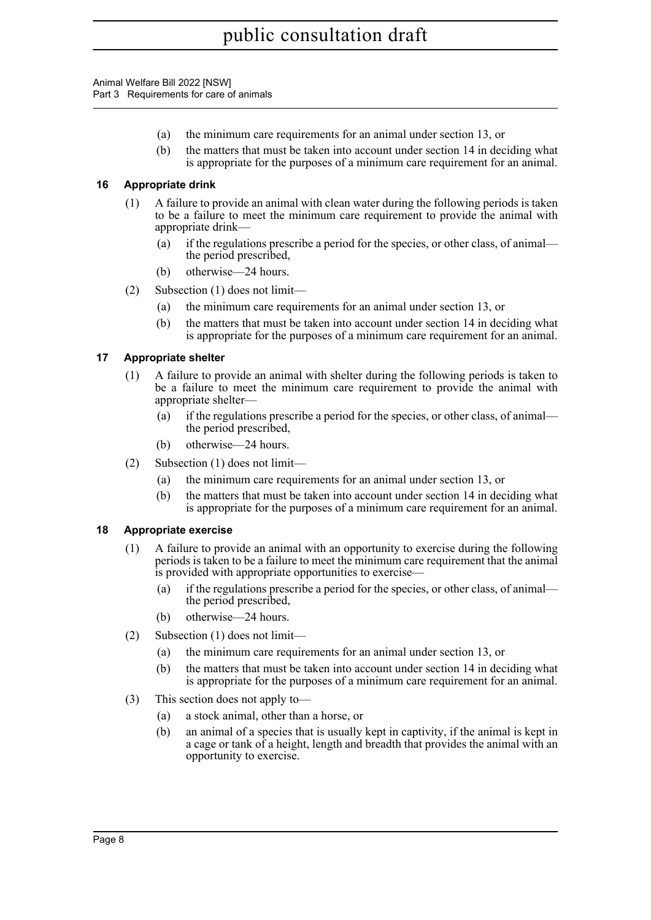Animal Welfare Bill 2022 [NSW] Part 3 Requirements for care of animals

- (a) the minimum care requirements for an animal under section 13, or
- (b) the matters that must be taken into account under section 14 in deciding what is appropriate for the purposes of a minimum care requirement for an animal.

## <span id="page-14-0"></span>**16 Appropriate drink**

- (1) A failure to provide an animal with clean water during the following periods is taken to be a failure to meet the minimum care requirement to provide the animal with appropriate drink—
	- (a) if the regulations prescribe a period for the species, or other class, of animal the period prescribed,
	- (b) otherwise—24 hours.
- (2) Subsection (1) does not limit—
	- (a) the minimum care requirements for an animal under section 13, or
	- (b) the matters that must be taken into account under section 14 in deciding what is appropriate for the purposes of a minimum care requirement for an animal.

## <span id="page-14-1"></span>**17 Appropriate shelter**

- (1) A failure to provide an animal with shelter during the following periods is taken to be a failure to meet the minimum care requirement to provide the animal with appropriate shelter—
	- (a) if the regulations prescribe a period for the species, or other class, of animal the period prescribed,
	- (b) otherwise—24 hours.
- (2) Subsection (1) does not limit—
	- (a) the minimum care requirements for an animal under section 13, or
	- (b) the matters that must be taken into account under section 14 in deciding what is appropriate for the purposes of a minimum care requirement for an animal.

### <span id="page-14-2"></span>**18 Appropriate exercise**

- (1) A failure to provide an animal with an opportunity to exercise during the following periods is taken to be a failure to meet the minimum care requirement that the animal is provided with appropriate opportunities to exercise—
	- (a) if the regulations prescribe a period for the species, or other class, of animal the period prescribed,
	- (b) otherwise—24 hours.
- (2) Subsection (1) does not limit—
	- (a) the minimum care requirements for an animal under section 13, or
	- (b) the matters that must be taken into account under section 14 in deciding what is appropriate for the purposes of a minimum care requirement for an animal.
- (3) This section does not apply to—
	- (a) a stock animal, other than a horse, or
	- (b) an animal of a species that is usually kept in captivity, if the animal is kept in a cage or tank of a height, length and breadth that provides the animal with an opportunity to exercise.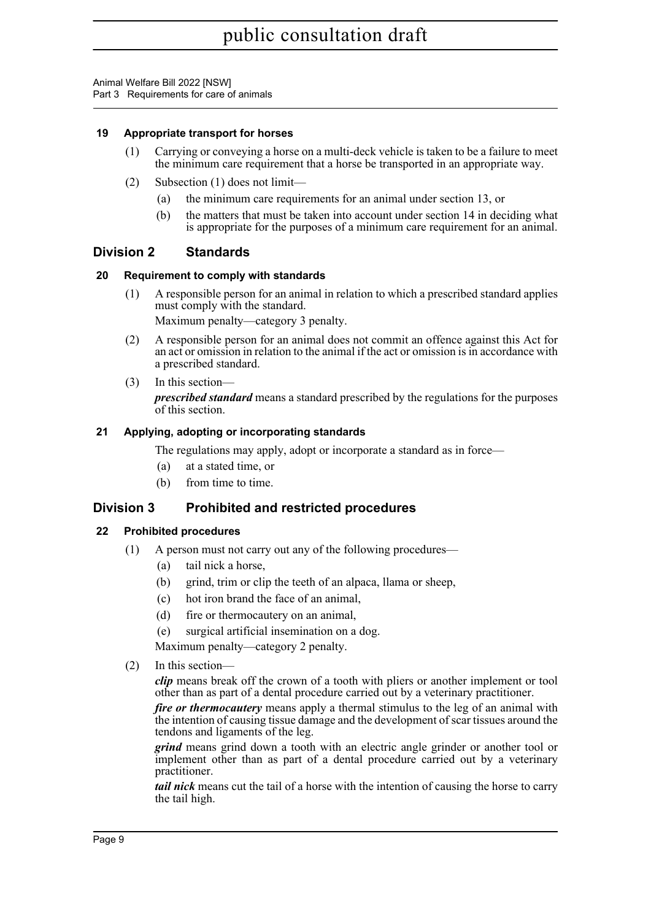Animal Welfare Bill 2022 [NSW] Part 3 Requirements for care of animals

### <span id="page-15-0"></span>**19 Appropriate transport for horses**

- (1) Carrying or conveying a horse on a multi-deck vehicle is taken to be a failure to meet the minimum care requirement that a horse be transported in an appropriate way.
- (2) Subsection (1) does not limit—
	- (a) the minimum care requirements for an animal under section 13, or
	- (b) the matters that must be taken into account under section 14 in deciding what is appropriate for the purposes of a minimum care requirement for an animal.

## <span id="page-15-1"></span>**Division 2 Standards**

### <span id="page-15-2"></span>**20 Requirement to comply with standards**

(1) A responsible person for an animal in relation to which a prescribed standard applies must comply with the standard.

Maximum penalty—category 3 penalty.

- (2) A responsible person for an animal does not commit an offence against this Act for an act or omission in relation to the animal if the act or omission is in accordance with a prescribed standard.
- (3) In this section—

*prescribed standard* means a standard prescribed by the regulations for the purposes of this section.

## <span id="page-15-3"></span>**21 Applying, adopting or incorporating standards**

The regulations may apply, adopt or incorporate a standard as in force—

- (a) at a stated time, or
- (b) from time to time.

## <span id="page-15-4"></span>**Division 3 Prohibited and restricted procedures**

### <span id="page-15-5"></span>**22 Prohibited procedures**

- (1) A person must not carry out any of the following procedures—
	- (a) tail nick a horse,
	- (b) grind, trim or clip the teeth of an alpaca, llama or sheep,
	- (c) hot iron brand the face of an animal,
	- (d) fire or thermocautery on an animal,
	- (e) surgical artificial insemination on a dog.

Maximum penalty—category 2 penalty.

(2) In this section—

*clip* means break off the crown of a tooth with pliers or another implement or tool other than as part of a dental procedure carried out by a veterinary practitioner.

*fire or thermocautery* means apply a thermal stimulus to the leg of an animal with the intention of causing tissue damage and the development of scar tissues around the tendons and ligaments of the leg.

*grind* means grind down a tooth with an electric angle grinder or another tool or implement other than as part of a dental procedure carried out by a veterinary practitioner.

*tail nick* means cut the tail of a horse with the intention of causing the horse to carry the tail high.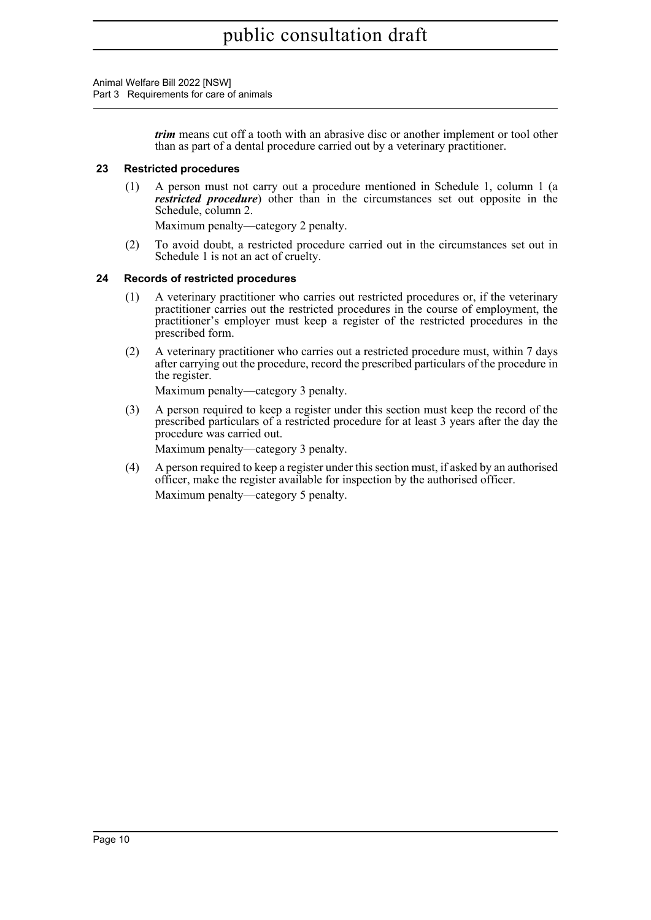Animal Welfare Bill 2022 [NSW] Part 3 Requirements for care of animals

> *trim* means cut off a tooth with an abrasive disc or another implement or tool other than as part of a dental procedure carried out by a veterinary practitioner.

### <span id="page-16-0"></span>**23 Restricted procedures**

(1) A person must not carry out a procedure mentioned in Schedule 1, column 1 (a *restricted procedure*) other than in the circumstances set out opposite in the Schedule, column 2.

Maximum penalty—category 2 penalty.

(2) To avoid doubt, a restricted procedure carried out in the circumstances set out in Schedule 1 is not an act of cruelty.

### <span id="page-16-1"></span>**24 Records of restricted procedures**

- (1) A veterinary practitioner who carries out restricted procedures or, if the veterinary practitioner carries out the restricted procedures in the course of employment, the practitioner's employer must keep a register of the restricted procedures in the prescribed form.
- (2) A veterinary practitioner who carries out a restricted procedure must, within 7 days after carrying out the procedure, record the prescribed particulars of the procedure in the register.

Maximum penalty—category 3 penalty.

(3) A person required to keep a register under this section must keep the record of the prescribed particulars of a restricted procedure for at least 3 years after the day the procedure was carried out.

Maximum penalty—category 3 penalty.

(4) A person required to keep a register under this section must, if asked by an authorised officer, make the register available for inspection by the authorised officer. Maximum penalty—category 5 penalty.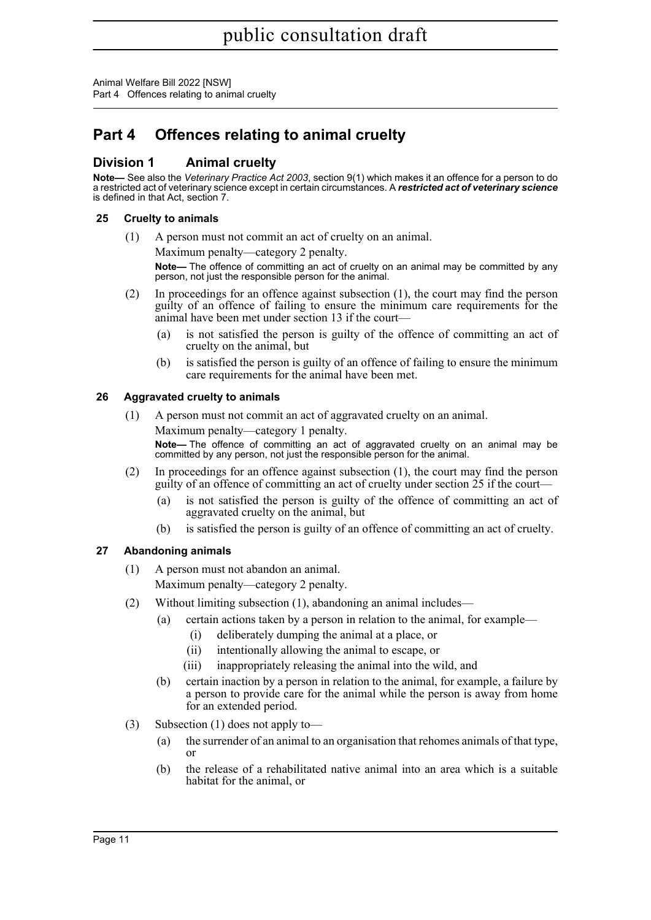Animal Welfare Bill 2022 [NSW] Part 4 Offences relating to animal cruelty

## <span id="page-17-0"></span>**Part 4 Offences relating to animal cruelty**

## <span id="page-17-1"></span>**Division 1 Animal cruelty**

**Note—** See also the *Veterinary Practice Act 2003*, section 9(1) which makes it an offence for a person to do a restricted act of veterinary science except in certain circumstances. A *restricted act of veterinary science* is defined in that Act, section 7.

## <span id="page-17-2"></span>**25 Cruelty to animals**

(1) A person must not commit an act of cruelty on an animal.

Maximum penalty—category 2 penalty.

**Note—** The offence of committing an act of cruelty on an animal may be committed by any person, not just the responsible person for the animal.

- (2) In proceedings for an offence against subsection (1), the court may find the person guilty of an offence of failing to ensure the minimum care requirements for the animal have been met under section 13 if the court—
	- (a) is not satisfied the person is guilty of the offence of committing an act of cruelty on the animal, but
	- (b) is satisfied the person is guilty of an offence of failing to ensure the minimum care requirements for the animal have been met.

## <span id="page-17-3"></span>**26 Aggravated cruelty to animals**

(1) A person must not commit an act of aggravated cruelty on an animal.

Maximum penalty—category 1 penalty.

**Note—** The offence of committing an act of aggravated cruelty on an animal may be committed by any person, not just the responsible person for the animal.

- (2) In proceedings for an offence against subsection (1), the court may find the person guilty of an offence of committing an act of cruelty under section 25 if the court—
	- (a) is not satisfied the person is guilty of the offence of committing an act of aggravated cruelty on the animal, but
	- (b) is satisfied the person is guilty of an offence of committing an act of cruelty.

## <span id="page-17-4"></span>**27 Abandoning animals**

(1) A person must not abandon an animal.

Maximum penalty—category 2 penalty.

- (2) Without limiting subsection (1), abandoning an animal includes—
	- (a) certain actions taken by a person in relation to the animal, for example—
		- (i) deliberately dumping the animal at a place, or
		- (ii) intentionally allowing the animal to escape, or
		- (iii) inappropriately releasing the animal into the wild, and
	- (b) certain inaction by a person in relation to the animal, for example, a failure by a person to provide care for the animal while the person is away from home for an extended period.
- (3) Subsection (1) does not apply to—
	- (a) the surrender of an animal to an organisation that rehomes animals of that type, or
	- (b) the release of a rehabilitated native animal into an area which is a suitable habitat for the animal, or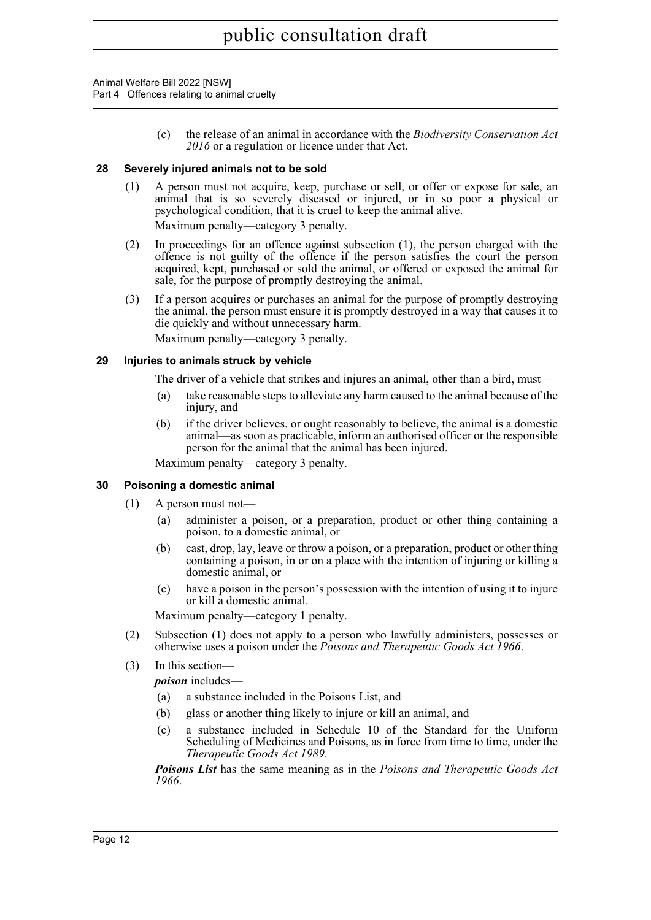Animal Welfare Bill 2022 [NSW] Part 4 Offences relating to animal cruelty

> (c) the release of an animal in accordance with the *Biodiversity Conservation Act 2016* or a regulation or licence under that Act.

#### <span id="page-18-0"></span>**28 Severely injured animals not to be sold**

(1) A person must not acquire, keep, purchase or sell, or offer or expose for sale, an animal that is so severely diseased or injured, or in so poor a physical or psychological condition, that it is cruel to keep the animal alive.

Maximum penalty—category 3 penalty.

- (2) In proceedings for an offence against subsection (1), the person charged with the offence is not guilty of the offence if the person satisfies the court the person acquired, kept, purchased or sold the animal, or offered or exposed the animal for sale, for the purpose of promptly destroying the animal.
- (3) If a person acquires or purchases an animal for the purpose of promptly destroying the animal, the person must ensure it is promptly destroyed in a way that causes it to die quickly and without unnecessary harm.

Maximum penalty—category 3 penalty.

#### <span id="page-18-1"></span>**29 Injuries to animals struck by vehicle**

- The driver of a vehicle that strikes and injures an animal, other than a bird, must—
- (a) take reasonable steps to alleviate any harm caused to the animal because of the injury, and
- (b) if the driver believes, or ought reasonably to believe, the animal is a domestic animal—as soon as practicable, inform an authorised officer or the responsible person for the animal that the animal has been injured.

Maximum penalty—category 3 penalty.

#### <span id="page-18-2"></span>**30 Poisoning a domestic animal**

- (1) A person must not—
	- (a) administer a poison, or a preparation, product or other thing containing a poison, to a domestic animal, or
	- (b) cast, drop, lay, leave or throw a poison, or a preparation, product or other thing containing a poison, in or on a place with the intention of injuring or killing a domestic animal, or
	- (c) have a poison in the person's possession with the intention of using it to injure or kill a domestic animal.

Maximum penalty—category 1 penalty.

- (2) Subsection (1) does not apply to a person who lawfully administers, possesses or otherwise uses a poison under the *Poisons and Therapeutic Goods Act 1966*.
- (3) In this section—

*poison* includes—

- (a) a substance included in the Poisons List, and
- (b) glass or another thing likely to injure or kill an animal, and
- (c) a substance included in Schedule 10 of the Standard for the Uniform Scheduling of Medicines and Poisons, as in force from time to time, under the *Therapeutic Goods Act 1989*.

*Poisons List* has the same meaning as in the *Poisons and Therapeutic Goods Act 1966*.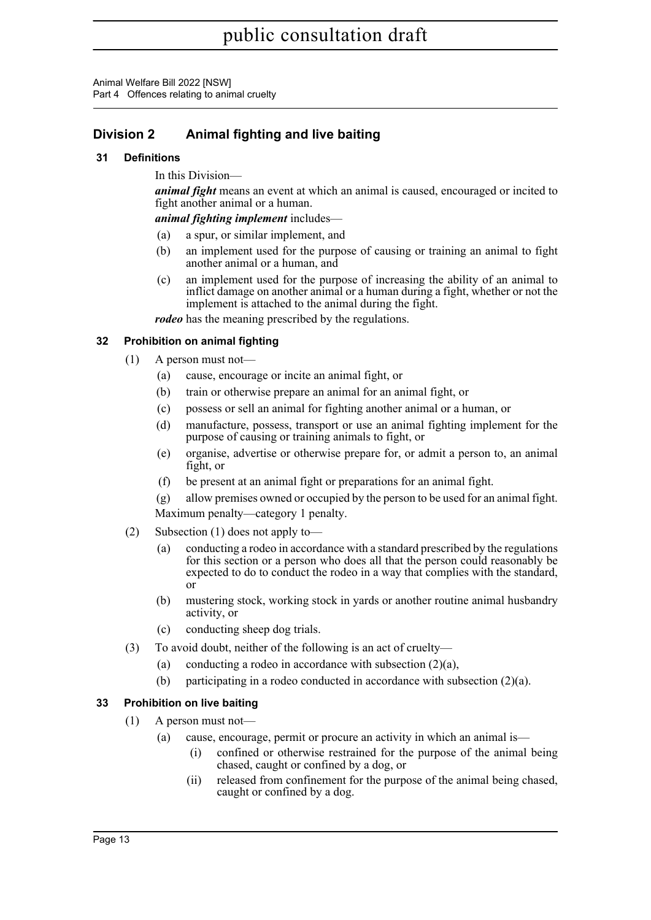Animal Welfare Bill 2022 [NSW] Part 4 Offences relating to animal cruelty

## <span id="page-19-0"></span>**Division 2 Animal fighting and live baiting**

## <span id="page-19-1"></span>**31 Definitions**

In this Division—

*animal fight* means an event at which an animal is caused, encouraged or incited to fight another animal or a human.

*animal fighting implement* includes—

- (a) a spur, or similar implement, and
- (b) an implement used for the purpose of causing or training an animal to fight another animal or a human, and
- (c) an implement used for the purpose of increasing the ability of an animal to inflict damage on another animal or a human during a fight, whether or not the implement is attached to the animal during the fight.

*rodeo* has the meaning prescribed by the regulations.

## <span id="page-19-2"></span>**32 Prohibition on animal fighting**

- (1) A person must not—
	- (a) cause, encourage or incite an animal fight, or
	- (b) train or otherwise prepare an animal for an animal fight, or
	- (c) possess or sell an animal for fighting another animal or a human, or
	- (d) manufacture, possess, transport or use an animal fighting implement for the purpose of causing or training animals to fight, or
	- (e) organise, advertise or otherwise prepare for, or admit a person to, an animal fight, or
	- (f) be present at an animal fight or preparations for an animal fight.
	- (g) allow premises owned or occupied by the person to be used for an animal fight.

Maximum penalty—category 1 penalty.

- (2) Subsection (1) does not apply to—
	- (a) conducting a rodeo in accordance with a standard prescribed by the regulations for this section or a person who does all that the person could reasonably be expected to do to conduct the rodeo in a way that complies with the standard, or
	- (b) mustering stock, working stock in yards or another routine animal husbandry activity, or
	- (c) conducting sheep dog trials.
- (3) To avoid doubt, neither of the following is an act of cruelty—
	- (a) conducting a rodeo in accordance with subsection  $(2)(a)$ ,
	- (b) participating in a rodeo conducted in accordance with subsection (2)(a).

### <span id="page-19-3"></span>**33 Prohibition on live baiting**

- (1) A person must not—
	- (a) cause, encourage, permit or procure an activity in which an animal is—
		- (i) confined or otherwise restrained for the purpose of the animal being chased, caught or confined by a dog, or
		- (ii) released from confinement for the purpose of the animal being chased, caught or confined by a dog.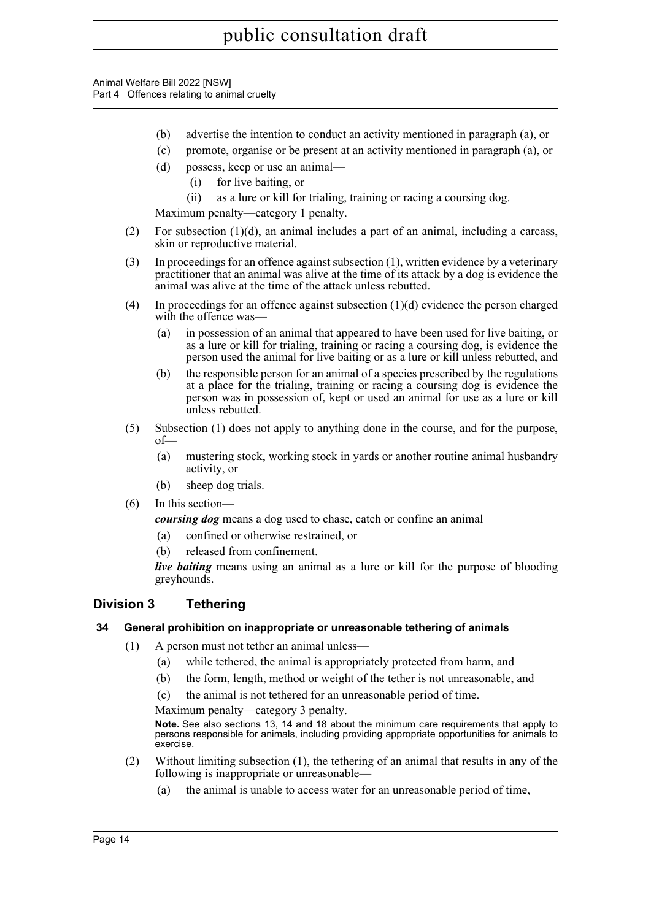Animal Welfare Bill 2022 [NSW] Part 4 Offences relating to animal cruelty

- (b) advertise the intention to conduct an activity mentioned in paragraph (a), or
- (c) promote, organise or be present at an activity mentioned in paragraph (a), or
- (d) possess, keep or use an animal—
	- (i) for live baiting, or
	- (ii) as a lure or kill for trialing, training or racing a coursing dog.

Maximum penalty—category 1 penalty.

- (2) For subsection (1)(d), an animal includes a part of an animal, including a carcass, skin or reproductive material.
- (3) In proceedings for an offence against subsection (1), written evidence by a veterinary practitioner that an animal was alive at the time of its attack by a dog is evidence the animal was alive at the time of the attack unless rebutted.
- (4) In proceedings for an offence against subsection (1)(d) evidence the person charged with the offence was-
	- (a) in possession of an animal that appeared to have been used for live baiting, or as a lure or kill for trialing, training or racing a coursing dog, is evidence the person used the animal for live baiting or as a lure or kill unless rebutted, and
	- (b) the responsible person for an animal of a species prescribed by the regulations at a place for the trialing, training or racing a coursing dog is evidence the person was in possession of, kept or used an animal for use as a lure or kill unless rebutted.
- (5) Subsection (1) does not apply to anything done in the course, and for the purpose, of—
	- (a) mustering stock, working stock in yards or another routine animal husbandry activity, or
	- (b) sheep dog trials.
- (6) In this section—

*coursing dog* means a dog used to chase, catch or confine an animal

- (a) confined or otherwise restrained, or
- (b) released from confinement.

*live baiting* means using an animal as a lure or kill for the purpose of blooding greyhounds.

## <span id="page-20-0"></span>**Division 3 Tethering**

### <span id="page-20-1"></span>**34 General prohibition on inappropriate or unreasonable tethering of animals**

- (1) A person must not tether an animal unless—
	- (a) while tethered, the animal is appropriately protected from harm, and
	- (b) the form, length, method or weight of the tether is not unreasonable, and
	- (c) the animal is not tethered for an unreasonable period of time.

Maximum penalty—category 3 penalty.

**Note.** See also sections 13, 14 and 18 about the minimum care requirements that apply to persons responsible for animals, including providing appropriate opportunities for animals to exercise.

- (2) Without limiting subsection (1), the tethering of an animal that results in any of the following is inappropriate or unreasonable—
	- (a) the animal is unable to access water for an unreasonable period of time,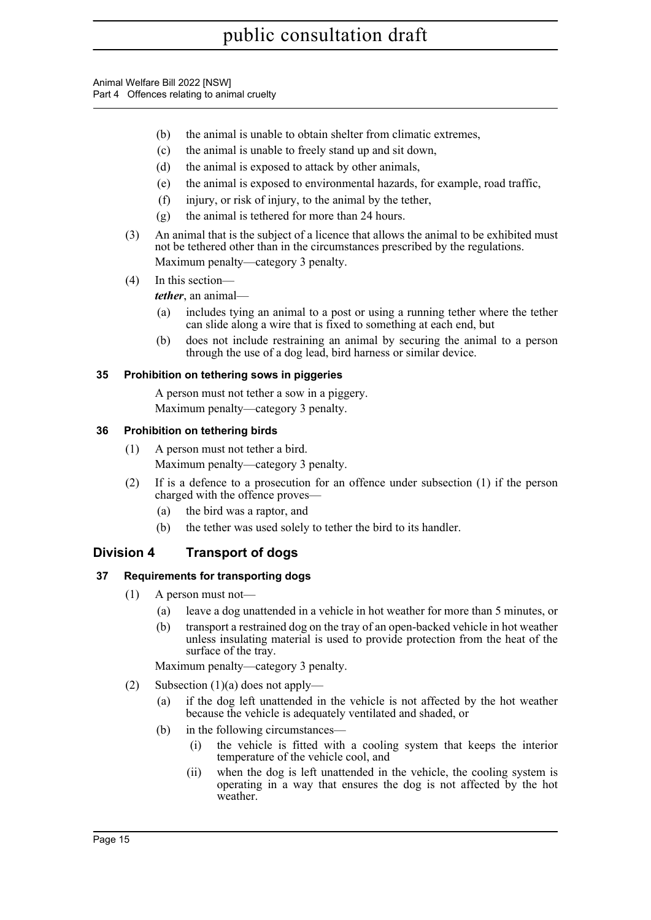Animal Welfare Bill 2022 [NSW] Part 4 Offences relating to animal cruelty

- (b) the animal is unable to obtain shelter from climatic extremes,
- (c) the animal is unable to freely stand up and sit down,
- (d) the animal is exposed to attack by other animals,
- (e) the animal is exposed to environmental hazards, for example, road traffic,
- (f) injury, or risk of injury, to the animal by the tether,
- (g) the animal is tethered for more than 24 hours.
- (3) An animal that is the subject of a licence that allows the animal to be exhibited must not be tethered other than in the circumstances prescribed by the regulations. Maximum penalty—category 3 penalty.
- (4) In this section—

*tether*, an animal—

- (a) includes tying an animal to a post or using a running tether where the tether can slide along a wire that is fixed to something at each end, but
- (b) does not include restraining an animal by securing the animal to a person through the use of a dog lead, bird harness or similar device.

## <span id="page-21-0"></span>**35 Prohibition on tethering sows in piggeries**

A person must not tether a sow in a piggery. Maximum penalty—category 3 penalty.

## <span id="page-21-1"></span>**36 Prohibition on tethering birds**

- (1) A person must not tether a bird. Maximum penalty—category 3 penalty.
- (2) If is a defence to a prosecution for an offence under subsection (1) if the person charged with the offence proves—
	- (a) the bird was a raptor, and
	- (b) the tether was used solely to tether the bird to its handler.

## <span id="page-21-2"></span>**Division 4 Transport of dogs**

### <span id="page-21-3"></span>**37 Requirements for transporting dogs**

- (1) A person must not—
	- (a) leave a dog unattended in a vehicle in hot weather for more than 5 minutes, or
	- (b) transport a restrained dog on the tray of an open-backed vehicle in hot weather unless insulating material is used to provide protection from the heat of the surface of the tray.

Maximum penalty—category 3 penalty.

- (2) Subsection  $(1)(a)$  does not apply—
	- (a) if the dog left unattended in the vehicle is not affected by the hot weather because the vehicle is adequately ventilated and shaded, or
	- (b) in the following circumstances—
		- (i) the vehicle is fitted with a cooling system that keeps the interior temperature of the vehicle cool, and
		- (ii) when the dog is left unattended in the vehicle, the cooling system is operating in a way that ensures the dog is not affected by the hot weather.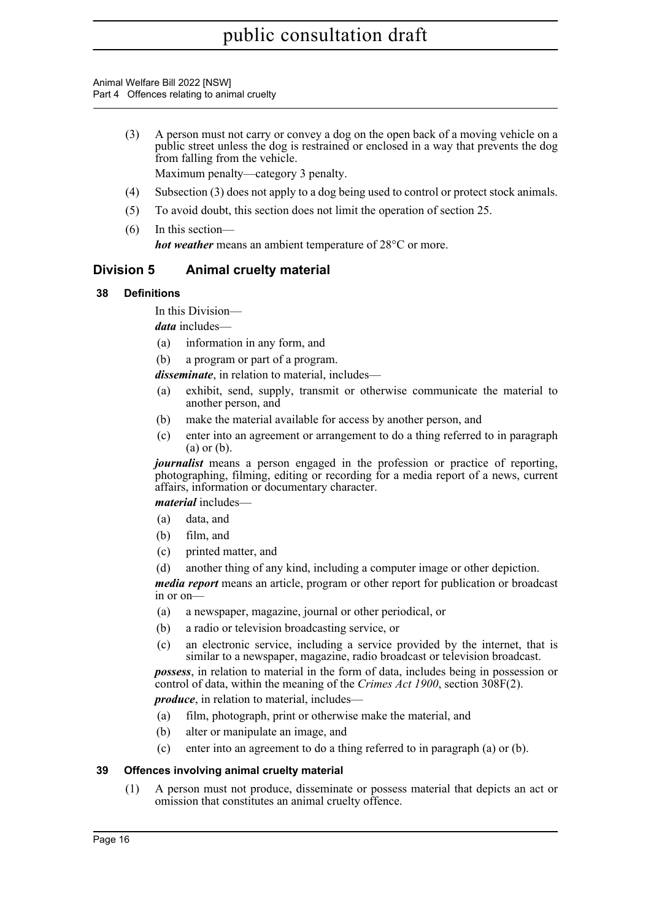Animal Welfare Bill 2022 [NSW] Part 4 Offences relating to animal cruelty

> (3) A person must not carry or convey a dog on the open back of a moving vehicle on a public street unless the dog is restrained or enclosed in a way that prevents the dog from falling from the vehicle.

Maximum penalty—category 3 penalty.

- (4) Subsection (3) does not apply to a dog being used to control or protect stock animals.
- (5) To avoid doubt, this section does not limit the operation of section 25.
- (6) In this section *hot weather* means an ambient temperature of 28°C or more.

## <span id="page-22-0"></span>**Division 5 Animal cruelty material**

### <span id="page-22-1"></span>**38 Definitions**

In this Division—

*data* includes—

- (a) information in any form, and
- (b) a program or part of a program.

*disseminate*, in relation to material, includes—

- (a) exhibit, send, supply, transmit or otherwise communicate the material to another person, and
- (b) make the material available for access by another person, and
- (c) enter into an agreement or arrangement to do a thing referred to in paragraph (a) or (b).

*journalist* means a person engaged in the profession or practice of reporting, photographing, filming, editing or recording for a media report of a news, current affairs, information or documentary character.

*material* includes—

- (a) data, and
- (b) film, and
- (c) printed matter, and
- (d) another thing of any kind, including a computer image or other depiction.

*media report* means an article, program or other report for publication or broadcast in or on—

- (a) a newspaper, magazine, journal or other periodical, or
- (b) a radio or television broadcasting service, or
- (c) an electronic service, including a service provided by the internet, that is similar to a newspaper, magazine, radio broadcast or television broadcast.

*possess*, in relation to material in the form of data, includes being in possession or control of data, within the meaning of the *Crimes Act 1900*, section 308F(2).

*produce*, in relation to material, includes-

- (a) film, photograph, print or otherwise make the material, and
- (b) alter or manipulate an image, and
- (c) enter into an agreement to do a thing referred to in paragraph (a) or (b).

### <span id="page-22-2"></span>**39 Offences involving animal cruelty material**

(1) A person must not produce, disseminate or possess material that depicts an act or omission that constitutes an animal cruelty offence.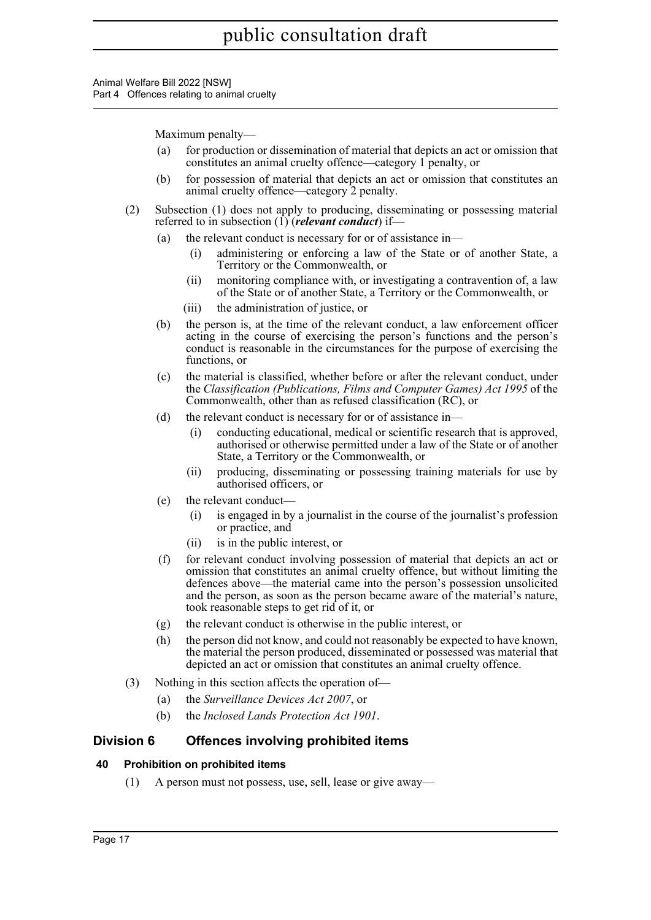Animal Welfare Bill 2022 [NSW] Part 4 Offences relating to animal cruelty

Maximum penalty—

- (a) for production or dissemination of material that depicts an act or omission that constitutes an animal cruelty offence—category 1 penalty, or
- (b) for possession of material that depicts an act or omission that constitutes an animal cruelty offence—category 2 penalty.
- (2) Subsection (1) does not apply to producing, disseminating or possessing material referred to in subsection (1) (*relevant conduct*) if—
	- (a) the relevant conduct is necessary for or of assistance in—
		- (i) administering or enforcing a law of the State or of another State, a Territory or the Commonwealth, or
		- (ii) monitoring compliance with, or investigating a contravention of, a law of the State or of another State, a Territory or the Commonwealth, or
		- (iii) the administration of justice, or
	- (b) the person is, at the time of the relevant conduct, a law enforcement officer acting in the course of exercising the person's functions and the person's conduct is reasonable in the circumstances for the purpose of exercising the functions, or
	- (c) the material is classified, whether before or after the relevant conduct, under the *Classification (Publications, Films and Computer Games) Act 1995* of the Commonwealth, other than as refused classification (RC), or
	- (d) the relevant conduct is necessary for or of assistance in—
		- (i) conducting educational, medical or scientific research that is approved, authorised or otherwise permitted under a law of the State or of another State, a Territory or the Commonwealth, or
		- (ii) producing, disseminating or possessing training materials for use by authorised officers, or
	- $(e)$  the relevant conduct-
		- (i) is engaged in by a journalist in the course of the journalist's profession or practice, and
		- (ii) is in the public interest, or
	- (f) for relevant conduct involving possession of material that depicts an act or omission that constitutes an animal cruelty offence, but without limiting the defences above—the material came into the person's possession unsolicited and the person, as soon as the person became aware of the material's nature, took reasonable steps to get rid of it, or
	- (g) the relevant conduct is otherwise in the public interest, or
	- (h) the person did not know, and could not reasonably be expected to have known, the material the person produced, disseminated or possessed was material that depicted an act or omission that constitutes an animal cruelty offence.
- (3) Nothing in this section affects the operation of—
	- (a) the *Surveillance Devices Act 2007*, or
	- (b) the *Inclosed Lands Protection Act 1901*.

## <span id="page-23-0"></span>**Division 6 Offences involving prohibited items**

### <span id="page-23-1"></span>**40 Prohibition on prohibited items**

(1) A person must not possess, use, sell, lease or give away—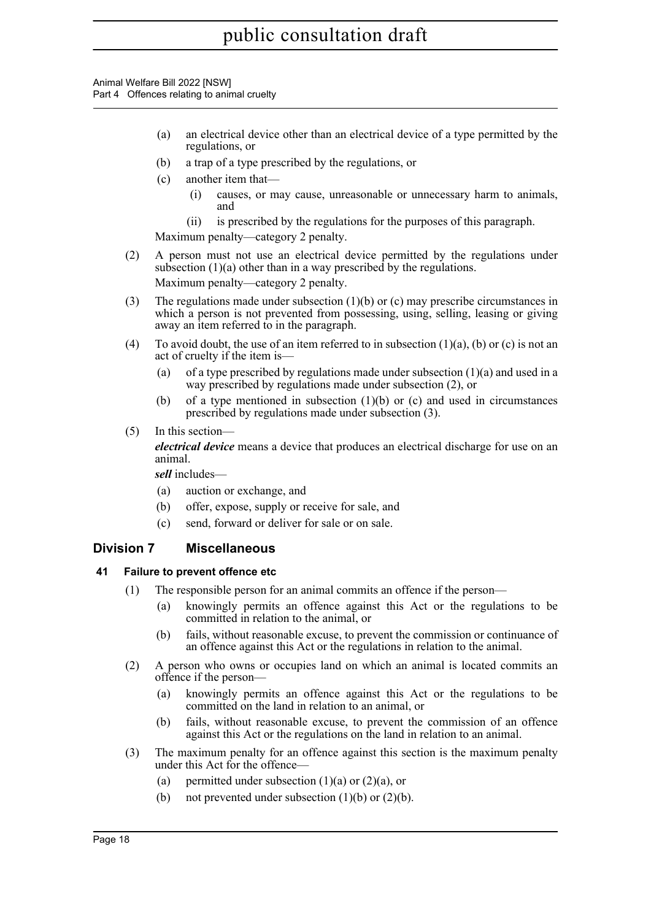Animal Welfare Bill 2022 [NSW] Part 4 Offences relating to animal cruelty

- (a) an electrical device other than an electrical device of a type permitted by the regulations, or
- (b) a trap of a type prescribed by the regulations, or
- (c) another item that—
	- (i) causes, or may cause, unreasonable or unnecessary harm to animals, and
	- (ii) is prescribed by the regulations for the purposes of this paragraph.

Maximum penalty—category 2 penalty.

- (2) A person must not use an electrical device permitted by the regulations under subsection (1)(a) other than in a way prescribed by the regulations. Maximum penalty—category 2 penalty.
- (3) The regulations made under subsection (1)(b) or (c) may prescribe circumstances in which a person is not prevented from possessing, using, selling, leasing or giving away an item referred to in the paragraph.
- (4) To avoid doubt, the use of an item referred to in subsection  $(1)(a)$ , (b) or (c) is not an act of cruelty if the item is—
	- (a) of a type prescribed by regulations made under subsection  $(1)(a)$  and used in a way prescribed by regulations made under subsection (2), or
	- (b) of a type mentioned in subsection  $(1)(b)$  or  $(c)$  and used in circumstances prescribed by regulations made under subsection (3).
- (5) In this section—

*electrical device* means a device that produces an electrical discharge for use on an animal.

*sell* includes—

- (a) auction or exchange, and
- (b) offer, expose, supply or receive for sale, and
- (c) send, forward or deliver for sale or on sale.

## <span id="page-24-0"></span>**Division 7 Miscellaneous**

### <span id="page-24-1"></span>**41 Failure to prevent offence etc**

- (1) The responsible person for an animal commits an offence if the person—
	- (a) knowingly permits an offence against this Act or the regulations to be committed in relation to the animal, or
	- (b) fails, without reasonable excuse, to prevent the commission or continuance of an offence against this Act or the regulations in relation to the animal.
- (2) A person who owns or occupies land on which an animal is located commits an offence if the person—
	- (a) knowingly permits an offence against this Act or the regulations to be committed on the land in relation to an animal, or
	- (b) fails, without reasonable excuse, to prevent the commission of an offence against this Act or the regulations on the land in relation to an animal.
- (3) The maximum penalty for an offence against this section is the maximum penalty under this Act for the offence—
	- (a) permitted under subsection  $(1)(a)$  or  $(2)(a)$ , or
	- (b) not prevented under subsection  $(1)(b)$  or  $(2)(b)$ .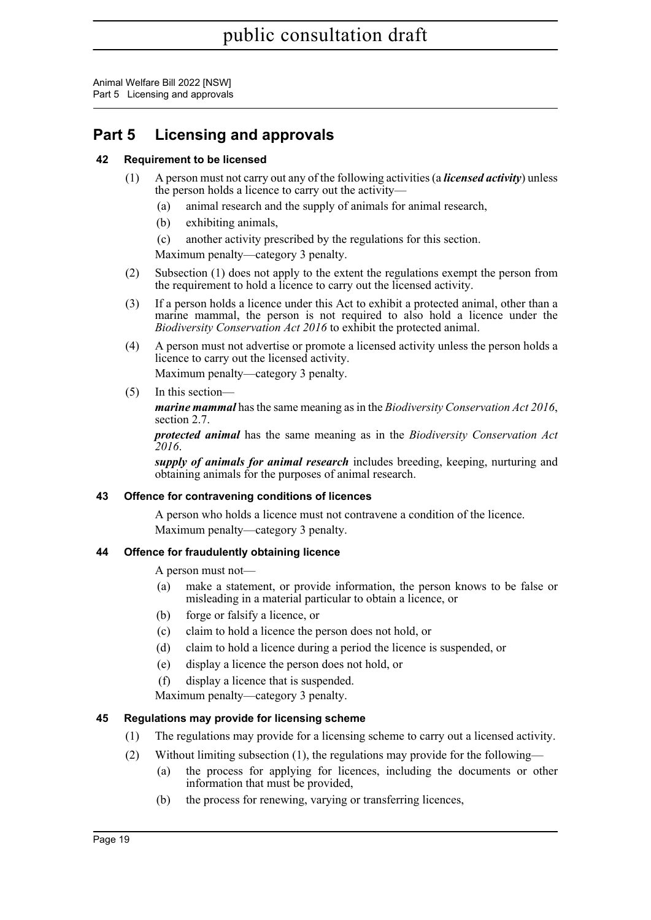Animal Welfare Bill 2022 [NSW] Part 5 Licensing and approvals

## <span id="page-25-0"></span>**Part 5 Licensing and approvals**

## <span id="page-25-1"></span>**42 Requirement to be licensed**

- (1) A person must not carry out any of the following activities (a *licensed activity*) unless the person holds a licence to carry out the activity—
	- (a) animal research and the supply of animals for animal research,
	- (b) exhibiting animals,
	- (c) another activity prescribed by the regulations for this section.

Maximum penalty—category 3 penalty.

- (2) Subsection (1) does not apply to the extent the regulations exempt the person from the requirement to hold a licence to carry out the licensed activity.
- (3) If a person holds a licence under this Act to exhibit a protected animal, other than a marine mammal, the person is not required to also hold a licence under the *Biodiversity Conservation Act 2016* to exhibit the protected animal.
- (4) A person must not advertise or promote a licensed activity unless the person holds a licence to carry out the licensed activity.

Maximum penalty—category 3 penalty.

(5) In this section—

*marine mammal* has the same meaning as in the *Biodiversity Conservation Act 2016*, section 2.7.

*protected animal* has the same meaning as in the *Biodiversity Conservation Act 2016*.

*supply of animals for animal research* includes breeding, keeping, nurturing and obtaining animals for the purposes of animal research.

## <span id="page-25-2"></span>**43 Offence for contravening conditions of licences**

A person who holds a licence must not contravene a condition of the licence. Maximum penalty—category 3 penalty.

## <span id="page-25-3"></span>**44 Offence for fraudulently obtaining licence**

A person must not—

- (a) make a statement, or provide information, the person knows to be false or misleading in a material particular to obtain a licence, or
- (b) forge or falsify a licence, or
- (c) claim to hold a licence the person does not hold, or
- (d) claim to hold a licence during a period the licence is suspended, or
- (e) display a licence the person does not hold, or
- (f) display a licence that is suspended.
- Maximum penalty—category 3 penalty.

## <span id="page-25-4"></span>**45 Regulations may provide for licensing scheme**

- (1) The regulations may provide for a licensing scheme to carry out a licensed activity.
- (2) Without limiting subsection (1), the regulations may provide for the following—
	- (a) the process for applying for licences, including the documents or other information that must be provided,
	- (b) the process for renewing, varying or transferring licences,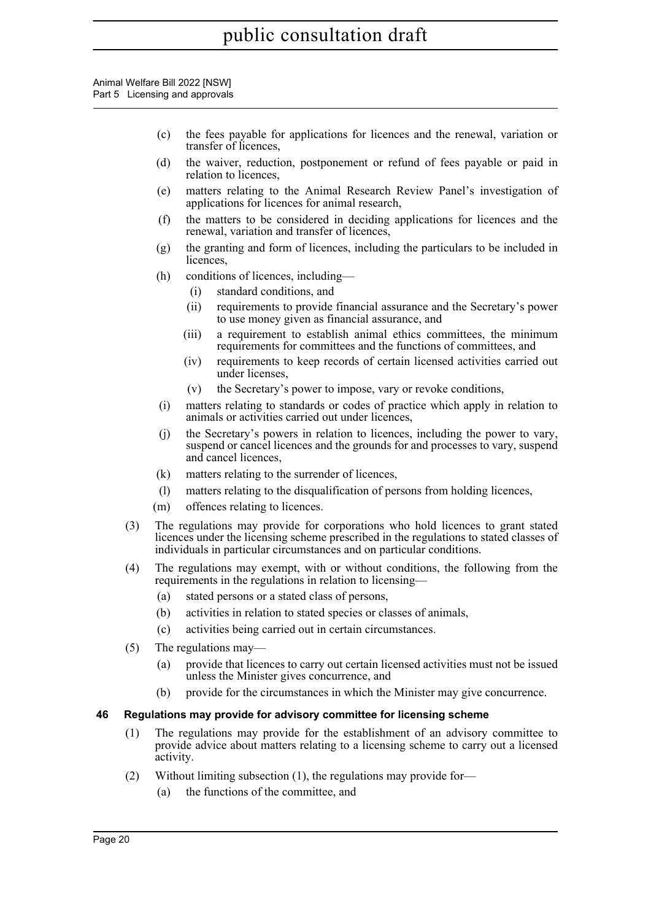Animal Welfare Bill 2022 [NSW] Part 5 Licensing and approvals

- (c) the fees payable for applications for licences and the renewal, variation or transfer of licences,
- (d) the waiver, reduction, postponement or refund of fees payable or paid in relation to licences,
- (e) matters relating to the Animal Research Review Panel's investigation of applications for licences for animal research,
- (f) the matters to be considered in deciding applications for licences and the renewal, variation and transfer of licences,
- (g) the granting and form of licences, including the particulars to be included in licences,
- (h) conditions of licences, including—
	- (i) standard conditions, and
	- (ii) requirements to provide financial assurance and the Secretary's power to use money given as financial assurance, and
	- (iii) a requirement to establish animal ethics committees, the minimum requirements for committees and the functions of committees, and
	- (iv) requirements to keep records of certain licensed activities carried out under licenses,
	- (v) the Secretary's power to impose, vary or revoke conditions,
- (i) matters relating to standards or codes of practice which apply in relation to animals or activities carried out under licences,
- (j) the Secretary's powers in relation to licences, including the power to vary, suspend or cancel licences and the grounds for and processes to vary, suspend and cancel licences,
- (k) matters relating to the surrender of licences,
- (l) matters relating to the disqualification of persons from holding licences,
- (m) offences relating to licences.
- (3) The regulations may provide for corporations who hold licences to grant stated licences under the licensing scheme prescribed in the regulations to stated classes of individuals in particular circumstances and on particular conditions.
- (4) The regulations may exempt, with or without conditions, the following from the requirements in the regulations in relation to licensing—
	- (a) stated persons or a stated class of persons,
	- (b) activities in relation to stated species or classes of animals,
	- (c) activities being carried out in certain circumstances.
- (5) The regulations may—
	- (a) provide that licences to carry out certain licensed activities must not be issued unless the Minister gives concurrence, and
	- (b) provide for the circumstances in which the Minister may give concurrence.

#### <span id="page-26-0"></span>**46 Regulations may provide for advisory committee for licensing scheme**

- (1) The regulations may provide for the establishment of an advisory committee to provide advice about matters relating to a licensing scheme to carry out a licensed activity.
- (2) Without limiting subsection (1), the regulations may provide for—
	- (a) the functions of the committee, and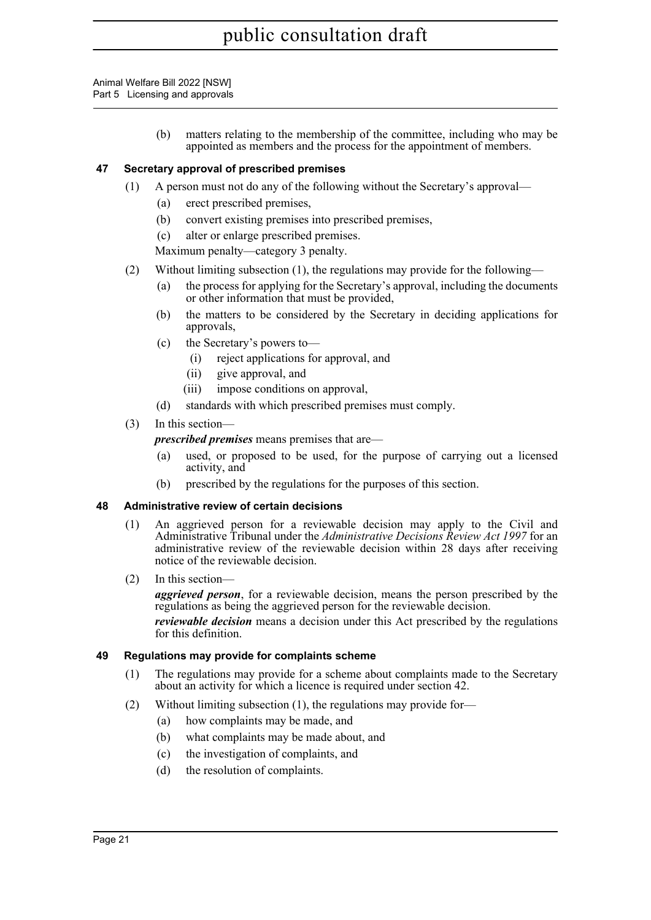Animal Welfare Bill 2022 [NSW] Part 5 Licensing and approvals

> (b) matters relating to the membership of the committee, including who may be appointed as members and the process for the appointment of members.

## <span id="page-27-0"></span>**47 Secretary approval of prescribed premises**

- (1) A person must not do any of the following without the Secretary's approval—
	- (a) erect prescribed premises,
	- (b) convert existing premises into prescribed premises,
	- (c) alter or enlarge prescribed premises.

Maximum penalty—category 3 penalty.

- (2) Without limiting subsection (1), the regulations may provide for the following—
	- (a) the process for applying for the Secretary's approval, including the documents or other information that must be provided,
	- (b) the matters to be considered by the Secretary in deciding applications for approvals,
	- (c) the Secretary's powers to—
		- (i) reject applications for approval, and
		- (ii) give approval, and
		- (iii) impose conditions on approval,
	- (d) standards with which prescribed premises must comply.
- (3) In this section—

*prescribed premises* means premises that are—

- (a) used, or proposed to be used, for the purpose of carrying out a licensed activity, and
- (b) prescribed by the regulations for the purposes of this section.

### <span id="page-27-1"></span>**48 Administrative review of certain decisions**

- (1) An aggrieved person for a reviewable decision may apply to the Civil and Administrative Tribunal under the *Administrative Decisions Review Act 1997* for an administrative review of the reviewable decision within 28 days after receiving notice of the reviewable decision.
- (2) In this section—

*aggrieved person*, for a reviewable decision, means the person prescribed by the regulations as being the aggrieved person for the reviewable decision.

*reviewable decision* means a decision under this Act prescribed by the regulations for this definition.

### <span id="page-27-2"></span>**49 Regulations may provide for complaints scheme**

- (1) The regulations may provide for a scheme about complaints made to the Secretary about an activity for which a licence is required under section 42.
- (2) Without limiting subsection (1), the regulations may provide for—
	- (a) how complaints may be made, and
	- (b) what complaints may be made about, and
	- (c) the investigation of complaints, and
	- (d) the resolution of complaints.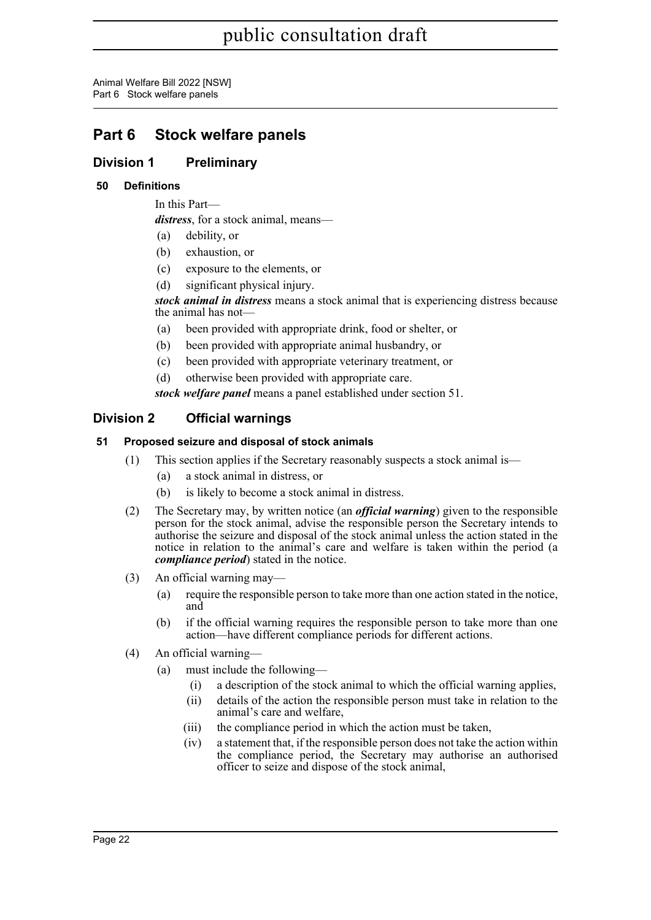## <span id="page-28-0"></span>**Part 6 Stock welfare panels**

## <span id="page-28-1"></span>**Division 1 Preliminary**

## <span id="page-28-2"></span>**50 Definitions**

In this Part—

*distress*, for a stock animal, means—

- (a) debility, or
- (b) exhaustion, or
- (c) exposure to the elements, or
- (d) significant physical injury.

*stock animal in distress* means a stock animal that is experiencing distress because the animal has not—

- (a) been provided with appropriate drink, food or shelter, or
- (b) been provided with appropriate animal husbandry, or
- (c) been provided with appropriate veterinary treatment, or
- (d) otherwise been provided with appropriate care.

*stock welfare panel* means a panel established under section 51.

## <span id="page-28-3"></span>**Division 2 Official warnings**

## <span id="page-28-4"></span>**51 Proposed seizure and disposal of stock animals**

- (1) This section applies if the Secretary reasonably suspects a stock animal is—
	- (a) a stock animal in distress, or
	- (b) is likely to become a stock animal in distress.
- (2) The Secretary may, by written notice (an *official warning*) given to the responsible person for the stock animal, advise the responsible person the Secretary intends to authorise the seizure and disposal of the stock animal unless the action stated in the notice in relation to the animal's care and welfare is taken within the period (a *compliance period*) stated in the notice.
- (3) An official warning may—
	- (a) require the responsible person to take more than one action stated in the notice, and
	- (b) if the official warning requires the responsible person to take more than one action—have different compliance periods for different actions.
- (4) An official warning—
	- (a) must include the following—
		- (i) a description of the stock animal to which the official warning applies,
		- (ii) details of the action the responsible person must take in relation to the animal's care and welfare,
		- (iii) the compliance period in which the action must be taken,
		- (iv) a statement that, if the responsible person does not take the action within the compliance period, the Secretary may authorise an authorised officer to seize and dispose of the stock animal,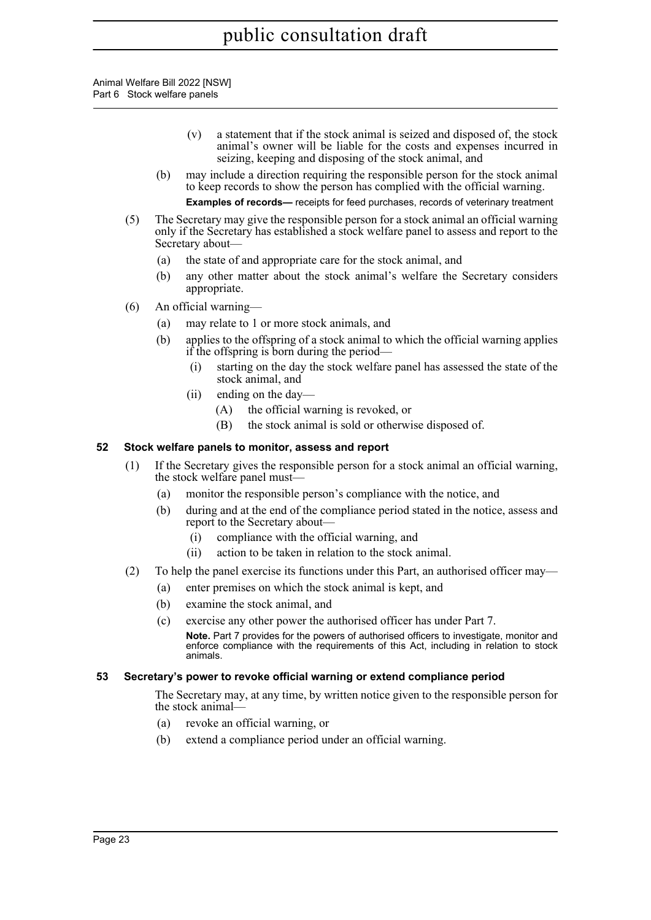- (v) a statement that if the stock animal is seized and disposed of, the stock animal's owner will be liable for the costs and expenses incurred in seizing, keeping and disposing of the stock animal, and
- (b) may include a direction requiring the responsible person for the stock animal to keep records to show the person has complied with the official warning. **Examples of records—** receipts for feed purchases, records of veterinary treatment
- (5) The Secretary may give the responsible person for a stock animal an official warning only if the Secretary has established a stock welfare panel to assess and report to the Secretary about—
	- (a) the state of and appropriate care for the stock animal, and
	- (b) any other matter about the stock animal's welfare the Secretary considers appropriate.
- (6) An official warning—
	- (a) may relate to 1 or more stock animals, and
	- (b) applies to the offspring of a stock animal to which the official warning applies if the offspring is born during the period—
		- (i) starting on the day the stock welfare panel has assessed the state of the stock animal, and
		- (ii) ending on the day—
			- (A) the official warning is revoked, or
			- (B) the stock animal is sold or otherwise disposed of.

## <span id="page-29-0"></span>**52 Stock welfare panels to monitor, assess and report**

- (1) If the Secretary gives the responsible person for a stock animal an official warning, the stock welfare panel must—
	- (a) monitor the responsible person's compliance with the notice, and
	- (b) during and at the end of the compliance period stated in the notice, assess and report to the Secretary about—
		- (i) compliance with the official warning, and
		- (ii) action to be taken in relation to the stock animal.
- (2) To help the panel exercise its functions under this Part, an authorised officer may—
	- (a) enter premises on which the stock animal is kept, and
	- (b) examine the stock animal, and
	- (c) exercise any other power the authorised officer has under Part 7.
		- **Note.** Part 7 provides for the powers of authorised officers to investigate, monitor and enforce compliance with the requirements of this Act, including in relation to stock animals.

### <span id="page-29-1"></span>**53 Secretary's power to revoke official warning or extend compliance period**

The Secretary may, at any time, by written notice given to the responsible person for the stock animal—

- (a) revoke an official warning, or
- (b) extend a compliance period under an official warning.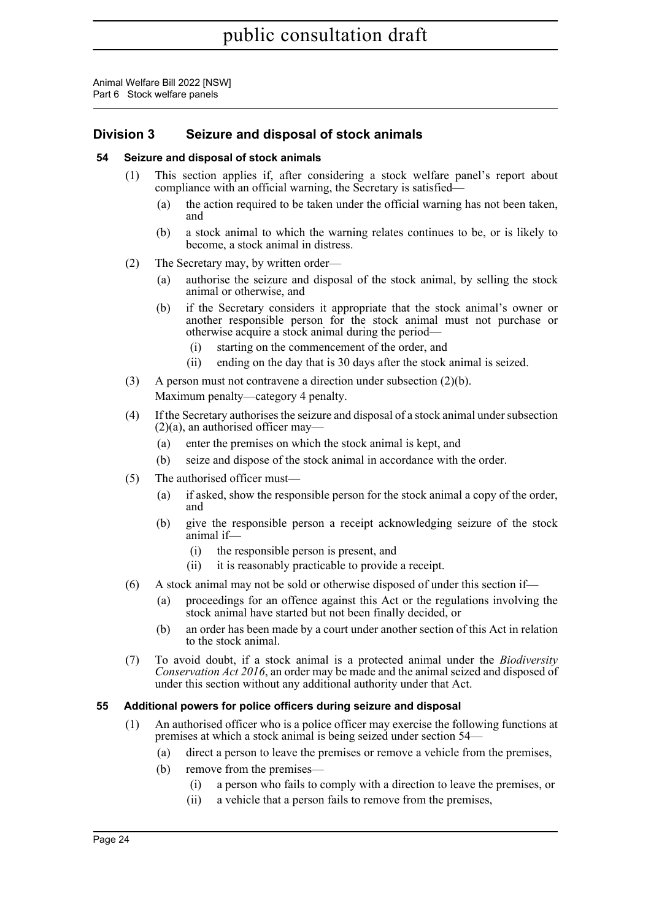## <span id="page-30-0"></span>**Division 3 Seizure and disposal of stock animals**

### <span id="page-30-1"></span>**54 Seizure and disposal of stock animals**

- (1) This section applies if, after considering a stock welfare panel's report about compliance with an official warning, the Secretary is satisfied—
	- (a) the action required to be taken under the official warning has not been taken, and
	- (b) a stock animal to which the warning relates continues to be, or is likely to become, a stock animal in distress.
- (2) The Secretary may, by written order—
	- (a) authorise the seizure and disposal of the stock animal, by selling the stock animal or otherwise, and
	- (b) if the Secretary considers it appropriate that the stock animal's owner or another responsible person for the stock animal must not purchase or otherwise acquire a stock animal during the period—
		- (i) starting on the commencement of the order, and
		- (ii) ending on the day that is 30 days after the stock animal is seized.
- (3) A person must not contravene a direction under subsection (2)(b). Maximum penalty—category 4 penalty.
- (4) If the Secretary authorises the seizure and disposal of a stock animal under subsection  $(2)(a)$ , an authorised officer may-
	- (a) enter the premises on which the stock animal is kept, and
	- (b) seize and dispose of the stock animal in accordance with the order.
- (5) The authorised officer must—
	- (a) if asked, show the responsible person for the stock animal a copy of the order, and
	- (b) give the responsible person a receipt acknowledging seizure of the stock animal if—
		- (i) the responsible person is present, and
		- (ii) it is reasonably practicable to provide a receipt.
- (6) A stock animal may not be sold or otherwise disposed of under this section if—
	- (a) proceedings for an offence against this Act or the regulations involving the stock animal have started but not been finally decided, or
	- (b) an order has been made by a court under another section of this Act in relation to the stock animal.
- (7) To avoid doubt, if a stock animal is a protected animal under the *Biodiversity Conservation Act 2016*, an order may be made and the animal seized and disposed of under this section without any additional authority under that Act.

## <span id="page-30-2"></span>**55 Additional powers for police officers during seizure and disposal**

- (1) An authorised officer who is a police officer may exercise the following functions at premises at which a stock animal is being seized under section 54—
	- (a) direct a person to leave the premises or remove a vehicle from the premises,
	- (b) remove from the premises—
		- (i) a person who fails to comply with a direction to leave the premises, or
		- (ii) a vehicle that a person fails to remove from the premises,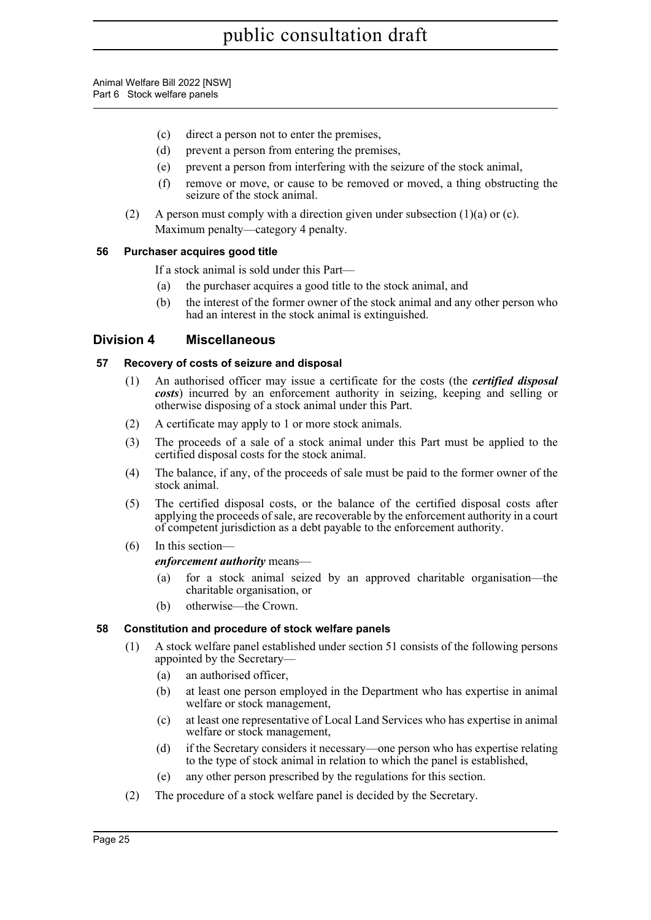- (c) direct a person not to enter the premises,
- (d) prevent a person from entering the premises,
- (e) prevent a person from interfering with the seizure of the stock animal,
- (f) remove or move, or cause to be removed or moved, a thing obstructing the seizure of the stock animal.
- (2) A person must comply with a direction given under subsection  $(1)(a)$  or  $(c)$ . Maximum penalty—category 4 penalty.

## <span id="page-31-0"></span>**56 Purchaser acquires good title**

If a stock animal is sold under this Part—

- (a) the purchaser acquires a good title to the stock animal, and
- (b) the interest of the former owner of the stock animal and any other person who had an interest in the stock animal is extinguished.

## <span id="page-31-1"></span>**Division 4 Miscellaneous**

## <span id="page-31-2"></span>**57 Recovery of costs of seizure and disposal**

- (1) An authorised officer may issue a certificate for the costs (the *certified disposal costs*) incurred by an enforcement authority in seizing, keeping and selling or otherwise disposing of a stock animal under this Part.
- (2) A certificate may apply to 1 or more stock animals.
- (3) The proceeds of a sale of a stock animal under this Part must be applied to the certified disposal costs for the stock animal.
- (4) The balance, if any, of the proceeds of sale must be paid to the former owner of the stock animal.
- (5) The certified disposal costs, or the balance of the certified disposal costs after applying the proceeds of sale, are recoverable by the enforcement authority in a court of competent jurisdiction as a debt payable to the enforcement authority.
- (6) In this section—

### *enforcement authority* means—

- (a) for a stock animal seized by an approved charitable organisation—the charitable organisation, or
- (b) otherwise—the Crown.

### <span id="page-31-3"></span>**58 Constitution and procedure of stock welfare panels**

- (1) A stock welfare panel established under section 51 consists of the following persons appointed by the Secretary—
	- (a) an authorised officer,
	- (b) at least one person employed in the Department who has expertise in animal welfare or stock management,
	- (c) at least one representative of Local Land Services who has expertise in animal welfare or stock management,
	- (d) if the Secretary considers it necessary—one person who has expertise relating to the type of stock animal in relation to which the panel is established,
	- (e) any other person prescribed by the regulations for this section.
- (2) The procedure of a stock welfare panel is decided by the Secretary.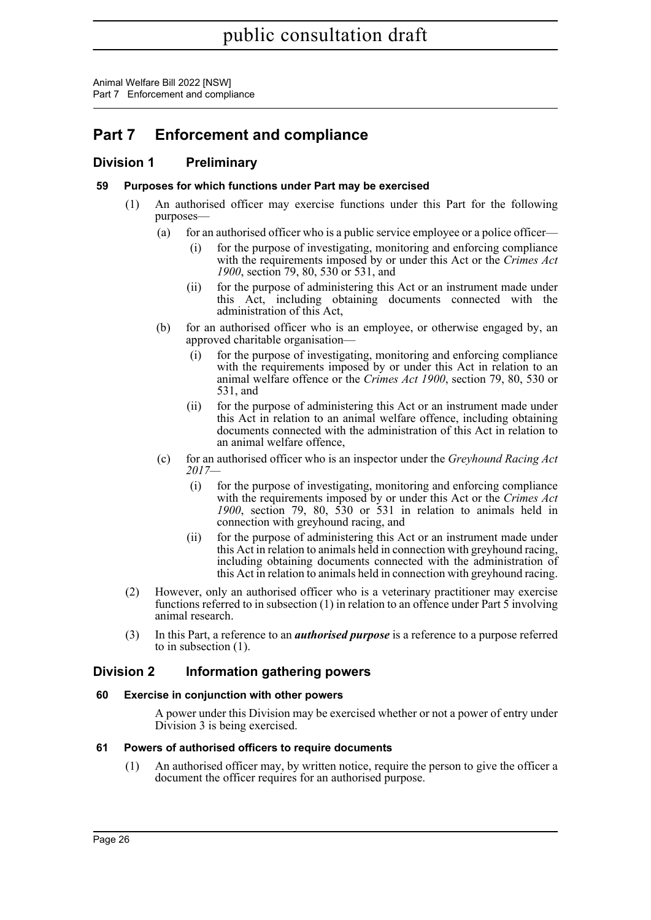Animal Welfare Bill 2022 [NSW] Part 7 Enforcement and compliance

## <span id="page-32-0"></span>**Part 7 Enforcement and compliance**

## <span id="page-32-1"></span>**Division 1 Preliminary**

### <span id="page-32-2"></span>**59 Purposes for which functions under Part may be exercised**

- (1) An authorised officer may exercise functions under this Part for the following purposes—
	- (a) for an authorised officer who is a public service employee or a police officer—
		- (i) for the purpose of investigating, monitoring and enforcing compliance with the requirements imposed by or under this Act or the *Crimes Act 1900*, section 79, 80, 530 or 531, and
		- (ii) for the purpose of administering this Act or an instrument made under this Act, including obtaining documents connected with the administration of this Act,
	- (b) for an authorised officer who is an employee, or otherwise engaged by, an approved charitable organisation—
		- (i) for the purpose of investigating, monitoring and enforcing compliance with the requirements imposed by or under this Act in relation to an animal welfare offence or the *Crimes Act 1900*, section 79, 80, 530 or 531, and
		- (ii) for the purpose of administering this Act or an instrument made under this Act in relation to an animal welfare offence, including obtaining documents connected with the administration of this Act in relation to an animal welfare offence,
	- (c) for an authorised officer who is an inspector under the *Greyhound Racing Act 2017—*
		- (i) for the purpose of investigating, monitoring and enforcing compliance with the requirements imposed by or under this Act or the *Crimes Act 1900*, section 79, 80, 530 or 531 in relation to animals held in connection with greyhound racing, and
		- (ii) for the purpose of administering this Act or an instrument made under this Act in relation to animals held in connection with greyhound racing, including obtaining documents connected with the administration of this Act in relation to animals held in connection with greyhound racing.
- (2) However, only an authorised officer who is a veterinary practitioner may exercise functions referred to in subsection (1) in relation to an offence under Part 5 involving animal research.
- (3) In this Part, a reference to an *authorised purpose* is a reference to a purpose referred to in subsection (1).

## <span id="page-32-3"></span>**Division 2 Information gathering powers**

### <span id="page-32-4"></span>**60 Exercise in conjunction with other powers**

A power under this Division may be exercised whether or not a power of entry under Division 3 is being exercised.

### <span id="page-32-5"></span>**61 Powers of authorised officers to require documents**

(1) An authorised officer may, by written notice, require the person to give the officer a document the officer requires for an authorised purpose.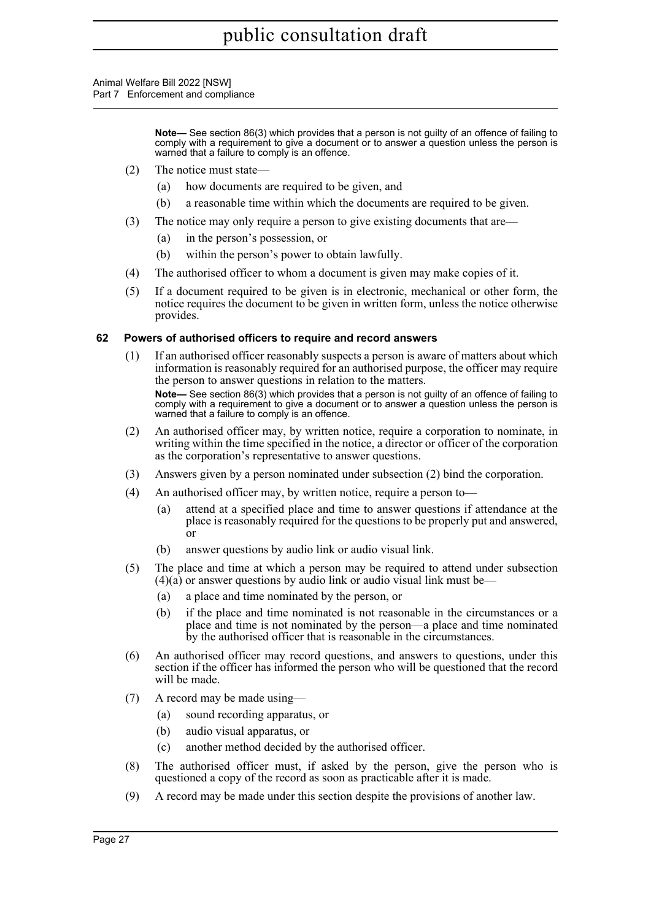Animal Welfare Bill 2022 [NSW] Part 7 Enforcement and compliance

> **Note—** See section 86(3) which provides that a person is not guilty of an offence of failing to comply with a requirement to give a document or to answer a question unless the person is warned that a failure to comply is an offence.

- (2) The notice must state—
	- (a) how documents are required to be given, and
	- (b) a reasonable time within which the documents are required to be given.
- (3) The notice may only require a person to give existing documents that are—
	- (a) in the person's possession, or
	- (b) within the person's power to obtain lawfully.
- (4) The authorised officer to whom a document is given may make copies of it.
- (5) If a document required to be given is in electronic, mechanical or other form, the notice requires the document to be given in written form, unless the notice otherwise provides.

#### <span id="page-33-0"></span>**62 Powers of authorised officers to require and record answers**

(1) If an authorised officer reasonably suspects a person is aware of matters about which information is reasonably required for an authorised purpose, the officer may require the person to answer questions in relation to the matters. **Note—** See section 86(3) which provides that a person is not guilty of an offence of failing to

comply with a requirement to give a document or to answer a question unless the person is warned that a failure to comply is an offence.

- (2) An authorised officer may, by written notice, require a corporation to nominate, in writing within the time specified in the notice, a director or officer of the corporation as the corporation's representative to answer questions.
- (3) Answers given by a person nominated under subsection (2) bind the corporation.
- (4) An authorised officer may, by written notice, require a person to—
	- (a) attend at a specified place and time to answer questions if attendance at the place is reasonably required for the questions to be properly put and answered, or
	- (b) answer questions by audio link or audio visual link.
- (5) The place and time at which a person may be required to attend under subsection  $(4)(a)$  or answer questions by audio link or audio visual link must be—
	- (a) a place and time nominated by the person, or
	- (b) if the place and time nominated is not reasonable in the circumstances or a place and time is not nominated by the person—a place and time nominated by the authorised officer that is reasonable in the circumstances.
- (6) An authorised officer may record questions, and answers to questions, under this section if the officer has informed the person who will be questioned that the record will be made.
- (7) A record may be made using—
	- (a) sound recording apparatus, or
	- (b) audio visual apparatus, or
	- (c) another method decided by the authorised officer.
- (8) The authorised officer must, if asked by the person, give the person who is questioned a copy of the record as soon as practicable after it is made.
- (9) A record may be made under this section despite the provisions of another law.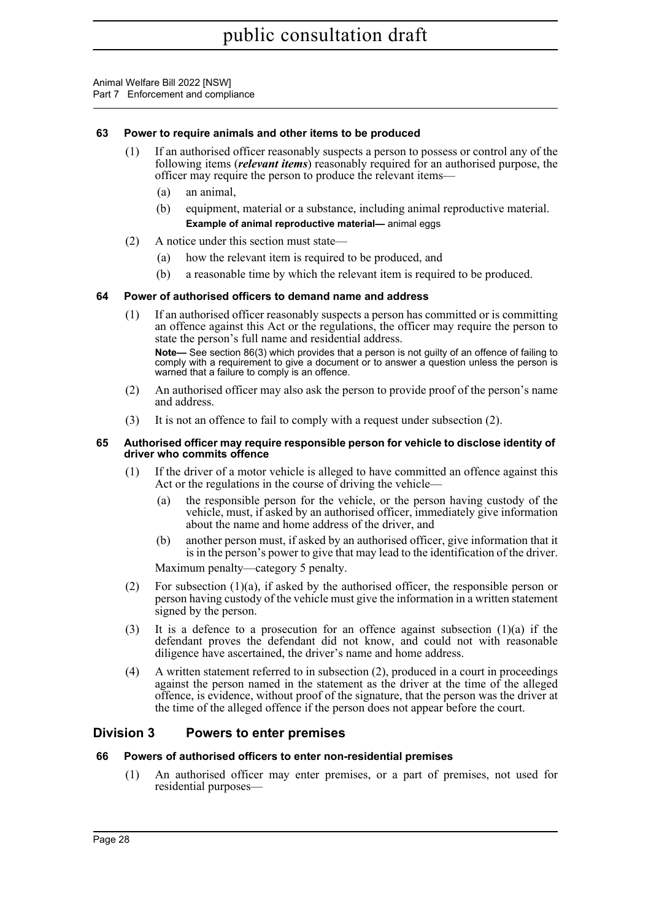Animal Welfare Bill 2022 [NSW] Part 7 Enforcement and compliance

### <span id="page-34-0"></span>**63 Power to require animals and other items to be produced**

- (1) If an authorised officer reasonably suspects a person to possess or control any of the following items (*relevant items*) reasonably required for an authorised purpose, the officer may require the person to produce the relevant items—
	- (a) an animal,
	- (b) equipment, material or a substance, including animal reproductive material. **Example of animal reproductive material—** animal eggs
- (2) A notice under this section must state—
	- (a) how the relevant item is required to be produced, and
	- (b) a reasonable time by which the relevant item is required to be produced.

## <span id="page-34-1"></span>**64 Power of authorised officers to demand name and address**

(1) If an authorised officer reasonably suspects a person has committed or is committing an offence against this Act or the regulations, the officer may require the person to state the person's full name and residential address.

**Note—** See section 86(3) which provides that a person is not guilty of an offence of failing to comply with a requirement to give a document or to answer a question unless the person is warned that a failure to comply is an offence.

- (2) An authorised officer may also ask the person to provide proof of the person's name and address.
- (3) It is not an offence to fail to comply with a request under subsection (2).

#### <span id="page-34-2"></span>**65 Authorised officer may require responsible person for vehicle to disclose identity of driver who commits offence**

- (1) If the driver of a motor vehicle is alleged to have committed an offence against this Act or the regulations in the course of driving the vehicle—
	- (a) the responsible person for the vehicle, or the person having custody of the vehicle, must, if asked by an authorised officer, immediately give information about the name and home address of the driver, and
	- (b) another person must, if asked by an authorised officer, give information that it is in the person's power to give that may lead to the identification of the driver.

Maximum penalty—category 5 penalty.

- (2) For subsection (1)(a), if asked by the authorised officer, the responsible person or person having custody of the vehicle must give the information in a written statement signed by the person.
- (3) It is a defence to a prosecution for an offence against subsection  $(1)(a)$  if the defendant proves the defendant did not know, and could not with reasonable diligence have ascertained, the driver's name and home address.
- (4) A written statement referred to in subsection (2), produced in a court in proceedings against the person named in the statement as the driver at the time of the alleged offence, is evidence, without proof of the signature, that the person was the driver at the time of the alleged offence if the person does not appear before the court.

## <span id="page-34-3"></span>**Division 3 Powers to enter premises**

### <span id="page-34-4"></span>**66 Powers of authorised officers to enter non-residential premises**

(1) An authorised officer may enter premises, or a part of premises, not used for residential purposes—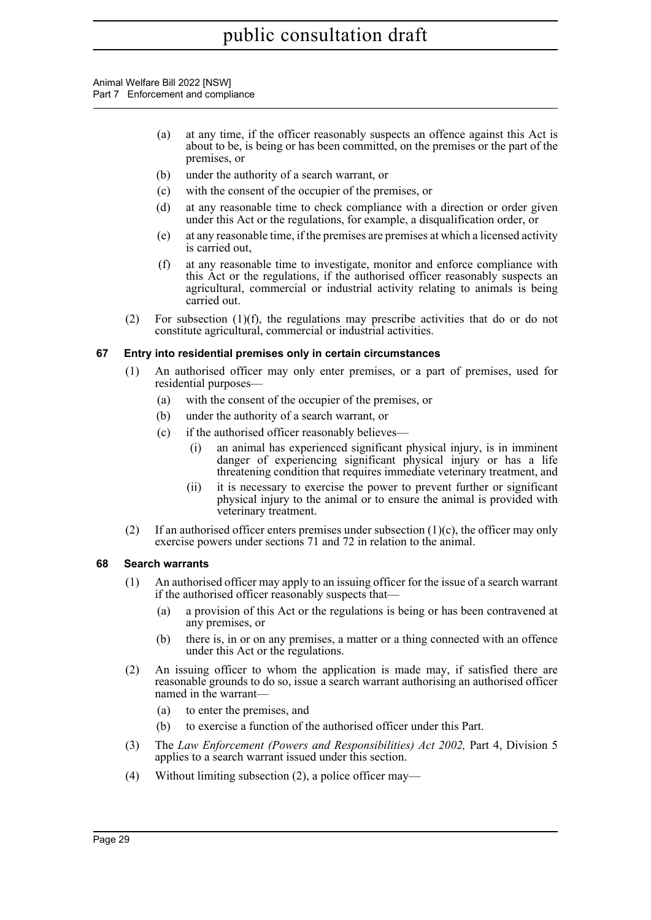Animal Welfare Bill 2022 [NSW] Part 7 Enforcement and compliance

- (a) at any time, if the officer reasonably suspects an offence against this Act is about to be, is being or has been committed, on the premises or the part of the premises, or
- (b) under the authority of a search warrant, or
- (c) with the consent of the occupier of the premises, or
- (d) at any reasonable time to check compliance with a direction or order given under this Act or the regulations, for example, a disqualification order, or
- (e) at any reasonable time, if the premises are premises at which a licensed activity is carried out,
- (f) at any reasonable time to investigate, monitor and enforce compliance with this Act or the regulations, if the authorised officer reasonably suspects an agricultural, commercial or industrial activity relating to animals is being carried out.
- (2) For subsection  $(1)(f)$ , the regulations may prescribe activities that do or do not constitute agricultural, commercial or industrial activities.

#### <span id="page-35-0"></span>**67 Entry into residential premises only in certain circumstances**

- (1) An authorised officer may only enter premises, or a part of premises, used for residential purposes—
	- (a) with the consent of the occupier of the premises, or
	- (b) under the authority of a search warrant, or
	- (c) if the authorised officer reasonably believes—
		- (i) an animal has experienced significant physical injury, is in imminent danger of experiencing significant physical injury or has a life threatening condition that requires immediate veterinary treatment, and
		- (ii) it is necessary to exercise the power to prevent further or significant physical injury to the animal or to ensure the animal is provided with veterinary treatment.
- (2) If an authorised officer enters premises under subsection  $(1)(c)$ , the officer may only exercise powers under sections 71 and 72 in relation to the animal.

#### <span id="page-35-1"></span>**68 Search warrants**

- (1) An authorised officer may apply to an issuing officer for the issue of a search warrant if the authorised officer reasonably suspects that—
	- (a) a provision of this Act or the regulations is being or has been contravened at any premises, or
	- (b) there is, in or on any premises, a matter or a thing connected with an offence under this Act or the regulations.
- (2) An issuing officer to whom the application is made may, if satisfied there are reasonable grounds to do so, issue a search warrant authorising an authorised officer named in the warrant—
	- (a) to enter the premises, and
	- (b) to exercise a function of the authorised officer under this Part.
- (3) The *Law Enforcement (Powers and Responsibilities) Act 2002,* Part 4, Division 5 applies to a search warrant issued under this section.
- (4) Without limiting subsection (2), a police officer may—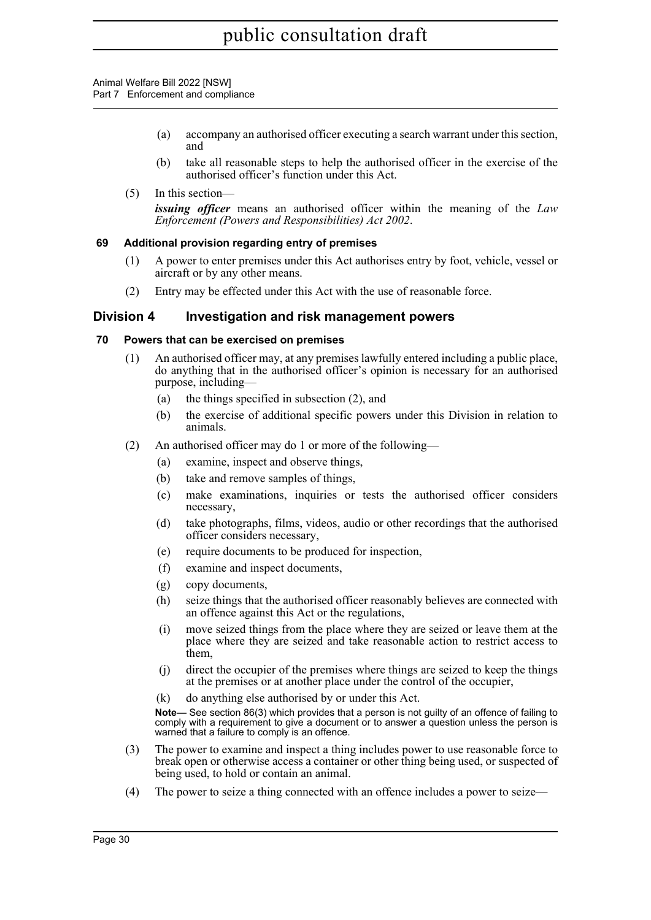- (a) accompany an authorised officer executing a search warrant under this section, and
- (b) take all reasonable steps to help the authorised officer in the exercise of the authorised officer's function under this Act.
- (5) In this section—

*issuing officer* means an authorised officer within the meaning of the *Law Enforcement (Powers and Responsibilities) Act 2002*.

## **69 Additional provision regarding entry of premises**

- (1) A power to enter premises under this Act authorises entry by foot, vehicle, vessel or aircraft or by any other means.
- (2) Entry may be effected under this Act with the use of reasonable force.

## **Division 4 Investigation and risk management powers**

## **70 Powers that can be exercised on premises**

- (1) An authorised officer may, at any premises lawfully entered including a public place, do anything that in the authorised officer's opinion is necessary for an authorised purpose, including—
	- (a) the things specified in subsection (2), and
	- (b) the exercise of additional specific powers under this Division in relation to animals.
- (2) An authorised officer may do 1 or more of the following—
	- (a) examine, inspect and observe things,
	- (b) take and remove samples of things,
	- (c) make examinations, inquiries or tests the authorised officer considers necessary,
	- (d) take photographs, films, videos, audio or other recordings that the authorised officer considers necessary,
	- (e) require documents to be produced for inspection,
	- (f) examine and inspect documents,
	- (g) copy documents,
	- (h) seize things that the authorised officer reasonably believes are connected with an offence against this Act or the regulations,
	- (i) move seized things from the place where they are seized or leave them at the place where they are seized and take reasonable action to restrict access to them,
	- (j) direct the occupier of the premises where things are seized to keep the things at the premises or at another place under the control of the occupier,
	- (k) do anything else authorised by or under this Act.

**Note—** See section 86(3) which provides that a person is not guilty of an offence of failing to comply with a requirement to give a document or to answer a question unless the person is warned that a failure to comply is an offence.

- (3) The power to examine and inspect a thing includes power to use reasonable force to break open or otherwise access a container or other thing being used, or suspected of being used, to hold or contain an animal.
- (4) The power to seize a thing connected with an offence includes a power to seize—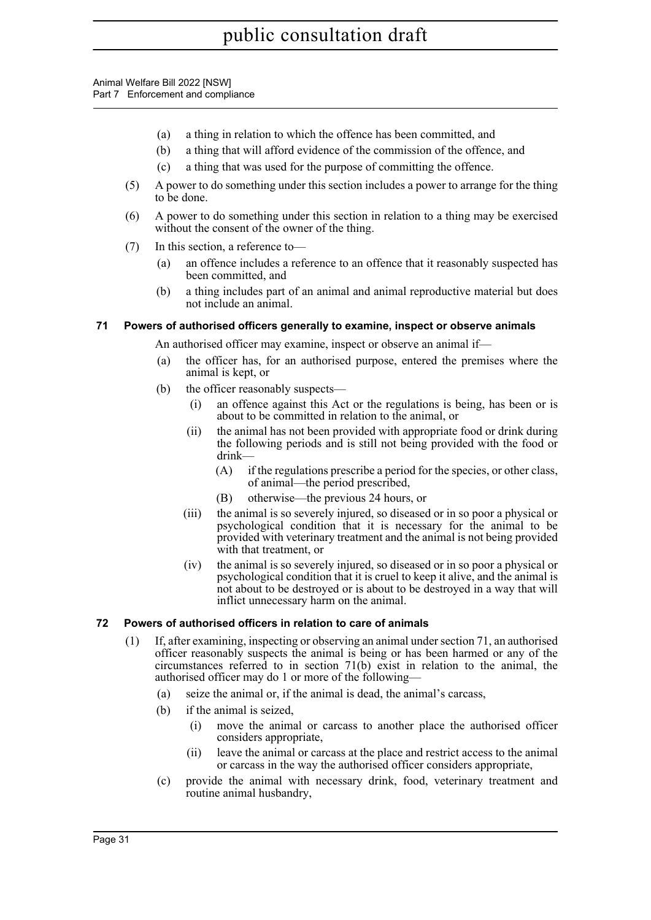Animal Welfare Bill 2022 [NSW] Part 7 Enforcement and compliance

- (a) a thing in relation to which the offence has been committed, and
- (b) a thing that will afford evidence of the commission of the offence, and
- (c) a thing that was used for the purpose of committing the offence.
- (5) A power to do something under this section includes a power to arrange for the thing to be done.
- (6) A power to do something under this section in relation to a thing may be exercised without the consent of the owner of the thing.
- (7) In this section, a reference to—
	- (a) an offence includes a reference to an offence that it reasonably suspected has been committed, and
	- (b) a thing includes part of an animal and animal reproductive material but does not include an animal.

#### **71 Powers of authorised officers generally to examine, inspect or observe animals**

An authorised officer may examine, inspect or observe an animal if—

- (a) the officer has, for an authorised purpose, entered the premises where the animal is kept, or
- (b) the officer reasonably suspects—
	- (i) an offence against this Act or the regulations is being, has been or is about to be committed in relation to the animal, or
	- (ii) the animal has not been provided with appropriate food or drink during the following periods and is still not being provided with the food or drink—
		- (A) if the regulations prescribe a period for the species, or other class, of animal—the period prescribed,
		- (B) otherwise—the previous 24 hours, or
	- (iii) the animal is so severely injured, so diseased or in so poor a physical or psychological condition that it is necessary for the animal to be provided with veterinary treatment and the animal is not being provided with that treatment, or
	- (iv) the animal is so severely injured, so diseased or in so poor a physical or psychological condition that it is cruel to keep it alive, and the animal is not about to be destroyed or is about to be destroyed in a way that will inflict unnecessary harm on the animal.

#### **72 Powers of authorised officers in relation to care of animals**

- (1) If, after examining, inspecting or observing an animal under section 71, an authorised officer reasonably suspects the animal is being or has been harmed or any of the circumstances referred to in section 71(b) exist in relation to the animal, the authorised officer may do 1 or more of the following—
	- (a) seize the animal or, if the animal is dead, the animal's carcass,
	- (b) if the animal is seized,
		- (i) move the animal or carcass to another place the authorised officer considers appropriate,
		- (ii) leave the animal or carcass at the place and restrict access to the animal or carcass in the way the authorised officer considers appropriate,
	- (c) provide the animal with necessary drink, food, veterinary treatment and routine animal husbandry,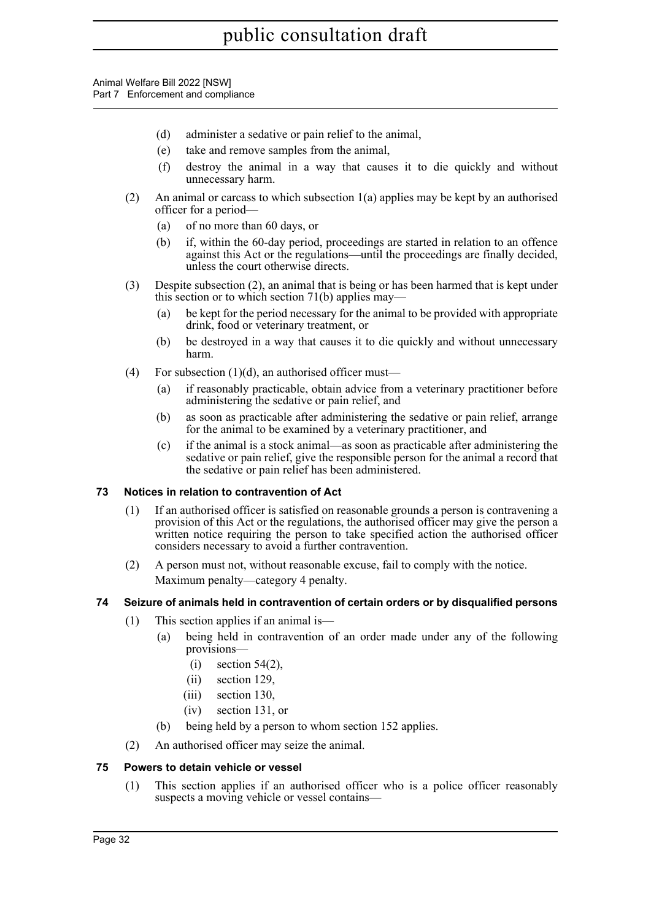Animal Welfare Bill 2022 [NSW] Part 7 Enforcement and compliance

- (d) administer a sedative or pain relief to the animal,
- (e) take and remove samples from the animal,
- (f) destroy the animal in a way that causes it to die quickly and without unnecessary harm.
- (2) An animal or carcass to which subsection 1(a) applies may be kept by an authorised officer for a period—
	- (a) of no more than 60 days, or
	- (b) if, within the 60-day period, proceedings are started in relation to an offence against this Act or the regulations—until the proceedings are finally decided, unless the court otherwise directs.
- (3) Despite subsection (2), an animal that is being or has been harmed that is kept under this section or to which section 71(b) applies may—
	- (a) be kept for the period necessary for the animal to be provided with appropriate drink, food or veterinary treatment, or
	- (b) be destroyed in a way that causes it to die quickly and without unnecessary harm.
- (4) For subsection  $(1)(d)$ , an authorised officer must—
	- (a) if reasonably practicable, obtain advice from a veterinary practitioner before administering the sedative or pain relief, and
	- (b) as soon as practicable after administering the sedative or pain relief, arrange for the animal to be examined by a veterinary practitioner, and
	- (c) if the animal is a stock animal—as soon as practicable after administering the sedative or pain relief, give the responsible person for the animal a record that the sedative or pain relief has been administered.

#### **73 Notices in relation to contravention of Act**

- (1) If an authorised officer is satisfied on reasonable grounds a person is contravening a provision of this Act or the regulations, the authorised officer may give the person a written notice requiring the person to take specified action the authorised officer considers necessary to avoid a further contravention.
- (2) A person must not, without reasonable excuse, fail to comply with the notice. Maximum penalty—category 4 penalty.

#### **74 Seizure of animals held in contravention of certain orders or by disqualified persons**

- (1) This section applies if an animal is—
	- (a) being held in contravention of an order made under any of the following provisions—
		- $(i)$  section 54(2),
		- (ii) section 129,
		- (iii) section 130,
		- (iv) section 131, or
	- (b) being held by a person to whom section 152 applies.
- (2) An authorised officer may seize the animal.

#### **75 Powers to detain vehicle or vessel**

(1) This section applies if an authorised officer who is a police officer reasonably suspects a moving vehicle or vessel contains—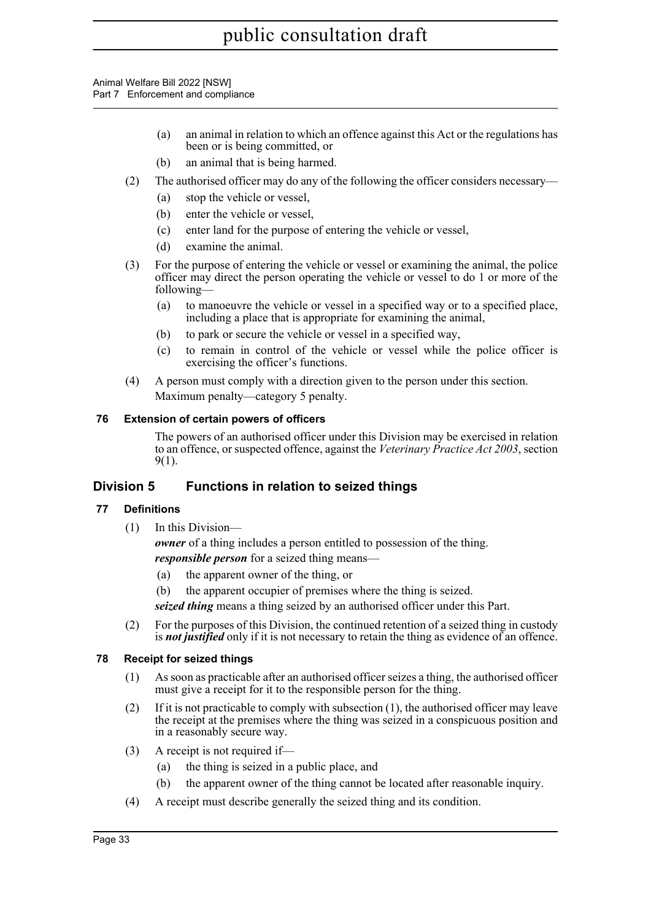Animal Welfare Bill 2022 [NSW] Part 7 Enforcement and compliance

- (a) an animal in relation to which an offence against this Act or the regulations has been or is being committed, or
- (b) an animal that is being harmed.
- (2) The authorised officer may do any of the following the officer considers necessary—
	- (a) stop the vehicle or vessel,
	- (b) enter the vehicle or vessel,
	- (c) enter land for the purpose of entering the vehicle or vessel,
	- (d) examine the animal.
- (3) For the purpose of entering the vehicle or vessel or examining the animal, the police officer may direct the person operating the vehicle or vessel to do 1 or more of the following—
	- (a) to manoeuvre the vehicle or vessel in a specified way or to a specified place, including a place that is appropriate for examining the animal,
	- (b) to park or secure the vehicle or vessel in a specified way,
	- (c) to remain in control of the vehicle or vessel while the police officer is exercising the officer's functions.
- (4) A person must comply with a direction given to the person under this section. Maximum penalty—category 5 penalty.

## **76 Extension of certain powers of officers**

The powers of an authorised officer under this Division may be exercised in relation to an offence, or suspected offence, against the *Veterinary Practice Act 2003*, section 9(1).

## **Division 5 Functions in relation to seized things**

#### **77 Definitions**

(1) In this Division—

*owner* of a thing includes a person entitled to possession of the thing. *responsible person* for a seized thing means—

- (a) the apparent owner of the thing, or
- (b) the apparent occupier of premises where the thing is seized.

*seized thing* means a thing seized by an authorised officer under this Part.

(2) For the purposes of this Division, the continued retention of a seized thing in custody is *not justified* only if it is not necessary to retain the thing as evidence of an offence.

#### **78 Receipt for seized things**

- (1) As soon as practicable after an authorised officer seizes a thing, the authorised officer must give a receipt for it to the responsible person for the thing.
- (2) If it is not practicable to comply with subsection  $(1)$ , the authorised officer may leave the receipt at the premises where the thing was seized in a conspicuous position and in a reasonably secure way.
- (3) A receipt is not required if—
	- (a) the thing is seized in a public place, and
	- (b) the apparent owner of the thing cannot be located after reasonable inquiry.
- (4) A receipt must describe generally the seized thing and its condition.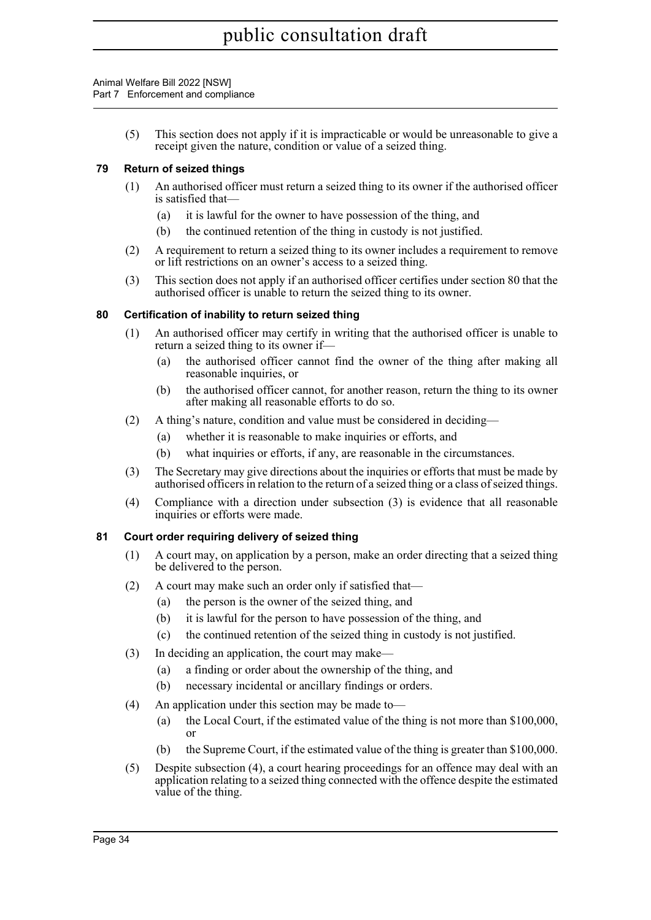> (5) This section does not apply if it is impracticable or would be unreasonable to give a receipt given the nature, condition or value of a seized thing.

## **79 Return of seized things**

- (1) An authorised officer must return a seized thing to its owner if the authorised officer is satisfied that—
	- (a) it is lawful for the owner to have possession of the thing, and
	- (b) the continued retention of the thing in custody is not justified.
- (2) A requirement to return a seized thing to its owner includes a requirement to remove or lift restrictions on an owner's access to a seized thing.
- (3) This section does not apply if an authorised officer certifies under section 80 that the authorised officer is unable to return the seized thing to its owner.

## **80 Certification of inability to return seized thing**

- (1) An authorised officer may certify in writing that the authorised officer is unable to return a seized thing to its owner if—
	- (a) the authorised officer cannot find the owner of the thing after making all reasonable inquiries, or
	- (b) the authorised officer cannot, for another reason, return the thing to its owner after making all reasonable efforts to do so.
- (2) A thing's nature, condition and value must be considered in deciding—
	- (a) whether it is reasonable to make inquiries or efforts, and
	- (b) what inquiries or efforts, if any, are reasonable in the circumstances.
- (3) The Secretary may give directions about the inquiries or efforts that must be made by authorised officers in relation to the return of a seized thing or a class of seized things.
- (4) Compliance with a direction under subsection (3) is evidence that all reasonable inquiries or efforts were made.

#### **81 Court order requiring delivery of seized thing**

- (1) A court may, on application by a person, make an order directing that a seized thing be delivered to the person.
- (2) A court may make such an order only if satisfied that—
	- (a) the person is the owner of the seized thing, and
	- (b) it is lawful for the person to have possession of the thing, and
	- (c) the continued retention of the seized thing in custody is not justified.
- (3) In deciding an application, the court may make—
	- (a) a finding or order about the ownership of the thing, and
	- (b) necessary incidental or ancillary findings or orders.
- (4) An application under this section may be made to—
	- (a) the Local Court, if the estimated value of the thing is not more than \$100,000, or
	- (b) the Supreme Court, if the estimated value of the thing is greater than \$100,000.
- (5) Despite subsection (4), a court hearing proceedings for an offence may deal with an application relating to a seized thing connected with the offence despite the estimated value of the thing.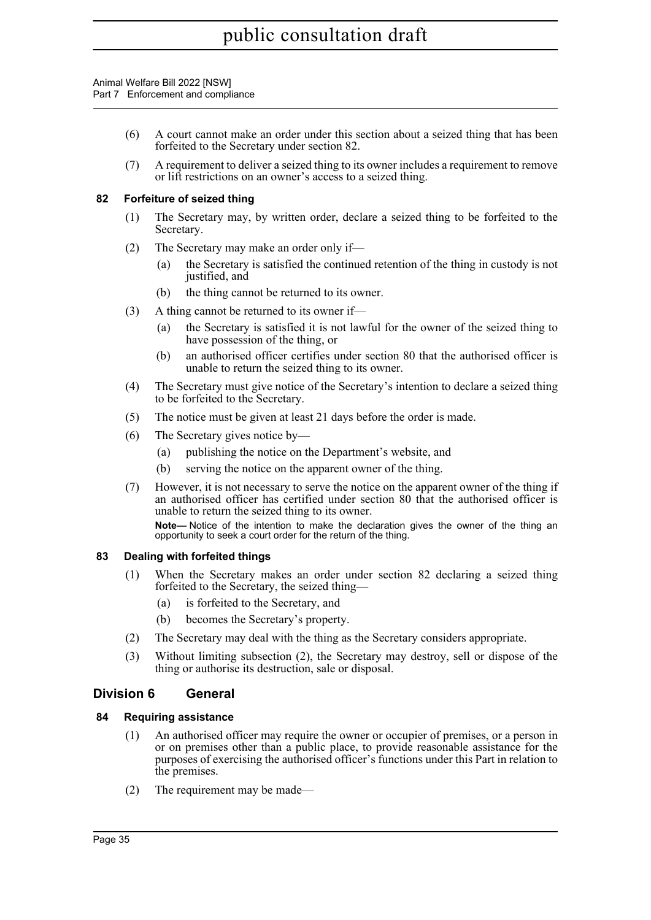- (6) A court cannot make an order under this section about a seized thing that has been forfeited to the Secretary under section 82.
- (7) A requirement to deliver a seized thing to its owner includes a requirement to remove or lift restrictions on an owner's access to a seized thing.

## **82 Forfeiture of seized thing**

- (1) The Secretary may, by written order, declare a seized thing to be forfeited to the Secretary.
- (2) The Secretary may make an order only if—
	- (a) the Secretary is satisfied the continued retention of the thing in custody is not justified, and
	- (b) the thing cannot be returned to its owner.
- (3) A thing cannot be returned to its owner if—
	- (a) the Secretary is satisfied it is not lawful for the owner of the seized thing to have possession of the thing, or
	- (b) an authorised officer certifies under section 80 that the authorised officer is unable to return the seized thing to its owner.
- (4) The Secretary must give notice of the Secretary's intention to declare a seized thing to be forfeited to the Secretary.
- (5) The notice must be given at least 21 days before the order is made.
- (6) The Secretary gives notice by—
	- (a) publishing the notice on the Department's website, and
	- (b) serving the notice on the apparent owner of the thing.
- (7) However, it is not necessary to serve the notice on the apparent owner of the thing if an authorised officer has certified under section 80 that the authorised officer is unable to return the seized thing to its owner.

**Note—** Notice of the intention to make the declaration gives the owner of the thing an opportunity to seek a court order for the return of the thing.

#### **83 Dealing with forfeited things**

- (1) When the Secretary makes an order under section 82 declaring a seized thing forfeited to the Secretary, the seized thing—
	- (a) is forfeited to the Secretary, and
	- (b) becomes the Secretary's property.
- (2) The Secretary may deal with the thing as the Secretary considers appropriate.
- (3) Without limiting subsection (2), the Secretary may destroy, sell or dispose of the thing or authorise its destruction, sale or disposal.

## **Division 6 General**

## **84 Requiring assistance**

- (1) An authorised officer may require the owner or occupier of premises, or a person in or on premises other than a public place, to provide reasonable assistance for the purposes of exercising the authorised officer's functions under this Part in relation to the premises.
- (2) The requirement may be made—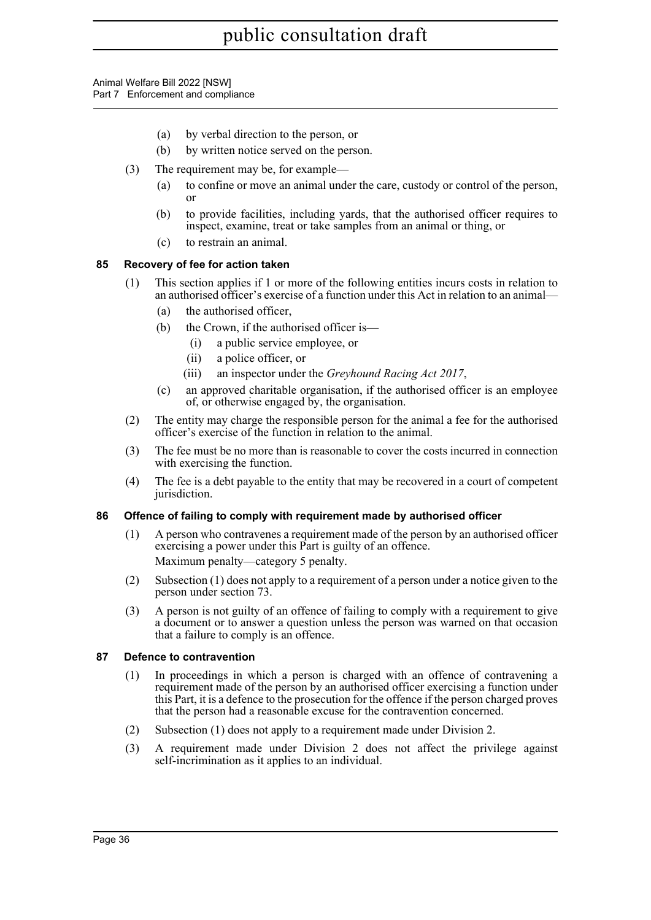- (a) by verbal direction to the person, or
- (b) by written notice served on the person.
- (3) The requirement may be, for example—
	- (a) to confine or move an animal under the care, custody or control of the person, or
	- (b) to provide facilities, including yards, that the authorised officer requires to inspect, examine, treat or take samples from an animal or thing, or
	- (c) to restrain an animal.

#### **85 Recovery of fee for action taken**

- (1) This section applies if 1 or more of the following entities incurs costs in relation to an authorised officer's exercise of a function under this Act in relation to an animal—
	- (a) the authorised officer,
	- (b) the Crown, if the authorised officer is—
		- (i) a public service employee, or
		- (ii) a police officer, or
		- (iii) an inspector under the *Greyhound Racing Act 2017*,
	- (c) an approved charitable organisation, if the authorised officer is an employee of, or otherwise engaged by, the organisation.
- (2) The entity may charge the responsible person for the animal a fee for the authorised officer's exercise of the function in relation to the animal.
- (3) The fee must be no more than is reasonable to cover the costs incurred in connection with exercising the function.
- (4) The fee is a debt payable to the entity that may be recovered in a court of competent jurisdiction.

#### **86 Offence of failing to comply with requirement made by authorised officer**

- (1) A person who contravenes a requirement made of the person by an authorised officer exercising a power under this Part is guilty of an offence. Maximum penalty—category 5 penalty.
- (2) Subsection (1) does not apply to a requirement of a person under a notice given to the person under section 73.
- (3) A person is not guilty of an offence of failing to comply with a requirement to give a document or to answer a question unless the person was warned on that occasion that a failure to comply is an offence.

#### **87 Defence to contravention**

- (1) In proceedings in which a person is charged with an offence of contravening a requirement made of the person by an authorised officer exercising a function under this Part, it is a defence to the prosecution for the offence if the person charged proves that the person had a reasonable excuse for the contravention concerned.
- (2) Subsection (1) does not apply to a requirement made under Division 2.
- (3) A requirement made under Division 2 does not affect the privilege against self-incrimination as it applies to an individual.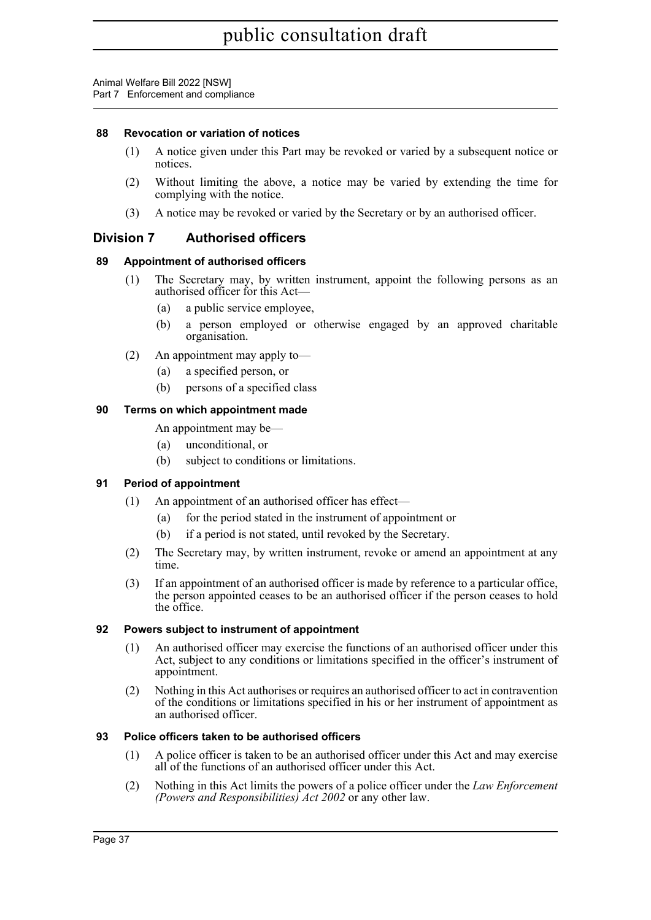#### **88 Revocation or variation of notices**

- (1) A notice given under this Part may be revoked or varied by a subsequent notice or notices.
- (2) Without limiting the above, a notice may be varied by extending the time for complying with the notice.
- (3) A notice may be revoked or varied by the Secretary or by an authorised officer.

## **Division 7 Authorised officers**

#### **89 Appointment of authorised officers**

- (1) The Secretary may, by written instrument, appoint the following persons as an authorised officer for this Act—
	- (a) a public service employee,
	- (b) a person employed or otherwise engaged by an approved charitable organisation.
- (2) An appointment may apply to—
	- (a) a specified person, or
	- (b) persons of a specified class

## **90 Terms on which appointment made**

An appointment may be—

- (a) unconditional, or
- (b) subject to conditions or limitations.

#### **91 Period of appointment**

- (1) An appointment of an authorised officer has effect—
	- (a) for the period stated in the instrument of appointment or
	- (b) if a period is not stated, until revoked by the Secretary.
- (2) The Secretary may, by written instrument, revoke or amend an appointment at any time.
- (3) If an appointment of an authorised officer is made by reference to a particular office, the person appointed ceases to be an authorised officer if the person ceases to hold the office.

#### **92 Powers subject to instrument of appointment**

- (1) An authorised officer may exercise the functions of an authorised officer under this Act, subject to any conditions or limitations specified in the officer's instrument of appointment.
- (2) Nothing in this Act authorises or requires an authorised officer to act in contravention of the conditions or limitations specified in his or her instrument of appointment as an authorised officer.

#### **93 Police officers taken to be authorised officers**

- (1) A police officer is taken to be an authorised officer under this Act and may exercise all of the functions of an authorised officer under this Act.
- (2) Nothing in this Act limits the powers of a police officer under the *Law Enforcement (Powers and Responsibilities) Act 2002* or any other law.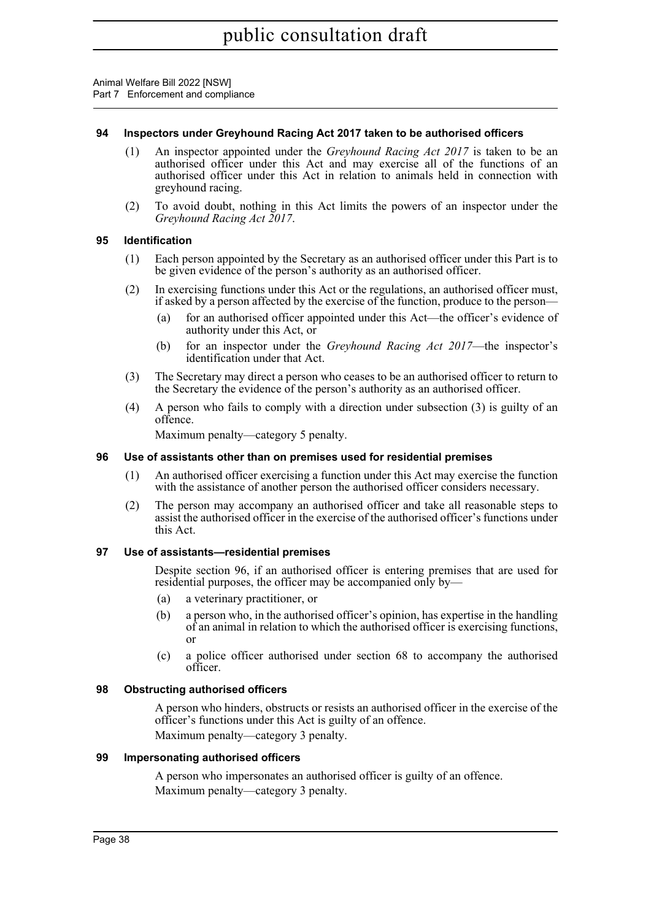#### **94 Inspectors under Greyhound Racing Act 2017 taken to be authorised officers**

- (1) An inspector appointed under the *Greyhound Racing Act 2017* is taken to be an authorised officer under this Act and may exercise all of the functions of an authorised officer under this Act in relation to animals held in connection with greyhound racing.
- (2) To avoid doubt, nothing in this Act limits the powers of an inspector under the *Greyhound Racing Act 2017*.

#### **95 Identification**

- (1) Each person appointed by the Secretary as an authorised officer under this Part is to be given evidence of the person's authority as an authorised officer.
- (2) In exercising functions under this Act or the regulations, an authorised officer must, if asked by a person affected by the exercise of the function, produce to the person—
	- (a) for an authorised officer appointed under this Act—the officer's evidence of authority under this Act, or
	- (b) for an inspector under the *Greyhound Racing Act 2017*—the inspector's identification under that Act.
- (3) The Secretary may direct a person who ceases to be an authorised officer to return to the Secretary the evidence of the person's authority as an authorised officer.
- (4) A person who fails to comply with a direction under subsection (3) is guilty of an offence.

Maximum penalty—category 5 penalty.

#### **96 Use of assistants other than on premises used for residential premises**

- (1) An authorised officer exercising a function under this Act may exercise the function with the assistance of another person the authorised officer considers necessary.
- (2) The person may accompany an authorised officer and take all reasonable steps to assist the authorised officer in the exercise of the authorised officer's functions under this Act.

#### **97 Use of assistants—residential premises**

Despite section 96, if an authorised officer is entering premises that are used for residential purposes, the officer may be accompanied only by—

- (a) a veterinary practitioner, or
- (b) a person who, in the authorised officer's opinion, has expertise in the handling of an animal in relation to which the authorised officer is exercising functions, or
- (c) a police officer authorised under section 68 to accompany the authorised officer.

#### **98 Obstructing authorised officers**

A person who hinders, obstructs or resists an authorised officer in the exercise of the officer's functions under this Act is guilty of an offence. Maximum penalty—category 3 penalty.

#### **99 Impersonating authorised officers**

A person who impersonates an authorised officer is guilty of an offence. Maximum penalty—category 3 penalty.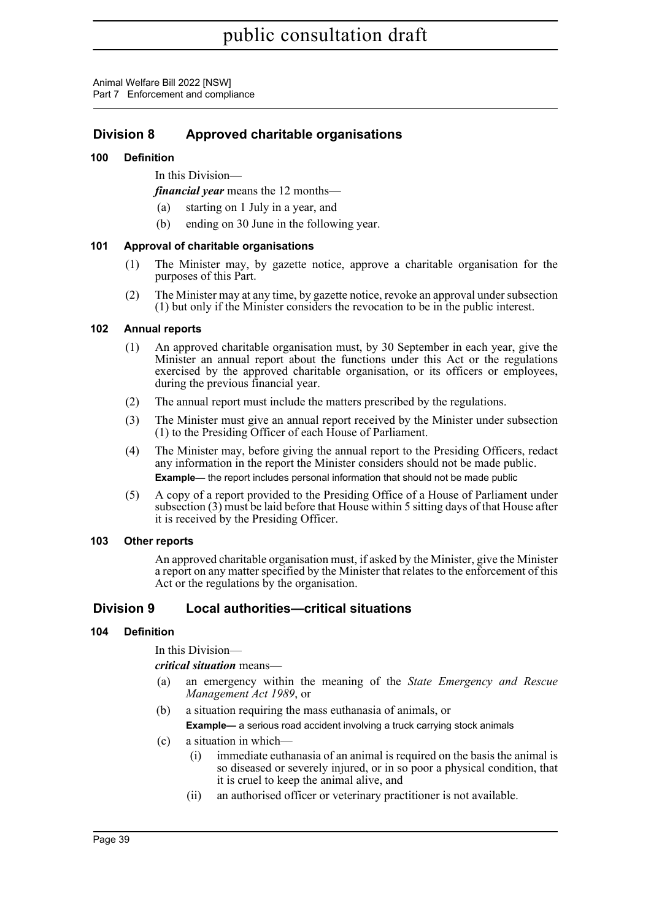## **Division 8 Approved charitable organisations**

## **100 Definition**

In this Division—

*financial year* means the 12 months—

- (a) starting on 1 July in a year, and
- (b) ending on 30 June in the following year.

## **101 Approval of charitable organisations**

- (1) The Minister may, by gazette notice, approve a charitable organisation for the purposes of this Part.
- (2) The Minister may at any time, by gazette notice, revoke an approval under subsection (1) but only if the Minister considers the revocation to be in the public interest.

## **102 Annual reports**

- (1) An approved charitable organisation must, by 30 September in each year, give the Minister an annual report about the functions under this Act or the regulations exercised by the approved charitable organisation, or its officers or employees, during the previous financial year.
- (2) The annual report must include the matters prescribed by the regulations.
- (3) The Minister must give an annual report received by the Minister under subsection (1) to the Presiding Officer of each House of Parliament.
- (4) The Minister may, before giving the annual report to the Presiding Officers, redact any information in the report the Minister considers should not be made public. **Example—** the report includes personal information that should not be made public
- (5) A copy of a report provided to the Presiding Office of a House of Parliament under subsection (3) must be laid before that House within 5 sitting days of that House after it is received by the Presiding Officer.

#### **103 Other reports**

An approved charitable organisation must, if asked by the Minister, give the Minister a report on any matter specified by the Minister that relates to the enforcement of this Act or the regulations by the organisation.

## **Division 9 Local authorities—critical situations**

## **104 Definition**

In this Division—

*critical situation* means—

- (a) an emergency within the meaning of the *State Emergency and Rescue Management Act 1989*, or
- (b) a situation requiring the mass euthanasia of animals, or **Example—** a serious road accident involving a truck carrying stock animals
- (c) a situation in which—
	- (i) immediate euthanasia of an animal is required on the basis the animal is so diseased or severely injured, or in so poor a physical condition, that it is cruel to keep the animal alive, and
	- (ii) an authorised officer or veterinary practitioner is not available.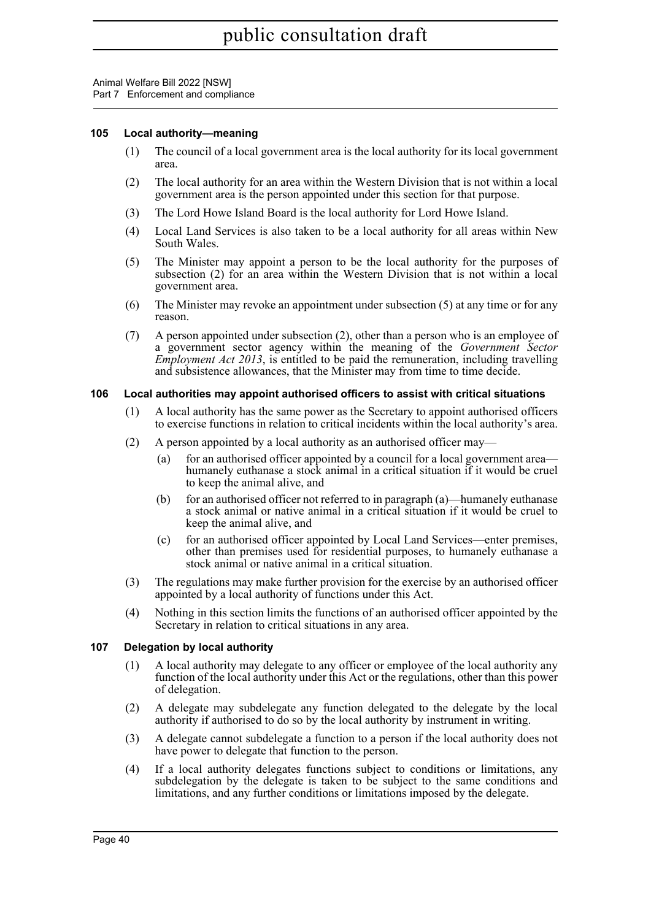Animal Welfare Bill 2022 [NSW]

## Part 7 Enforcement and compliance

#### **105 Local authority—meaning**

- (1) The council of a local government area is the local authority for its local government area.
- (2) The local authority for an area within the Western Division that is not within a local government area is the person appointed under this section for that purpose.
- (3) The Lord Howe Island Board is the local authority for Lord Howe Island.
- (4) Local Land Services is also taken to be a local authority for all areas within New South Wales.
- (5) The Minister may appoint a person to be the local authority for the purposes of subsection (2) for an area within the Western Division that is not within a local government area.
- (6) The Minister may revoke an appointment under subsection (5) at any time or for any reason.
- (7) A person appointed under subsection (2), other than a person who is an employee of a government sector agency within the meaning of the *Government Sector Employment Act 2013*, is entitled to be paid the remuneration, including travelling and subsistence allowances, that the Minister may from time to time decide.

#### **106 Local authorities may appoint authorised officers to assist with critical situations**

- (1) A local authority has the same power as the Secretary to appoint authorised officers to exercise functions in relation to critical incidents within the local authority's area.
- (2) A person appointed by a local authority as an authorised officer may—
	- (a) for an authorised officer appointed by a council for a local government area humanely euthanase a stock animal in a critical situation if it would be cruel to keep the animal alive, and
	- (b) for an authorised officer not referred to in paragraph (a)—humanely euthanase a stock animal or native animal in a critical situation if it would be cruel to keep the animal alive, and
	- (c) for an authorised officer appointed by Local Land Services—enter premises, other than premises used for residential purposes, to humanely euthanase a stock animal or native animal in a critical situation.
- (3) The regulations may make further provision for the exercise by an authorised officer appointed by a local authority of functions under this Act.
- (4) Nothing in this section limits the functions of an authorised officer appointed by the Secretary in relation to critical situations in any area.

#### **107 Delegation by local authority**

- (1) A local authority may delegate to any officer or employee of the local authority any function of the local authority under this Act or the regulations, other than this power of delegation.
- (2) A delegate may subdelegate any function delegated to the delegate by the local authority if authorised to do so by the local authority by instrument in writing.
- (3) A delegate cannot subdelegate a function to a person if the local authority does not have power to delegate that function to the person.
- (4) If a local authority delegates functions subject to conditions or limitations, any subdelegation by the delegate is taken to be subject to the same conditions and limitations, and any further conditions or limitations imposed by the delegate.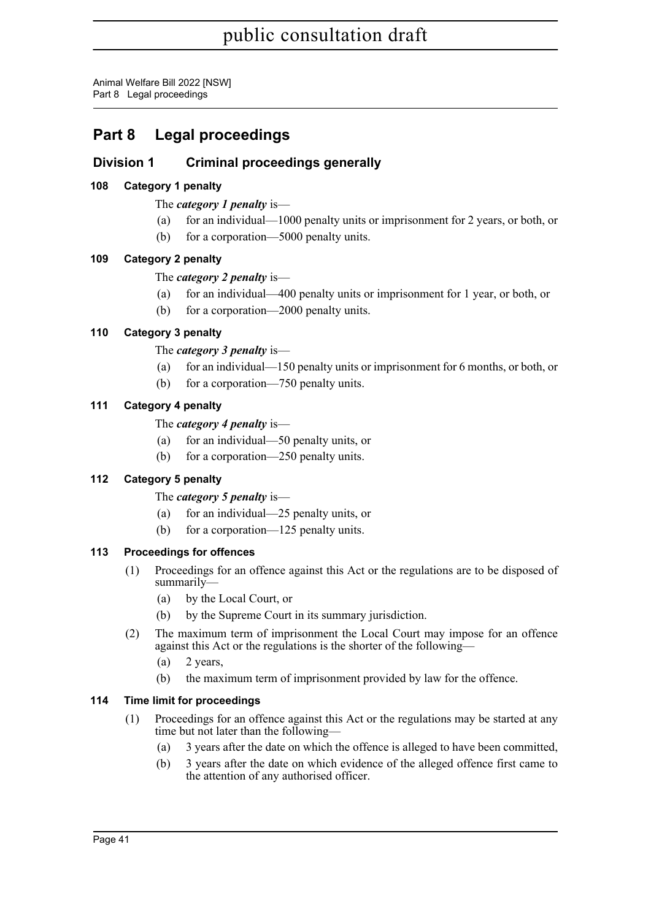## **Part 8 Legal proceedings**

## **Division 1 Criminal proceedings generally**

## **108 Category 1 penalty**

## The *category 1 penalty* is—

- (a) for an individual—1000 penalty units or imprisonment for 2 years, or both, or
- (b) for a corporation—5000 penalty units.

## **109 Category 2 penalty**

## The *category 2 penalty* is—

- (a) for an individual—400 penalty units or imprisonment for 1 year, or both, or
- (b) for a corporation—2000 penalty units.

## **110 Category 3 penalty**

## The *category 3 penalty* is—

- (a) for an individual—150 penalty units or imprisonment for 6 months, or both, or
- (b) for a corporation—750 penalty units.

## **111 Category 4 penalty**

## The *category 4 penalty* is—

- (a) for an individual—50 penalty units, or
- (b) for a corporation—250 penalty units.

## **112 Category 5 penalty**

## The *category 5 penalty* is—

- (a) for an individual—25 penalty units, or
- (b) for a corporation—125 penalty units.

## **113 Proceedings for offences**

- (1) Proceedings for an offence against this Act or the regulations are to be disposed of summarily—
	- (a) by the Local Court, or
	- (b) by the Supreme Court in its summary jurisdiction.
- (2) The maximum term of imprisonment the Local Court may impose for an offence against this Act or the regulations is the shorter of the following—
	- (a) 2 years,
	- (b) the maximum term of imprisonment provided by law for the offence.

## **114 Time limit for proceedings**

- (1) Proceedings for an offence against this Act or the regulations may be started at any time but not later than the following—
	- (a) 3 years after the date on which the offence is alleged to have been committed,
	- (b) 3 years after the date on which evidence of the alleged offence first came to the attention of any authorised officer.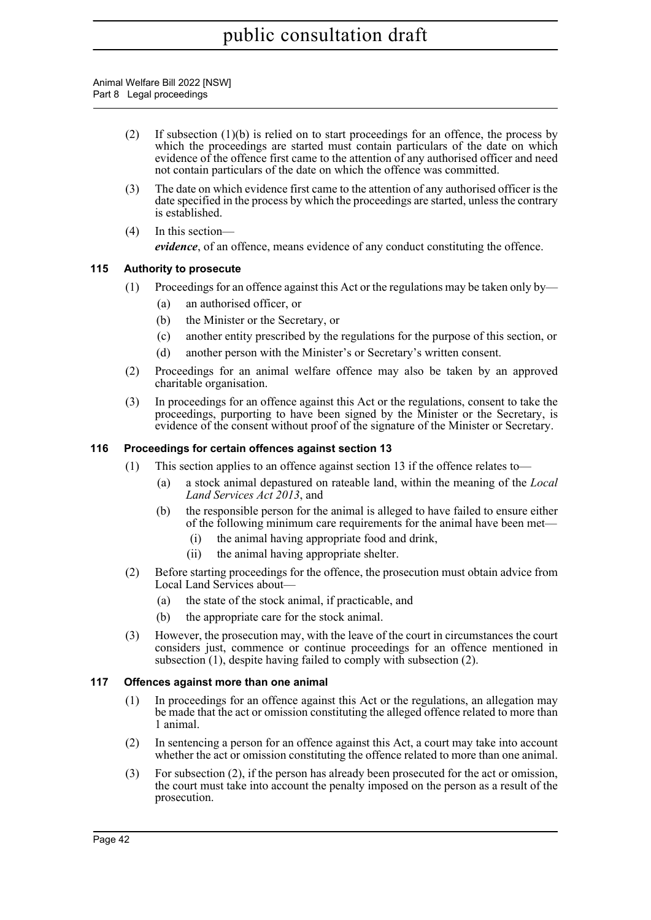- $(2)$  If subsection  $(1)(b)$  is relied on to start proceedings for an offence, the process by which the proceedings are started must contain particulars of the date on which evidence of the offence first came to the attention of any authorised officer and need not contain particulars of the date on which the offence was committed.
- (3) The date on which evidence first came to the attention of any authorised officer is the date specified in the process by which the proceedings are started, unless the contrary is established.
- (4) In this section *evidence*, of an offence, means evidence of any conduct constituting the offence.

## **115 Authority to prosecute**

- (1) Proceedings for an offence against this Act or the regulations may be taken only by—
	- (a) an authorised officer, or
	- (b) the Minister or the Secretary, or
	- (c) another entity prescribed by the regulations for the purpose of this section, or
	- (d) another person with the Minister's or Secretary's written consent.
- (2) Proceedings for an animal welfare offence may also be taken by an approved charitable organisation.
- (3) In proceedings for an offence against this Act or the regulations, consent to take the proceedings, purporting to have been signed by the Minister or the Secretary, is evidence of the consent without proof of the signature of the Minister or Secretary.

## **116 Proceedings for certain offences against section 13**

- (1) This section applies to an offence against section 13 if the offence relates to—
	- (a) a stock animal depastured on rateable land, within the meaning of the *Local Land Services Act 2013*, and
	- (b) the responsible person for the animal is alleged to have failed to ensure either of the following minimum care requirements for the animal have been met—
		- (i) the animal having appropriate food and drink,
		- (ii) the animal having appropriate shelter.
- (2) Before starting proceedings for the offence, the prosecution must obtain advice from Local Land Services about—
	- (a) the state of the stock animal, if practicable, and
	- (b) the appropriate care for the stock animal.
- (3) However, the prosecution may, with the leave of the court in circumstances the court considers just, commence or continue proceedings for an offence mentioned in subsection (1), despite having failed to comply with subsection (2).

#### **117 Offences against more than one animal**

- (1) In proceedings for an offence against this Act or the regulations, an allegation may be made that the act or omission constituting the alleged offence related to more than 1 animal.
- (2) In sentencing a person for an offence against this Act, a court may take into account whether the act or omission constituting the offence related to more than one animal.
- (3) For subsection (2), if the person has already been prosecuted for the act or omission, the court must take into account the penalty imposed on the person as a result of the prosecution.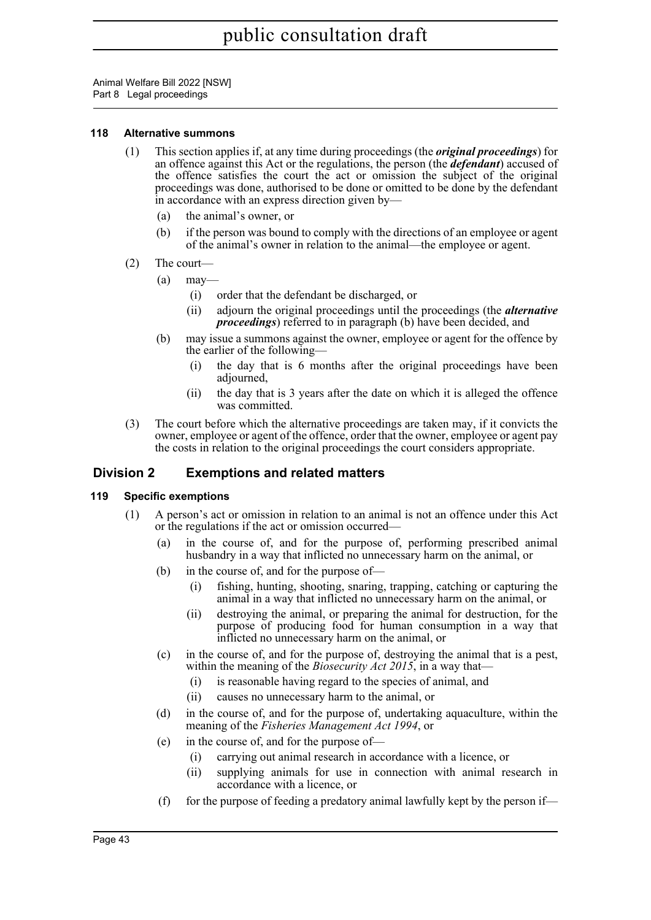#### **118 Alternative summons**

- (1) This section applies if, at any time during proceedings (the *original proceedings*) for an offence against this Act or the regulations, the person (the *defendant*) accused of the offence satisfies the court the act or omission the subject of the original proceedings was done, authorised to be done or omitted to be done by the defendant in accordance with an express direction given by—
	- (a) the animal's owner, or
	- (b) if the person was bound to comply with the directions of an employee or agent of the animal's owner in relation to the animal—the employee or agent.
- (2) The court—
	- $(a)$  may—
		- (i) order that the defendant be discharged, or
		- (ii) adjourn the original proceedings until the proceedings (the *alternative proceedings*) referred to in paragraph (b) have been decided, and
	- (b) may issue a summons against the owner, employee or agent for the offence by the earlier of the following—
		- (i) the day that is 6 months after the original proceedings have been adjourned,
		- (ii) the day that is 3 years after the date on which it is alleged the offence was committed.
- (3) The court before which the alternative proceedings are taken may, if it convicts the owner, employee or agent of the offence, order that the owner, employee or agent pay the costs in relation to the original proceedings the court considers appropriate.

## **Division 2 Exemptions and related matters**

#### **119 Specific exemptions**

- (1) A person's act or omission in relation to an animal is not an offence under this Act or the regulations if the act or omission occurred—
	- (a) in the course of, and for the purpose of, performing prescribed animal husbandry in a way that inflicted no unnecessary harm on the animal, or
	- (b) in the course of, and for the purpose of—
		- (i) fishing, hunting, shooting, snaring, trapping, catching or capturing the animal in a way that inflicted no unnecessary harm on the animal, or
		- (ii) destroying the animal, or preparing the animal for destruction, for the purpose of producing food for human consumption in a way that inflicted no unnecessary harm on the animal, or
	- (c) in the course of, and for the purpose of, destroying the animal that is a pest, within the meaning of the *Biosecurity Act 2015*, in a way that—
		- (i) is reasonable having regard to the species of animal, and
		- (ii) causes no unnecessary harm to the animal, or
	- (d) in the course of, and for the purpose of, undertaking aquaculture, within the meaning of the *Fisheries Management Act 1994*, or
	- (e) in the course of, and for the purpose of—
		- (i) carrying out animal research in accordance with a licence, or
		- (ii) supplying animals for use in connection with animal research in accordance with a licence, or
	- (f) for the purpose of feeding a predatory animal lawfully kept by the person if—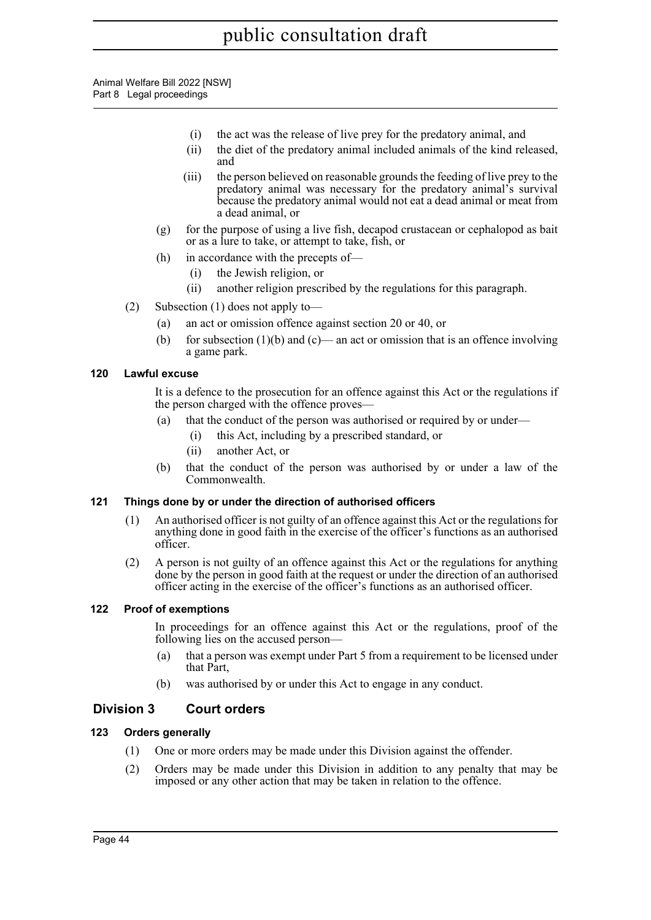- (i) the act was the release of live prey for the predatory animal, and
- (ii) the diet of the predatory animal included animals of the kind released, and
- (iii) the person believed on reasonable grounds the feeding of live prey to the predatory animal was necessary for the predatory animal's survival because the predatory animal would not eat a dead animal or meat from a dead animal, or
- (g) for the purpose of using a live fish, decapod crustacean or cephalopod as bait or as a lure to take, or attempt to take, fish, or
- (h) in accordance with the precepts of—
	- (i) the Jewish religion, or
	- (ii) another religion prescribed by the regulations for this paragraph.
- (2) Subsection (1) does not apply to—
	- (a) an act or omission offence against section 20 or 40, or
	- (b) for subsection (1)(b) and (c)— an act or omission that is an offence involving a game park.

#### **120 Lawful excuse**

It is a defence to the prosecution for an offence against this Act or the regulations if the person charged with the offence proves—

- (a) that the conduct of the person was authorised or required by or under—
	- (i) this Act, including by a prescribed standard, or
	- (ii) another Act, or
- (b) that the conduct of the person was authorised by or under a law of the Commonwealth.

#### **121 Things done by or under the direction of authorised officers**

- (1) An authorised officer is not guilty of an offence against this Act or the regulations for anything done in good faith in the exercise of the officer's functions as an authorised officer.
- (2) A person is not guilty of an offence against this Act or the regulations for anything done by the person in good faith at the request or under the direction of an authorised officer acting in the exercise of the officer's functions as an authorised officer.

#### **122 Proof of exemptions**

In proceedings for an offence against this Act or the regulations, proof of the following lies on the accused person—

- (a) that a person was exempt under Part 5 from a requirement to be licensed under that Part,
- (b) was authorised by or under this Act to engage in any conduct.

## **Division 3 Court orders**

#### **123 Orders generally**

- (1) One or more orders may be made under this Division against the offender.
- (2) Orders may be made under this Division in addition to any penalty that may be imposed or any other action that may be taken in relation to the offence.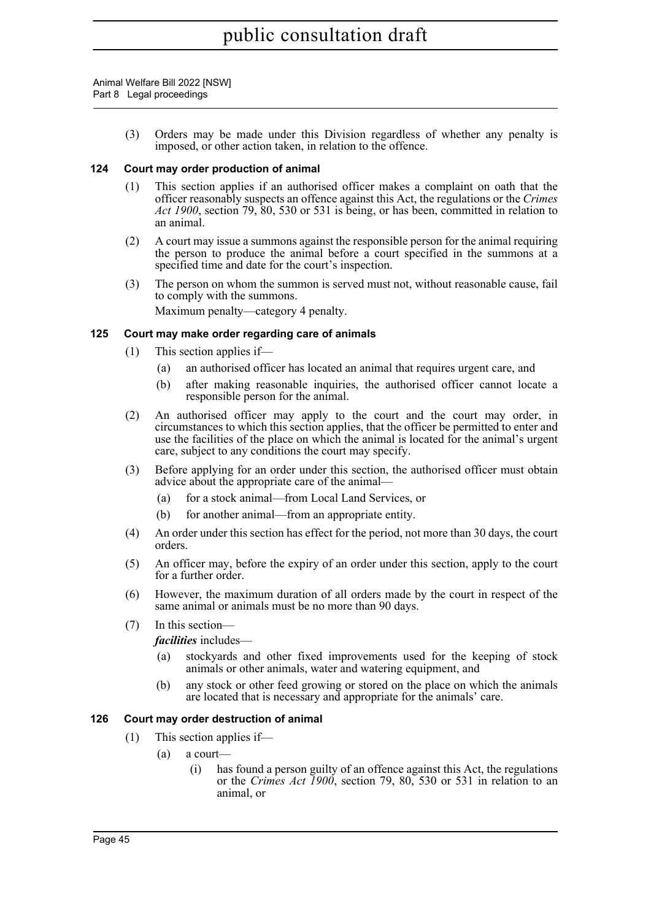> (3) Orders may be made under this Division regardless of whether any penalty is imposed, or other action taken, in relation to the offence.

#### **124 Court may order production of animal**

- (1) This section applies if an authorised officer makes a complaint on oath that the officer reasonably suspects an offence against this Act, the regulations or the *Crimes Act 1900*, section 79, 80, 530 or 531 is being, or has been, committed in relation to an animal.
- (2) A court may issue a summons against the responsible person for the animal requiring the person to produce the animal before a court specified in the summons at a specified time and date for the court's inspection.
- (3) The person on whom the summon is served must not, without reasonable cause, fail to comply with the summons.

Maximum penalty—category 4 penalty.

#### **125 Court may make order regarding care of animals**

- (1) This section applies if—
	- (a) an authorised officer has located an animal that requires urgent care, and
	- (b) after making reasonable inquiries, the authorised officer cannot locate a responsible person for the animal.
- (2) An authorised officer may apply to the court and the court may order, in circumstances to which this section applies, that the officer be permitted to enter and use the facilities of the place on which the animal is located for the animal's urgent care, subject to any conditions the court may specify.
- (3) Before applying for an order under this section, the authorised officer must obtain advice about the appropriate care of the animal—
	- (a) for a stock animal—from Local Land Services, or
	- (b) for another animal—from an appropriate entity.
- (4) An order under this section has effect for the period, not more than 30 days, the court orders.
- (5) An officer may, before the expiry of an order under this section, apply to the court for a further order.
- (6) However, the maximum duration of all orders made by the court in respect of the same animal or animals must be no more than 90 days.
- (7) In this section—

*facilities* includes—

- (a) stockyards and other fixed improvements used for the keeping of stock animals or other animals, water and watering equipment, and
- (b) any stock or other feed growing or stored on the place on which the animals are located that is necessary and appropriate for the animals' care.

#### **126 Court may order destruction of animal**

- (1) This section applies if—
	- (a) a court—
		- (i) has found a person guilty of an offence against this Act, the regulations or the *Crimes Act 1900*, section 79, 80, 530 or 531 in relation to an animal, or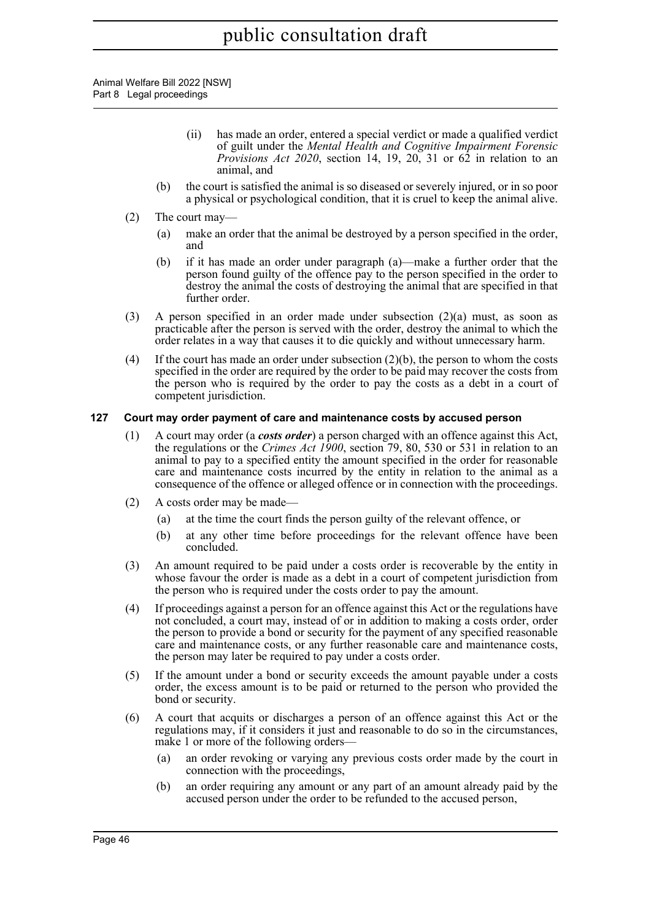- (ii) has made an order, entered a special verdict or made a qualified verdict of guilt under the *Mental Health and Cognitive Impairment Forensic Provisions Act 2020*, section 14, 19, 20, 31 or 62 in relation to an animal, and
- (b) the court is satisfied the animal is so diseased or severely injured, or in so poor a physical or psychological condition, that it is cruel to keep the animal alive.
- (2) The court may—
	- (a) make an order that the animal be destroyed by a person specified in the order, and
	- (b) if it has made an order under paragraph (a)—make a further order that the person found guilty of the offence pay to the person specified in the order to destroy the animal the costs of destroying the animal that are specified in that further order.
- (3) A person specified in an order made under subsection  $(2)(a)$  must, as soon as practicable after the person is served with the order, destroy the animal to which the order relates in a way that causes it to die quickly and without unnecessary harm.
- (4) If the court has made an order under subsection  $(2)(b)$ , the person to whom the costs specified in the order are required by the order to be paid may recover the costs from the person who is required by the order to pay the costs as a debt in a court of competent jurisdiction.

#### **127 Court may order payment of care and maintenance costs by accused person**

- (1) A court may order (a *costs order*) a person charged with an offence against this Act, the regulations or the *Crimes Act 1900*, section 79, 80, 530 or 531 in relation to an animal to pay to a specified entity the amount specified in the order for reasonable care and maintenance costs incurred by the entity in relation to the animal as a consequence of the offence or alleged offence or in connection with the proceedings.
- (2) A costs order may be made—
	- (a) at the time the court finds the person guilty of the relevant offence, or
	- (b) at any other time before proceedings for the relevant offence have been concluded.
- (3) An amount required to be paid under a costs order is recoverable by the entity in whose favour the order is made as a debt in a court of competent jurisdiction from the person who is required under the costs order to pay the amount.
- (4) If proceedings against a person for an offence against this Act or the regulations have not concluded, a court may, instead of or in addition to making a costs order, order the person to provide a bond or security for the payment of any specified reasonable care and maintenance costs, or any further reasonable care and maintenance costs, the person may later be required to pay under a costs order.
- (5) If the amount under a bond or security exceeds the amount payable under a costs order, the excess amount is to be paid or returned to the person who provided the bond or security.
- (6) A court that acquits or discharges a person of an offence against this Act or the regulations may, if it considers it just and reasonable to do so in the circumstances, make 1 or more of the following orders—
	- (a) an order revoking or varying any previous costs order made by the court in connection with the proceedings,
	- (b) an order requiring any amount or any part of an amount already paid by the accused person under the order to be refunded to the accused person,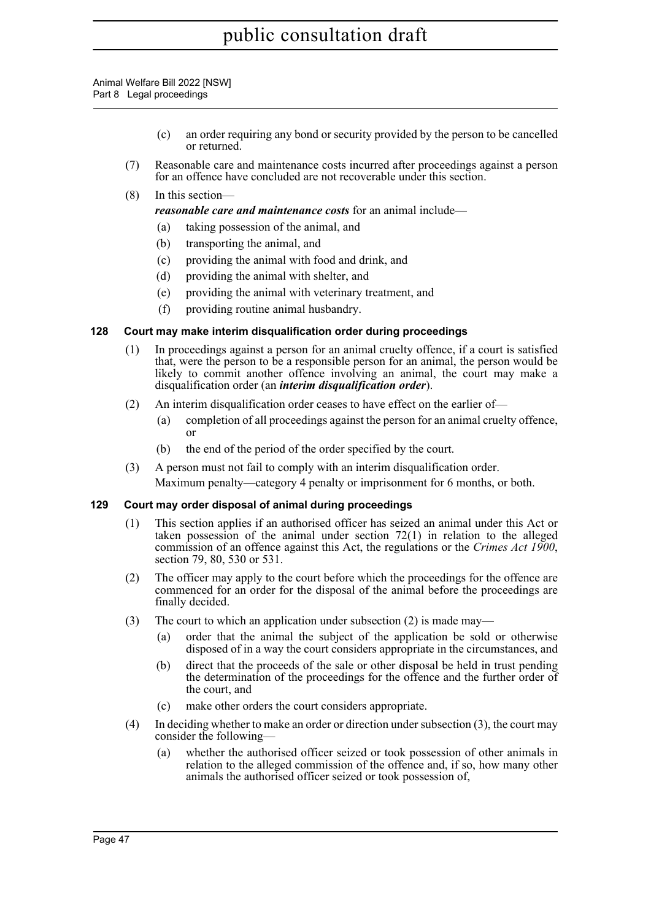Animal Welfare Bill 2022 [NSW] Part 8 Legal proceedings

- (c) an order requiring any bond or security provided by the person to be cancelled or returned.
- (7) Reasonable care and maintenance costs incurred after proceedings against a person for an offence have concluded are not recoverable under this section.
- (8) In this section—

*reasonable care and maintenance costs* for an animal include—

- (a) taking possession of the animal, and
- (b) transporting the animal, and
- (c) providing the animal with food and drink, and
- (d) providing the animal with shelter, and
- (e) providing the animal with veterinary treatment, and
- (f) providing routine animal husbandry.

#### **128 Court may make interim disqualification order during proceedings**

- (1) In proceedings against a person for an animal cruelty offence, if a court is satisfied that, were the person to be a responsible person for an animal, the person would be likely to commit another offence involving an animal, the court may make a disqualification order (an *interim disqualification order*).
- (2) An interim disqualification order ceases to have effect on the earlier of—
	- (a) completion of all proceedings against the person for an animal cruelty offence, or
	- (b) the end of the period of the order specified by the court.
- (3) A person must not fail to comply with an interim disqualification order. Maximum penalty—category 4 penalty or imprisonment for 6 months, or both.

#### **129 Court may order disposal of animal during proceedings**

- (1) This section applies if an authorised officer has seized an animal under this Act or taken possession of the animal under section 72(1) in relation to the alleged commission of an offence against this Act, the regulations or the *Crimes Act 1900*, section 79, 80, 530 or 531.
- (2) The officer may apply to the court before which the proceedings for the offence are commenced for an order for the disposal of the animal before the proceedings are finally decided.
- (3) The court to which an application under subsection (2) is made may—
	- (a) order that the animal the subject of the application be sold or otherwise disposed of in a way the court considers appropriate in the circumstances, and
	- (b) direct that the proceeds of the sale or other disposal be held in trust pending the determination of the proceedings for the offence and the further order of the court, and
	- (c) make other orders the court considers appropriate.
- (4) In deciding whether to make an order or direction under subsection (3), the court may consider the following—
	- (a) whether the authorised officer seized or took possession of other animals in relation to the alleged commission of the offence and, if so, how many other animals the authorised officer seized or took possession of,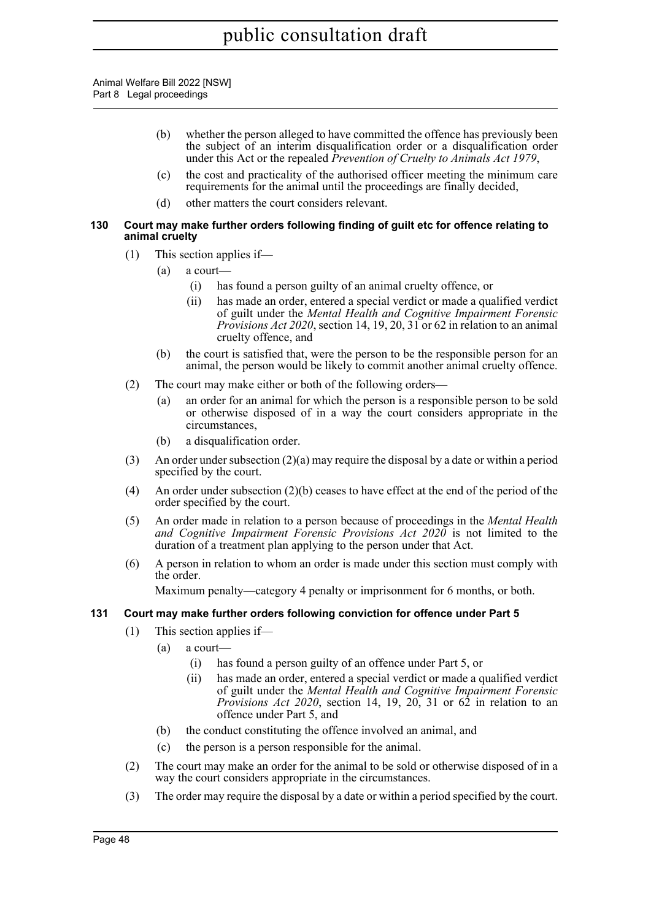- (b) whether the person alleged to have committed the offence has previously been the subject of an interim disqualification order or a disqualification order under this Act or the repealed *Prevention of Cruelty to Animals Act 1979*,
- (c) the cost and practicality of the authorised officer meeting the minimum care requirements for the animal until the proceedings are finally decided,
- (d) other matters the court considers relevant.

#### **130 Court may make further orders following finding of guilt etc for offence relating to animal cruelty**

- (1) This section applies if—
	- (a) a court—
		- (i) has found a person guilty of an animal cruelty offence, or
		- (ii) has made an order, entered a special verdict or made a qualified verdict of guilt under the *Mental Health and Cognitive Impairment Forensic Provisions Act 2020*, section 14, 19, 20, 31 or 62 in relation to an animal cruelty offence, and
	- (b) the court is satisfied that, were the person to be the responsible person for an animal, the person would be likely to commit another animal cruelty offence.
- (2) The court may make either or both of the following orders—
	- (a) an order for an animal for which the person is a responsible person to be sold or otherwise disposed of in a way the court considers appropriate in the circumstances,
	- (b) a disqualification order.
- (3) An order under subsection (2)(a) may require the disposal by a date or within a period specified by the court.
- (4) An order under subsection (2)(b) ceases to have effect at the end of the period of the order specified by the court.
- (5) An order made in relation to a person because of proceedings in the *Mental Health and Cognitive Impairment Forensic Provisions Act 2020* is not limited to the duration of a treatment plan applying to the person under that Act.
- (6) A person in relation to whom an order is made under this section must comply with the order.

Maximum penalty—category 4 penalty or imprisonment for 6 months, or both.

#### **131 Court may make further orders following conviction for offence under Part 5**

- (1) This section applies if—
	- (a) a court—
		- (i) has found a person guilty of an offence under Part 5, or
		- (ii) has made an order, entered a special verdict or made a qualified verdict of guilt under the *Mental Health and Cognitive Impairment Forensic Provisions Act 2020*, section 14, 19, 20, 31 or  $6\overline{2}$  in relation to an offence under Part 5, and
	- (b) the conduct constituting the offence involved an animal, and
	- (c) the person is a person responsible for the animal.
- (2) The court may make an order for the animal to be sold or otherwise disposed of in a way the court considers appropriate in the circumstances.
- (3) The order may require the disposal by a date or within a period specified by the court.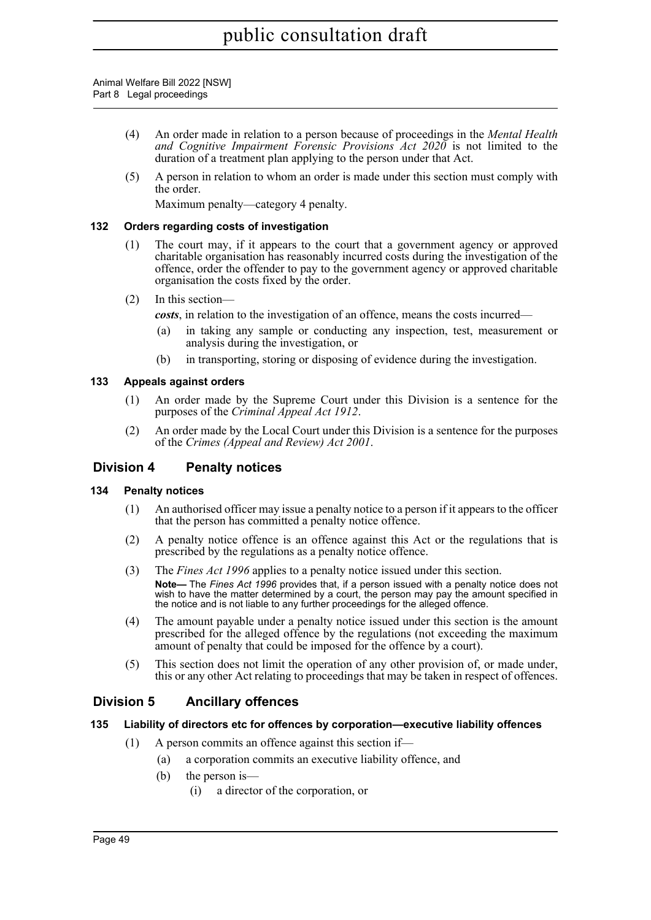- (4) An order made in relation to a person because of proceedings in the *Mental Health and Cognitive Impairment Forensic Provisions Act 2020* is not limited to the duration of a treatment plan applying to the person under that Act.
- (5) A person in relation to whom an order is made under this section must comply with the order.

Maximum penalty—category 4 penalty.

#### **132 Orders regarding costs of investigation**

- (1) The court may, if it appears to the court that a government agency or approved charitable organisation has reasonably incurred costs during the investigation of the offence, order the offender to pay to the government agency or approved charitable organisation the costs fixed by the order.
- (2) In this section—

*costs*, in relation to the investigation of an offence, means the costs incurred—

- (a) in taking any sample or conducting any inspection, test, measurement or analysis during the investigation, or
- (b) in transporting, storing or disposing of evidence during the investigation.

#### **133 Appeals against orders**

- (1) An order made by the Supreme Court under this Division is a sentence for the purposes of the *Criminal Appeal Act 1912*.
- (2) An order made by the Local Court under this Division is a sentence for the purposes of the *Crimes (Appeal and Review) Act 2001*.

## **Division 4 Penalty notices**

#### **134 Penalty notices**

- (1) An authorised officer may issue a penalty notice to a person if it appears to the officer that the person has committed a penalty notice offence.
- (2) A penalty notice offence is an offence against this Act or the regulations that is prescribed by the regulations as a penalty notice offence.
- (3) The *Fines Act 1996* applies to a penalty notice issued under this section. **Note—** The *Fines Act 1996* provides that, if a person issued with a penalty notice does not wish to have the matter determined by a court, the person may pay the amount specified in the notice and is not liable to any further proceedings for the alleged offence.
- (4) The amount payable under a penalty notice issued under this section is the amount prescribed for the alleged offence by the regulations (not exceeding the maximum amount of penalty that could be imposed for the offence by a court).
- (5) This section does not limit the operation of any other provision of, or made under, this or any other Act relating to proceedings that may be taken in respect of offences.

## **Division 5 Ancillary offences**

#### **135 Liability of directors etc for offences by corporation—executive liability offences**

- (1) A person commits an offence against this section if—
	- (a) a corporation commits an executive liability offence, and
	- (b) the person is—
		- (i) a director of the corporation, or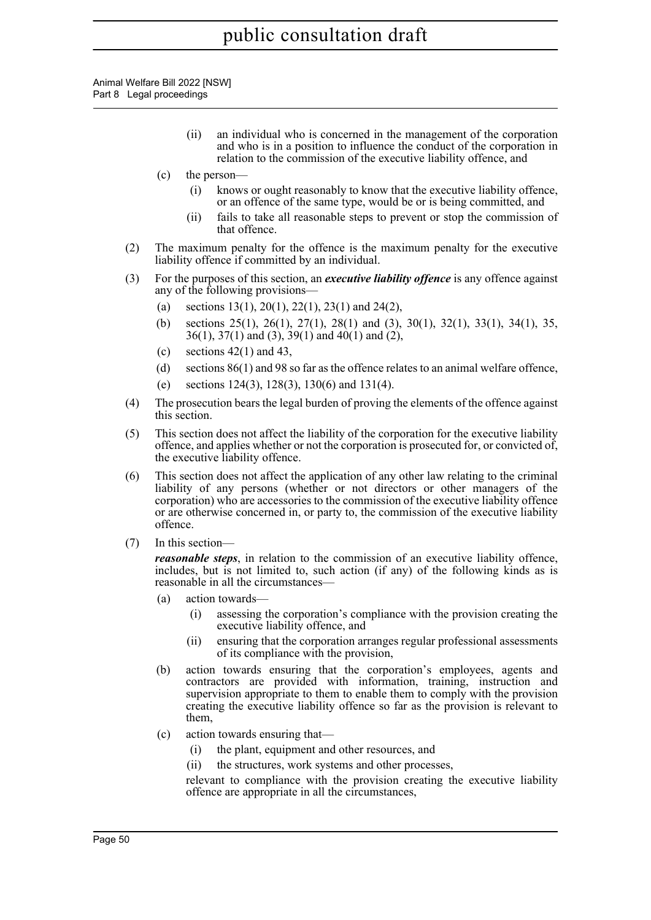- (ii) an individual who is concerned in the management of the corporation and who is in a position to influence the conduct of the corporation in relation to the commission of the executive liability offence, and
- (c) the person—
	- (i) knows or ought reasonably to know that the executive liability offence, or an offence of the same type, would be or is being committed, and
	- (ii) fails to take all reasonable steps to prevent or stop the commission of that offence.
- (2) The maximum penalty for the offence is the maximum penalty for the executive liability offence if committed by an individual.
- (3) For the purposes of this section, an *executive liability offence* is any offence against any of the following provisions—
	- (a) sections  $13(1)$ ,  $20(1)$ ,  $22(1)$ ,  $23(1)$  and  $24(2)$ ,
	- (b) sections 25(1), 26(1), 27(1), 28(1) and (3), 30(1), 32(1), 33(1), 34(1), 35, 36(1), 37(1) and (3), 39(1) and 40(1) and  $(2)$ ,
	- (c) sections  $42(1)$  and  $43$ ,
	- (d) sections 86(1) and 98 so far as the offence relates to an animal welfare offence,
	- (e) sections  $124(3)$ ,  $128(3)$ ,  $130(6)$  and  $131(4)$ .
- (4) The prosecution bears the legal burden of proving the elements of the offence against this section.
- (5) This section does not affect the liability of the corporation for the executive liability offence, and applies whether or not the corporation is prosecuted for, or convicted of, the executive liability offence.
- (6) This section does not affect the application of any other law relating to the criminal liability of any persons (whether or not directors or other managers of the corporation) who are accessories to the commission of the executive liability offence or are otherwise concerned in, or party to, the commission of the executive liability offence.
- (7) In this section—

*reasonable steps*, in relation to the commission of an executive liability offence, includes, but is not limited to, such action (if any) of the following kinds as is reasonable in all the circumstances—

- (a) action towards—
	- (i) assessing the corporation's compliance with the provision creating the executive liability offence, and
	- (ii) ensuring that the corporation arranges regular professional assessments of its compliance with the provision,
- (b) action towards ensuring that the corporation's employees, agents and contractors are provided with information, training, instruction and supervision appropriate to them to enable them to comply with the provision creating the executive liability offence so far as the provision is relevant to them,
- (c) action towards ensuring that—
	- (i) the plant, equipment and other resources, and
	- (ii) the structures, work systems and other processes,

relevant to compliance with the provision creating the executive liability offence are appropriate in all the circumstances,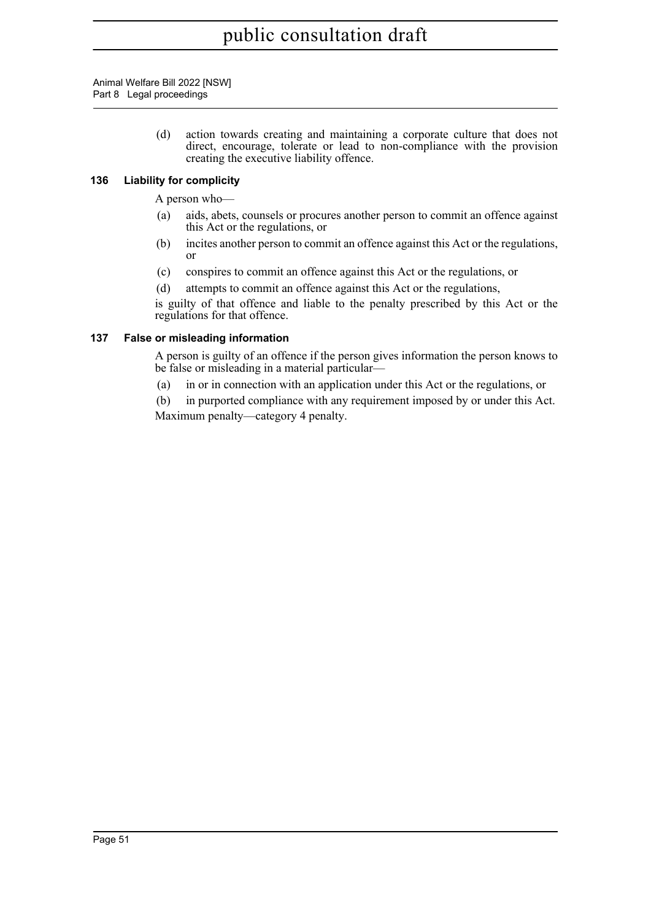> (d) action towards creating and maintaining a corporate culture that does not direct, encourage, tolerate or lead to non-compliance with the provision creating the executive liability offence.

## **136 Liability for complicity**

A person who—

- (a) aids, abets, counsels or procures another person to commit an offence against this Act or the regulations, or
- (b) incites another person to commit an offence against this Act or the regulations, or
- (c) conspires to commit an offence against this Act or the regulations, or
- (d) attempts to commit an offence against this Act or the regulations,

is guilty of that offence and liable to the penalty prescribed by this Act or the regulations for that offence.

## **137 False or misleading information**

A person is guilty of an offence if the person gives information the person knows to be false or misleading in a material particular—

(a) in or in connection with an application under this Act or the regulations, or

(b) in purported compliance with any requirement imposed by or under this Act. Maximum penalty—category 4 penalty.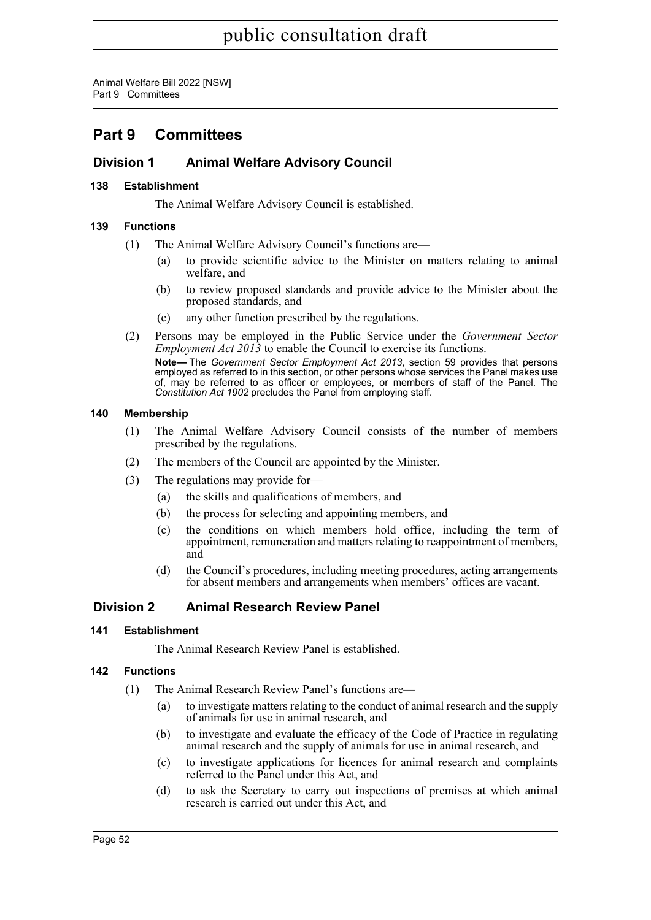Animal Welfare Bill 2022 [NSW] Part 9 Committees

## **Part 9 Committees**

## **Division 1 Animal Welfare Advisory Council**

## **138 Establishment**

The Animal Welfare Advisory Council is established.

## **139 Functions**

- (1) The Animal Welfare Advisory Council's functions are—
	- (a) to provide scientific advice to the Minister on matters relating to animal welfare, and
	- (b) to review proposed standards and provide advice to the Minister about the proposed standards, and
	- (c) any other function prescribed by the regulations.
- (2) Persons may be employed in the Public Service under the *Government Sector Employment Act 2013* to enable the Council to exercise its functions. **Note—** The *Government Sector Employment Act 2013*, section 59 provides that persons

employed as referred to in this section, or other persons whose services the Panel makes use of, may be referred to as officer or employees, or members of staff of the Panel. The *Constitution Act 1902* precludes the Panel from employing staff.

#### **140 Membership**

- (1) The Animal Welfare Advisory Council consists of the number of members prescribed by the regulations.
- (2) The members of the Council are appointed by the Minister.
- (3) The regulations may provide for—
	- (a) the skills and qualifications of members, and
	- (b) the process for selecting and appointing members, and
	- (c) the conditions on which members hold office, including the term of appointment, remuneration and matters relating to reappointment of members, and
	- (d) the Council's procedures, including meeting procedures, acting arrangements for absent members and arrangements when members' offices are vacant.

## **Division 2 Animal Research Review Panel**

#### **141 Establishment**

The Animal Research Review Panel is established.

#### **142 Functions**

- (1) The Animal Research Review Panel's functions are—
	- (a) to investigate matters relating to the conduct of animal research and the supply of animals for use in animal research, and
	- (b) to investigate and evaluate the efficacy of the Code of Practice in regulating animal research and the supply of animals for use in animal research, and
	- (c) to investigate applications for licences for animal research and complaints referred to the Panel under this Act, and
	- (d) to ask the Secretary to carry out inspections of premises at which animal research is carried out under this Act, and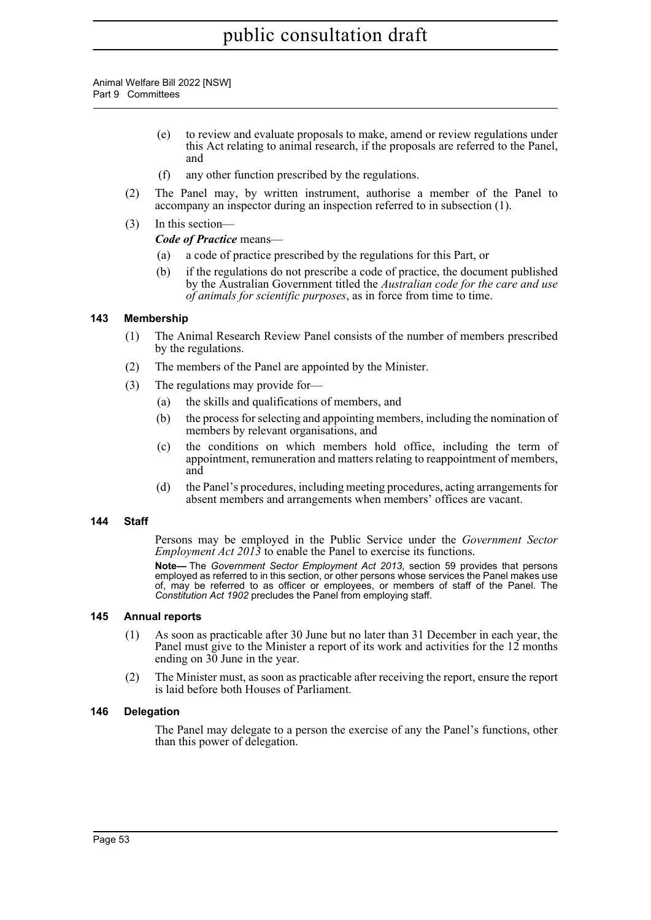Animal Welfare Bill 2022 [NSW] Part 9 Committees

- (e) to review and evaluate proposals to make, amend or review regulations under this Act relating to animal research, if the proposals are referred to the Panel, and
- (f) any other function prescribed by the regulations.
- (2) The Panel may, by written instrument, authorise a member of the Panel to accompany an inspector during an inspection referred to in subsection (1).
- (3) In this section—

#### *Code of Practice* means—

- (a) a code of practice prescribed by the regulations for this Part, or
- (b) if the regulations do not prescribe a code of practice, the document published by the Australian Government titled the *Australian code for the care and use of animals for scientific purposes*, as in force from time to time.

#### **143 Membership**

- (1) The Animal Research Review Panel consists of the number of members prescribed by the regulations.
- (2) The members of the Panel are appointed by the Minister.
- (3) The regulations may provide for—
	- (a) the skills and qualifications of members, and
	- (b) the process for selecting and appointing members, including the nomination of members by relevant organisations, and
	- (c) the conditions on which members hold office, including the term of appointment, remuneration and matters relating to reappointment of members, and
	- (d) the Panel's procedures, including meeting procedures, acting arrangements for absent members and arrangements when members' offices are vacant.

#### **144 Staff**

Persons may be employed in the Public Service under the *Government Sector Employment Act 2013* to enable the Panel to exercise its functions.

**Note—** The *Government Sector Employment Act 2013*, section 59 provides that persons employed as referred to in this section, or other persons whose services the Panel makes use of, may be referred to as officer or employees, or members of staff of the Panel. The *Constitution Act 1902* precludes the Panel from employing staff.

#### **145 Annual reports**

- (1) As soon as practicable after 30 June but no later than 31 December in each year, the Panel must give to the Minister a report of its work and activities for the 12 months ending on 30 June in the year.
- (2) The Minister must, as soon as practicable after receiving the report, ensure the report is laid before both Houses of Parliament.

#### **146 Delegation**

The Panel may delegate to a person the exercise of any the Panel's functions, other than this power of delegation.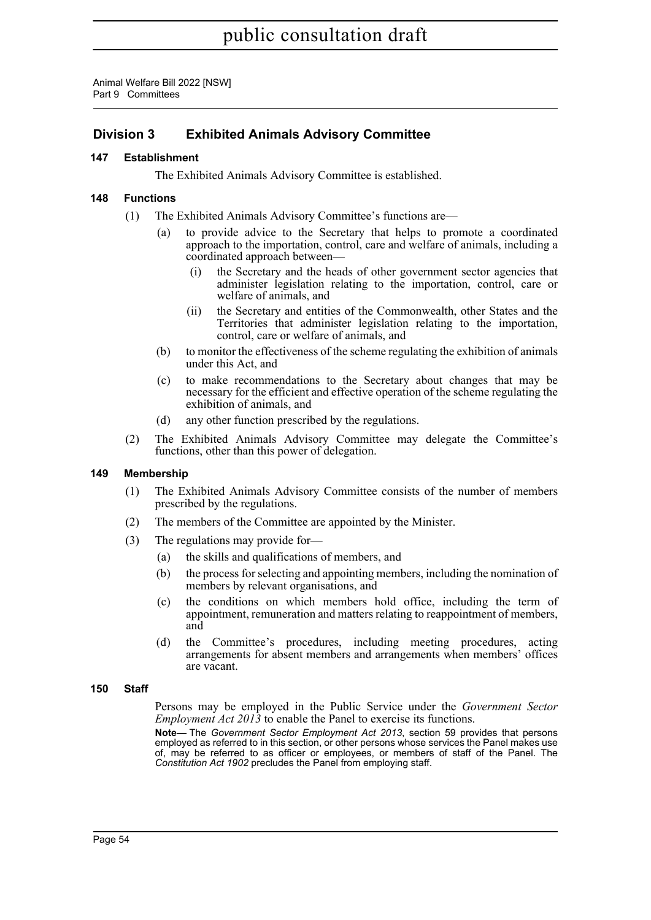Animal Welfare Bill 2022 [NSW] Part 9 Committees

## **Division 3 Exhibited Animals Advisory Committee**

## **147 Establishment**

The Exhibited Animals Advisory Committee is established.

#### **148 Functions**

- (1) The Exhibited Animals Advisory Committee's functions are
	- to provide advice to the Secretary that helps to promote a coordinated approach to the importation, control, care and welfare of animals, including a coordinated approach between—
		- (i) the Secretary and the heads of other government sector agencies that administer legislation relating to the importation, control, care or welfare of animals, and
		- (ii) the Secretary and entities of the Commonwealth, other States and the Territories that administer legislation relating to the importation, control, care or welfare of animals, and
	- (b) to monitor the effectiveness of the scheme regulating the exhibition of animals under this Act, and
	- (c) to make recommendations to the Secretary about changes that may be necessary for the efficient and effective operation of the scheme regulating the exhibition of animals, and
	- (d) any other function prescribed by the regulations.
- (2) The Exhibited Animals Advisory Committee may delegate the Committee's functions, other than this power of delegation.

#### **149 Membership**

- (1) The Exhibited Animals Advisory Committee consists of the number of members prescribed by the regulations.
- (2) The members of the Committee are appointed by the Minister.
- (3) The regulations may provide for—
	- (a) the skills and qualifications of members, and
	- (b) the process for selecting and appointing members, including the nomination of members by relevant organisations, and
	- (c) the conditions on which members hold office, including the term of appointment, remuneration and matters relating to reappointment of members, and
	- (d) the Committee's procedures, including meeting procedures, acting arrangements for absent members and arrangements when members' offices are vacant.

#### **150 Staff**

Persons may be employed in the Public Service under the *Government Sector Employment Act 2013* to enable the Panel to exercise its functions.

**Note—** The *Government Sector Employment Act 2013*, section 59 provides that persons employed as referred to in this section, or other persons whose services the Panel makes use of, may be referred to as officer or employees, or members of staff of the Panel. The *Constitution Act 1902* precludes the Panel from employing staff.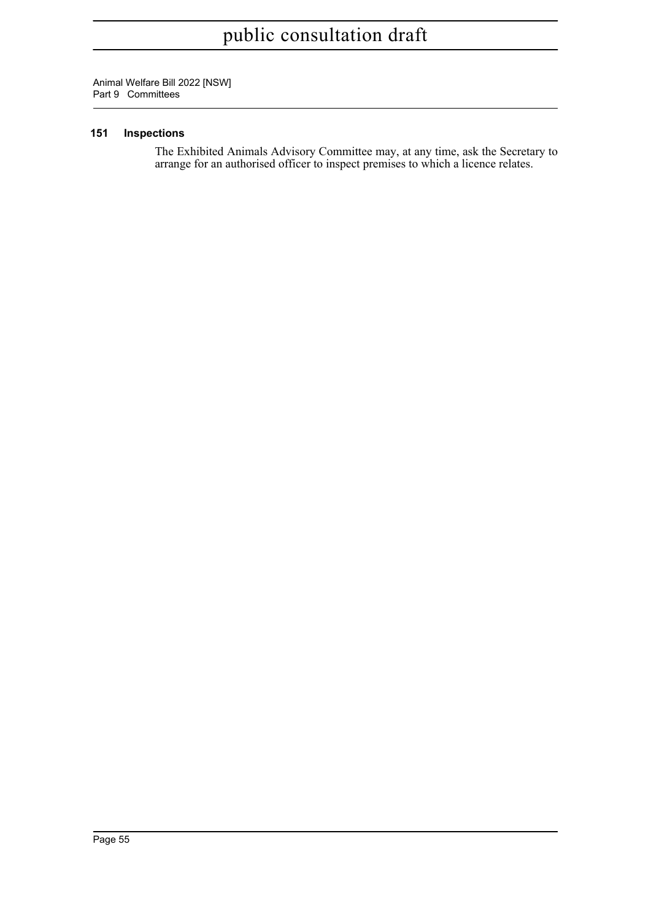Animal Welfare Bill 2022 [NSW] Part 9 Committees

## **151 Inspections**

The Exhibited Animals Advisory Committee may, at any time, ask the Secretary to arrange for an authorised officer to inspect premises to which a licence relates.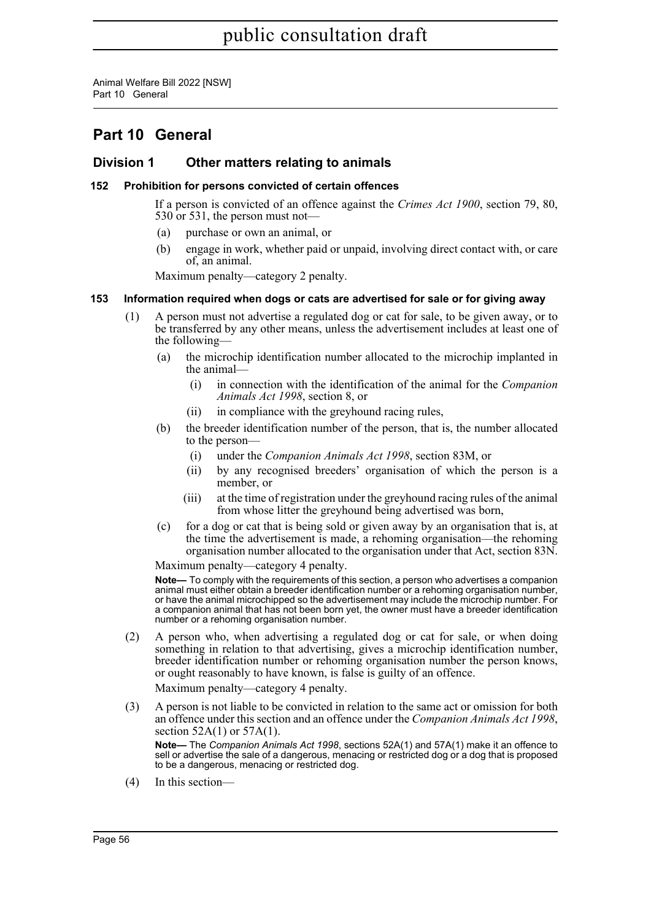Animal Welfare Bill 2022 [NSW] Part 10 General

## **Part 10 General**

## **Division 1 Other matters relating to animals**

#### **152 Prohibition for persons convicted of certain offences**

If a person is convicted of an offence against the *Crimes Act 1900*, section 79, 80, 530 or 531, the person must not—

- (a) purchase or own an animal, or
- (b) engage in work, whether paid or unpaid, involving direct contact with, or care of, an animal.

Maximum penalty—category 2 penalty.

#### **153 Information required when dogs or cats are advertised for sale or for giving away**

- (1) A person must not advertise a regulated dog or cat for sale, to be given away, or to be transferred by any other means, unless the advertisement includes at least one of the following—
	- (a) the microchip identification number allocated to the microchip implanted in the animal—
		- (i) in connection with the identification of the animal for the *Companion Animals Act 1998*, section 8, or
		- (ii) in compliance with the greyhound racing rules,
	- (b) the breeder identification number of the person, that is, the number allocated to the person—
		- (i) under the *Companion Animals Act 1998*, section 83M, or
		- (ii) by any recognised breeders' organisation of which the person is a member, or
		- (iii) at the time of registration under the greyhound racing rules of the animal from whose litter the greyhound being advertised was born,
	- (c) for a dog or cat that is being sold or given away by an organisation that is, at the time the advertisement is made, a rehoming organisation—the rehoming organisation number allocated to the organisation under that Act, section 83N.

Maximum penalty—category 4 penalty.

**Note—** To comply with the requirements of this section, a person who advertises a companion animal must either obtain a breeder identification number or a rehoming organisation number, or have the animal microchipped so the advertisement may include the microchip number. For a companion animal that has not been born yet, the owner must have a breeder identification number or a rehoming organisation number.

(2) A person who, when advertising a regulated dog or cat for sale, or when doing something in relation to that advertising, gives a microchip identification number, breeder identification number or rehoming organisation number the person knows, or ought reasonably to have known, is false is guilty of an offence.

Maximum penalty—category 4 penalty.

(3) A person is not liable to be convicted in relation to the same act or omission for both an offence under this section and an offence under the *Companion Animals Act 1998*, section  $52A(1)$  or  $57A(1)$ .

**Note—** The *Companion Animals Act 1998*, sections 52A(1) and 57A(1) make it an offence to sell or advertise the sale of a dangerous, menacing or restricted dog or a dog that is proposed to be a dangerous, menacing or restricted dog.

(4) In this section—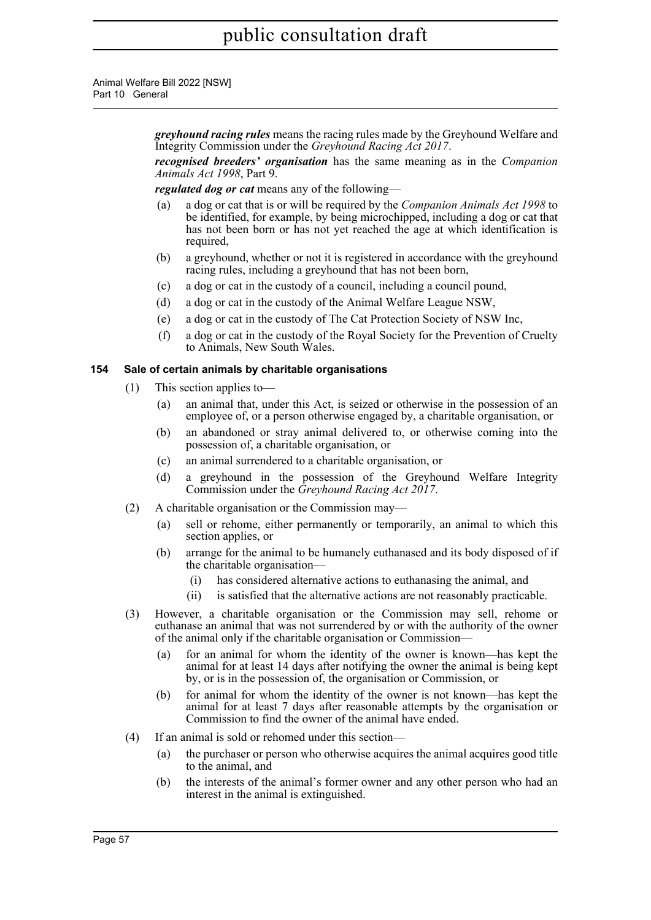*greyhound racing rules* means the racing rules made by the Greyhound Welfare and Integrity Commission under the *Greyhound Racing Act 2017*.

*recognised breeders' organisation* has the same meaning as in the *Companion Animals Act 1998*, Part 9.

*regulated dog or cat* means any of the following—

- (a) a dog or cat that is or will be required by the *Companion Animals Act 1998* to be identified, for example, by being microchipped, including a dog or cat that has not been born or has not yet reached the age at which identification is required,
- (b) a greyhound, whether or not it is registered in accordance with the greyhound racing rules, including a greyhound that has not been born,
- (c) a dog or cat in the custody of a council, including a council pound,
- (d) a dog or cat in the custody of the Animal Welfare League NSW,
- (e) a dog or cat in the custody of The Cat Protection Society of NSW Inc,
- (f) a dog or cat in the custody of the Royal Society for the Prevention of Cruelty to Animals, New South Wales.

#### **154 Sale of certain animals by charitable organisations**

- (1) This section applies to—
	- (a) an animal that, under this Act, is seized or otherwise in the possession of an employee of, or a person otherwise engaged by, a charitable organisation, or
	- (b) an abandoned or stray animal delivered to, or otherwise coming into the possession of, a charitable organisation, or
	- (c) an animal surrendered to a charitable organisation, or
	- (d) a greyhound in the possession of the Greyhound Welfare Integrity Commission under the *Greyhound Racing Act 2017*.
- (2) A charitable organisation or the Commission may—
	- (a) sell or rehome, either permanently or temporarily, an animal to which this section applies, or
	- (b) arrange for the animal to be humanely euthanased and its body disposed of if the charitable organisation—
		- (i) has considered alternative actions to euthanasing the animal, and
		- (ii) is satisfied that the alternative actions are not reasonably practicable.
- (3) However, a charitable organisation or the Commission may sell, rehome or euthanase an animal that was not surrendered by or with the authority of the owner of the animal only if the charitable organisation or Commission—
	- (a) for an animal for whom the identity of the owner is known—has kept the animal for at least 14 days after notifying the owner the animal is being kept by, or is in the possession of, the organisation or Commission, or
	- (b) for animal for whom the identity of the owner is not known—has kept the animal for at least 7 days after reasonable attempts by the organisation or Commission to find the owner of the animal have ended.
- (4) If an animal is sold or rehomed under this section—
	- (a) the purchaser or person who otherwise acquires the animal acquires good title to the animal, and
	- (b) the interests of the animal's former owner and any other person who had an interest in the animal is extinguished.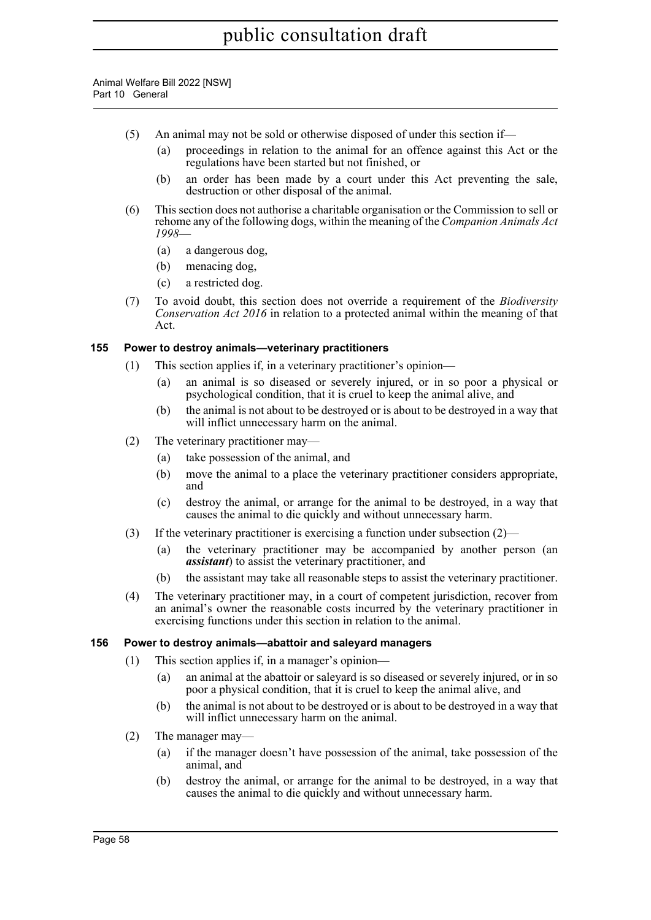Animal Welfare Bill 2022 [NSW] Part 10 General

- (5) An animal may not be sold or otherwise disposed of under this section if—
	- (a) proceedings in relation to the animal for an offence against this Act or the regulations have been started but not finished, or
	- (b) an order has been made by a court under this Act preventing the sale, destruction or other disposal of the animal.
- (6) This section does not authorise a charitable organisation or the Commission to sell or rehome any of the following dogs, within the meaning of the *Companion Animals Act 1998*—
	- (a) a dangerous dog,
	- (b) menacing dog,
	- (c) a restricted dog.
- (7) To avoid doubt, this section does not override a requirement of the *Biodiversity Conservation Act 2016* in relation to a protected animal within the meaning of that Act.

#### **155 Power to destroy animals—veterinary practitioners**

- (1) This section applies if, in a veterinary practitioner's opinion—
	- (a) an animal is so diseased or severely injured, or in so poor a physical or psychological condition, that it is cruel to keep the animal alive, and
	- (b) the animal is not about to be destroyed or is about to be destroyed in a way that will inflict unnecessary harm on the animal.
- (2) The veterinary practitioner may—
	- (a) take possession of the animal, and
	- (b) move the animal to a place the veterinary practitioner considers appropriate, and
	- (c) destroy the animal, or arrange for the animal to be destroyed, in a way that causes the animal to die quickly and without unnecessary harm.
- (3) If the veterinary practitioner is exercising a function under subsection  $(2)$ 
	- (a) the veterinary practitioner may be accompanied by another person (an *assistant*) to assist the veterinary practitioner, and
	- (b) the assistant may take all reasonable steps to assist the veterinary practitioner.
- (4) The veterinary practitioner may, in a court of competent jurisdiction, recover from an animal's owner the reasonable costs incurred by the veterinary practitioner in exercising functions under this section in relation to the animal.

#### **156 Power to destroy animals—abattoir and saleyard managers**

- (1) This section applies if, in a manager's opinion—
	- (a) an animal at the abattoir or saleyard is so diseased or severely injured, or in so poor a physical condition, that it is cruel to keep the animal alive, and
	- (b) the animal is not about to be destroyed or is about to be destroyed in a way that will inflict unnecessary harm on the animal.
- (2) The manager may—
	- (a) if the manager doesn't have possession of the animal, take possession of the animal, and
	- (b) destroy the animal, or arrange for the animal to be destroyed, in a way that causes the animal to die quickly and without unnecessary harm.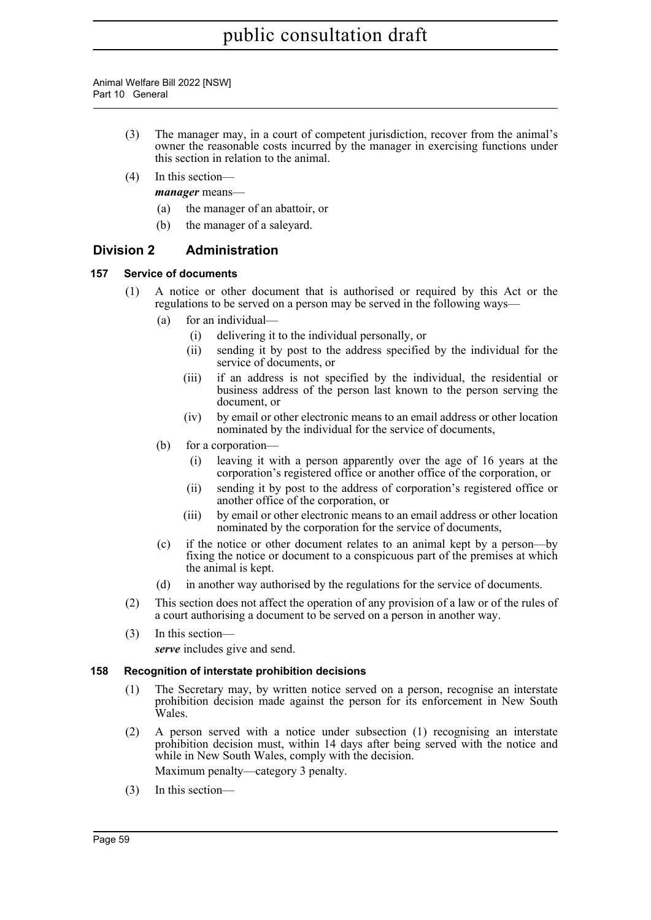- (3) The manager may, in a court of competent jurisdiction, recover from the animal's owner the reasonable costs incurred by the manager in exercising functions under this section in relation to the animal.
- (4) In this section—

*manager* means—

- (a) the manager of an abattoir, or
- (b) the manager of a saleyard.

## **Division 2 Administration**

## **157 Service of documents**

- (1) A notice or other document that is authorised or required by this Act or the regulations to be served on a person may be served in the following ways—
	- (a) for an individual—
		- (i) delivering it to the individual personally, or
		- (ii) sending it by post to the address specified by the individual for the service of documents, or
		- (iii) if an address is not specified by the individual, the residential or business address of the person last known to the person serving the document, or
		- (iv) by email or other electronic means to an email address or other location nominated by the individual for the service of documents,
	- (b) for a corporation—
		- (i) leaving it with a person apparently over the age of 16 years at the corporation's registered office or another office of the corporation, or
		- (ii) sending it by post to the address of corporation's registered office or another office of the corporation, or
		- (iii) by email or other electronic means to an email address or other location nominated by the corporation for the service of documents,
	- (c) if the notice or other document relates to an animal kept by a person—by fixing the notice or document to a conspicuous part of the premises at which the animal is kept.
	- (d) in another way authorised by the regulations for the service of documents.
- (2) This section does not affect the operation of any provision of a law or of the rules of a court authorising a document to be served on a person in another way.
- (3) In this section *serve* includes give and send.

#### **158 Recognition of interstate prohibition decisions**

- (1) The Secretary may, by written notice served on a person, recognise an interstate prohibition decision made against the person for its enforcement in New South Wales.
- (2) A person served with a notice under subsection (1) recognising an interstate prohibition decision must, within 14 days after being served with the notice and while in New South Wales, comply with the decision. Maximum penalty—category 3 penalty.
- (3) In this section—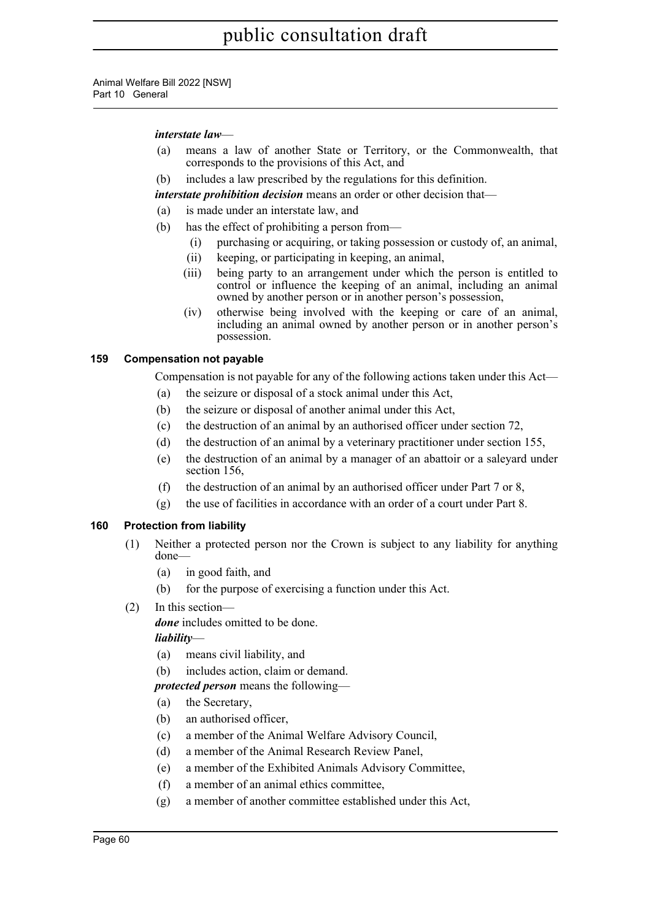#### *interstate law*—

- (a) means a law of another State or Territory, or the Commonwealth, that corresponds to the provisions of this Act, and
- (b) includes a law prescribed by the regulations for this definition.

*interstate prohibition decision* means an order or other decision that—

- (a) is made under an interstate law, and
- (b) has the effect of prohibiting a person from—
	- (i) purchasing or acquiring, or taking possession or custody of, an animal,
	- (ii) keeping, or participating in keeping, an animal,
	- (iii) being party to an arrangement under which the person is entitled to control or influence the keeping of an animal, including an animal owned by another person or in another person's possession,
	- (iv) otherwise being involved with the keeping or care of an animal, including an animal owned by another person or in another person's possession.

#### **159 Compensation not payable**

Compensation is not payable for any of the following actions taken under this Act—

- (a) the seizure or disposal of a stock animal under this Act,
- (b) the seizure or disposal of another animal under this Act,
- (c) the destruction of an animal by an authorised officer under section 72,
- (d) the destruction of an animal by a veterinary practitioner under section 155,
- (e) the destruction of an animal by a manager of an abattoir or a saleyard under section 156,
- (f) the destruction of an animal by an authorised officer under Part 7 or 8,
- (g) the use of facilities in accordance with an order of a court under Part 8.

#### **160 Protection from liability**

- (1) Neither a protected person nor the Crown is subject to any liability for anything done—
	- (a) in good faith, and
	- (b) for the purpose of exercising a function under this Act.
- (2) In this section—

*done* includes omitted to be done.

#### *liability*—

(a) means civil liability, and

(b) includes action, claim or demand.

- *protected person* means the following—
- (a) the Secretary,
- (b) an authorised officer,
- (c) a member of the Animal Welfare Advisory Council,
- (d) a member of the Animal Research Review Panel,
- (e) a member of the Exhibited Animals Advisory Committee,
- (f) a member of an animal ethics committee,
- (g) a member of another committee established under this Act,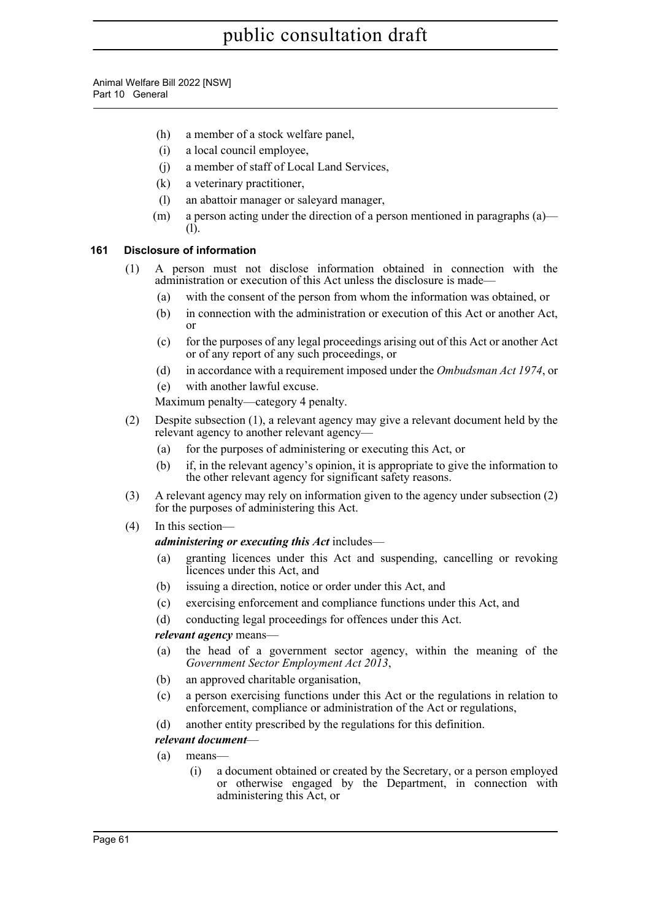Animal Welfare Bill 2022 [NSW] Part 10 General

- (h) a member of a stock welfare panel,
- (i) a local council employee,
- (j) a member of staff of Local Land Services,
- (k) a veterinary practitioner,
- (l) an abattoir manager or saleyard manager,
- (m) a person acting under the direction of a person mentioned in paragraphs (a)— (l).

#### **161 Disclosure of information**

- (1) A person must not disclose information obtained in connection with the administration or execution of this Act unless the disclosure is made—
	- (a) with the consent of the person from whom the information was obtained, or
	- (b) in connection with the administration or execution of this Act or another Act, or
	- (c) for the purposes of any legal proceedings arising out of this Act or another Act or of any report of any such proceedings, or
	- (d) in accordance with a requirement imposed under the *Ombudsman Act 1974*, or
	- (e) with another lawful excuse.

Maximum penalty—category 4 penalty.

- (2) Despite subsection (1), a relevant agency may give a relevant document held by the relevant agency to another relevant agency—
	- (a) for the purposes of administering or executing this Act, or
	- (b) if, in the relevant agency's opinion, it is appropriate to give the information to the other relevant agency for significant safety reasons.
- (3) A relevant agency may rely on information given to the agency under subsection (2) for the purposes of administering this Act.
- (4) In this section—

#### *administering or executing this Act* includes—

- (a) granting licences under this Act and suspending, cancelling or revoking licences under this Act, and
- (b) issuing a direction, notice or order under this Act, and
- (c) exercising enforcement and compliance functions under this Act, and
- (d) conducting legal proceedings for offences under this Act.

*relevant agency* means—

- (a) the head of a government sector agency, within the meaning of the *Government Sector Employment Act 2013*,
- (b) an approved charitable organisation,
- (c) a person exercising functions under this Act or the regulations in relation to enforcement, compliance or administration of the Act or regulations,
- (d) another entity prescribed by the regulations for this definition.

#### *relevant document*—

- (a) means—
	- (i) a document obtained or created by the Secretary, or a person employed or otherwise engaged by the Department, in connection with administering this Act, or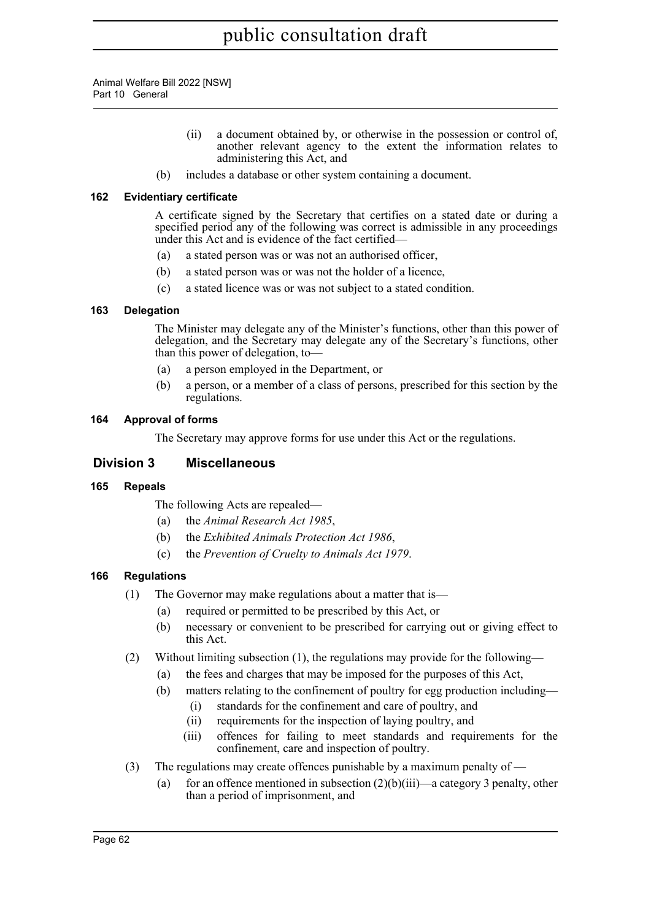Animal Welfare Bill 2022 [NSW] Part 10 General

- (ii) a document obtained by, or otherwise in the possession or control of, another relevant agency to the extent the information relates to administering this Act, and
- (b) includes a database or other system containing a document.

#### **162 Evidentiary certificate**

A certificate signed by the Secretary that certifies on a stated date or during a specified period any of the following was correct is admissible in any proceedings under this Act and is evidence of the fact certified—

- (a) a stated person was or was not an authorised officer,
- (b) a stated person was or was not the holder of a licence,
- (c) a stated licence was or was not subject to a stated condition.

#### **163 Delegation**

The Minister may delegate any of the Minister's functions, other than this power of delegation, and the Secretary may delegate any of the Secretary's functions, other than this power of delegation, to—

- (a) a person employed in the Department, or
- (b) a person, or a member of a class of persons, prescribed for this section by the regulations.

#### **164 Approval of forms**

The Secretary may approve forms for use under this Act or the regulations.

## **Division 3 Miscellaneous**

#### **165 Repeals**

The following Acts are repealed—

- (a) the *Animal Research Act 1985*,
- (b) the *Exhibited Animals Protection Act 1986*,
- (c) the *Prevention of Cruelty to Animals Act 1979*.

#### **166 Regulations**

- (1) The Governor may make regulations about a matter that is—
	- (a) required or permitted to be prescribed by this Act, or
	- (b) necessary or convenient to be prescribed for carrying out or giving effect to this Act.
- (2) Without limiting subsection (1), the regulations may provide for the following—
	- (a) the fees and charges that may be imposed for the purposes of this Act,
	- (b) matters relating to the confinement of poultry for egg production including—
		- (i) standards for the confinement and care of poultry, and
		- (ii) requirements for the inspection of laying poultry, and
		- (iii) offences for failing to meet standards and requirements for the confinement, care and inspection of poultry.
- (3) The regulations may create offences punishable by a maximum penalty of
	- (a) for an offence mentioned in subsection  $(2)(b)(iii)$ —a category 3 penalty, other than a period of imprisonment, and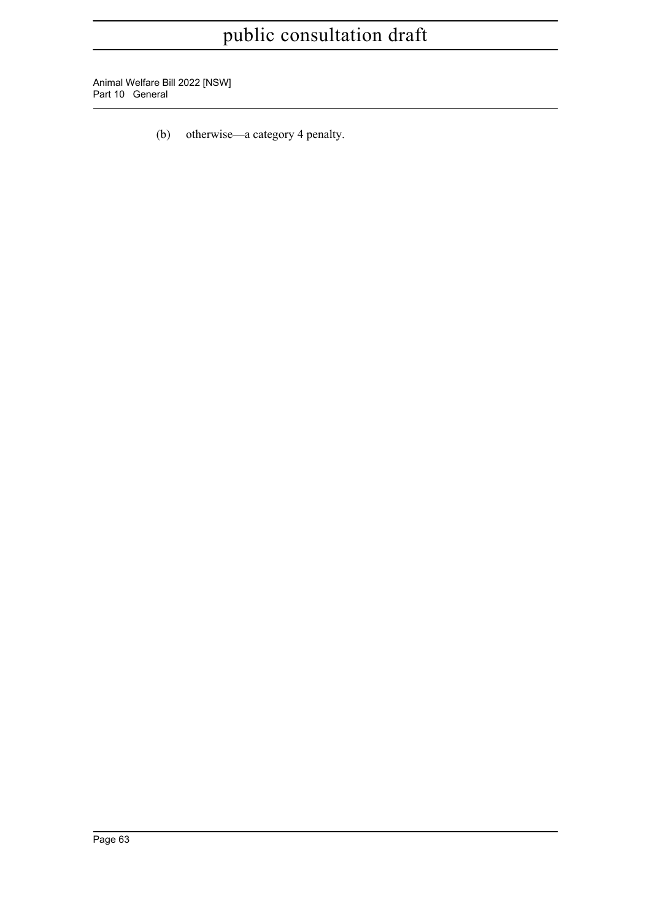Animal Welfare Bill 2022 [NSW] Part 10 General

(b) otherwise—a category 4 penalty.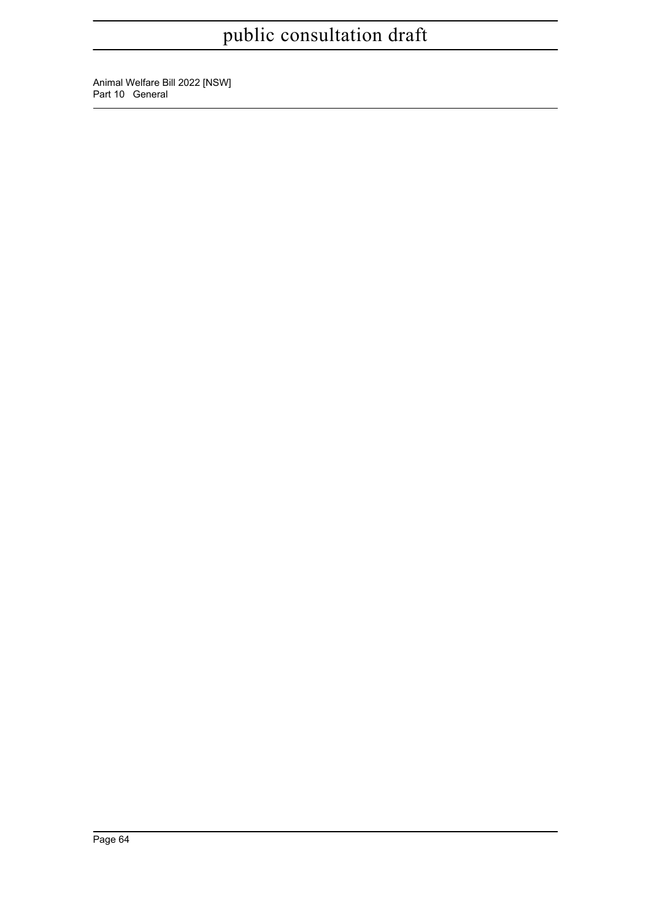Animal Welfare Bill 2022 [NSW] Part 10 General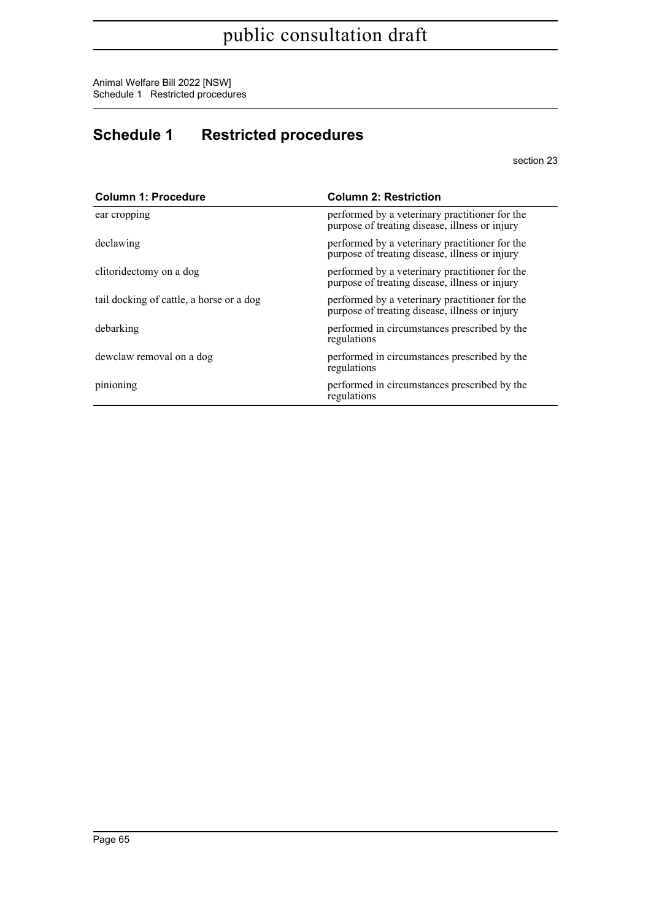## **Schedule 1 Restricted procedures**

section 23

| <b>Column 1: Procedure</b>               | <b>Column 2: Restriction</b>                                                                     |
|------------------------------------------|--------------------------------------------------------------------------------------------------|
| ear cropping                             | performed by a veterinary practitioner for the<br>purpose of treating disease, illness or injury |
| declawing                                | performed by a veterinary practitioner for the<br>purpose of treating disease, illness or injury |
| clitoridectomy on a dog                  | performed by a veterinary practitioner for the<br>purpose of treating disease, illness or injury |
| tail docking of cattle, a horse or a dog | performed by a veterinary practitioner for the<br>purpose of treating disease, illness or injury |
| debarking                                | performed in circumstances prescribed by the<br>regulations                                      |
| dewclaw removal on a dog                 | performed in circumstances prescribed by the<br>regulations                                      |
| pinioning                                | performed in circumstances prescribed by the<br>regulations                                      |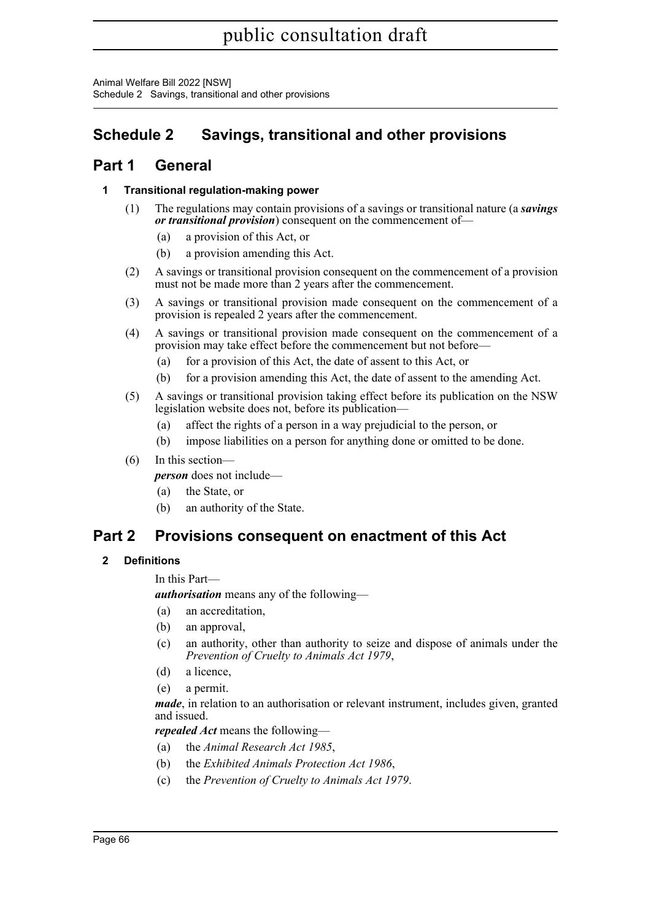Animal Welfare Bill 2022 [NSW] Schedule 2 Savings, transitional and other provisions

# **Schedule 2 Savings, transitional and other provisions**

# **Part 1 General**

- **1 Transitional regulation-making power**
	- (1) The regulations may contain provisions of a savings or transitional nature (a *savings or transitional provision*) consequent on the commencement of—
		- (a) a provision of this Act, or
		- (b) a provision amending this Act.
	- (2) A savings or transitional provision consequent on the commencement of a provision must not be made more than 2 years after the commencement.
	- (3) A savings or transitional provision made consequent on the commencement of a provision is repealed 2 years after the commencement.
	- (4) A savings or transitional provision made consequent on the commencement of a provision may take effect before the commencement but not before—
		- (a) for a provision of this Act, the date of assent to this Act, or
		- (b) for a provision amending this Act, the date of assent to the amending Act.
	- (5) A savings or transitional provision taking effect before its publication on the NSW legislation website does not, before its publication—
		- (a) affect the rights of a person in a way prejudicial to the person, or
		- (b) impose liabilities on a person for anything done or omitted to be done.
	- (6) In this section
		- *person* does not include—
		- (a) the State, or
		- (b) an authority of the State.

# **Part 2 Provisions consequent on enactment of this Act**

**2 Definitions**

In this Part—

*authorisation* means any of the following—

- (a) an accreditation,
- (b) an approval,
- (c) an authority, other than authority to seize and dispose of animals under the *Prevention of Cruelty to Animals Act 1979*,
- (d) a licence,
- (e) a permit.

*made*, in relation to an authorisation or relevant instrument, includes given, granted and issued.

*repealed Act* means the following—

- (a) the *Animal Research Act 1985*,
- (b) the *Exhibited Animals Protection Act 1986*,
- (c) the *Prevention of Cruelty to Animals Act 1979*.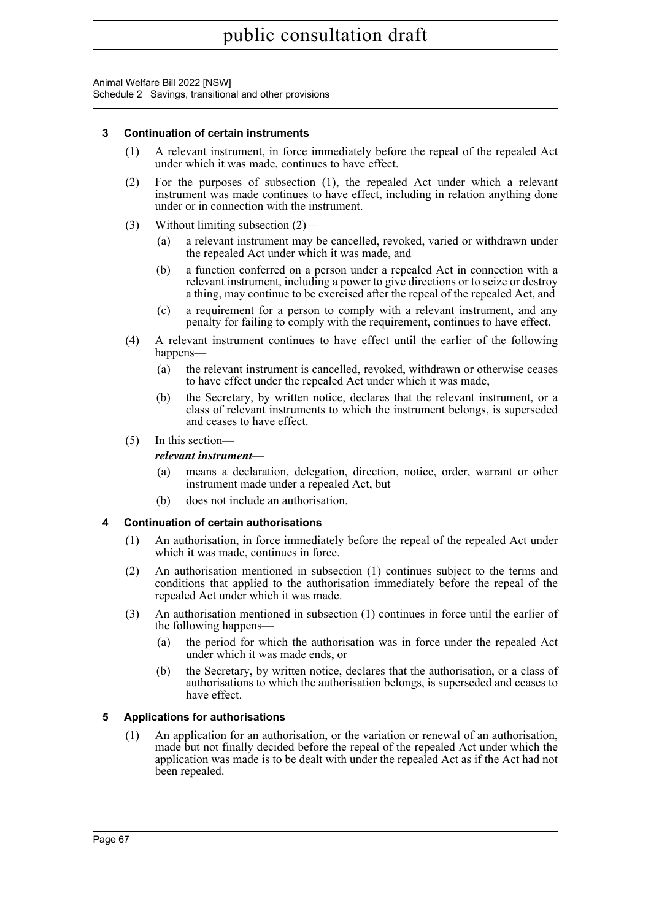Animal Welfare Bill 2022 [NSW] Schedule 2 Savings, transitional and other provisions

#### **3 Continuation of certain instruments**

- (1) A relevant instrument, in force immediately before the repeal of the repealed Act under which it was made, continues to have effect.
- (2) For the purposes of subsection (1), the repealed Act under which a relevant instrument was made continues to have effect, including in relation anything done under or in connection with the instrument.
- (3) Without limiting subsection (2)—
	- (a) a relevant instrument may be cancelled, revoked, varied or withdrawn under the repealed Act under which it was made, and
	- (b) a function conferred on a person under a repealed Act in connection with a relevant instrument, including a power to give directions or to seize or destroy a thing, may continue to be exercised after the repeal of the repealed Act, and
	- (c) a requirement for a person to comply with a relevant instrument, and any penalty for failing to comply with the requirement, continues to have effect.
- (4) A relevant instrument continues to have effect until the earlier of the following happens—
	- (a) the relevant instrument is cancelled, revoked, withdrawn or otherwise ceases to have effect under the repealed Act under which it was made,
	- (b) the Secretary, by written notice, declares that the relevant instrument, or a class of relevant instruments to which the instrument belongs, is superseded and ceases to have effect.
- (5) In this section—

#### *relevant instrument*—

- (a) means a declaration, delegation, direction, notice, order, warrant or other instrument made under a repealed Act, but
- (b) does not include an authorisation.

#### **4 Continuation of certain authorisations**

- (1) An authorisation, in force immediately before the repeal of the repealed Act under which it was made, continues in force.
- (2) An authorisation mentioned in subsection (1) continues subject to the terms and conditions that applied to the authorisation immediately before the repeal of the repealed Act under which it was made.
- (3) An authorisation mentioned in subsection (1) continues in force until the earlier of the following happens—
	- (a) the period for which the authorisation was in force under the repealed Act under which it was made ends, or
	- (b) the Secretary, by written notice, declares that the authorisation, or a class of authorisations to which the authorisation belongs, is superseded and ceases to have effect.

#### **5 Applications for authorisations**

(1) An application for an authorisation, or the variation or renewal of an authorisation, made but not finally decided before the repeal of the repealed Act under which the application was made is to be dealt with under the repealed Act as if the Act had not been repealed.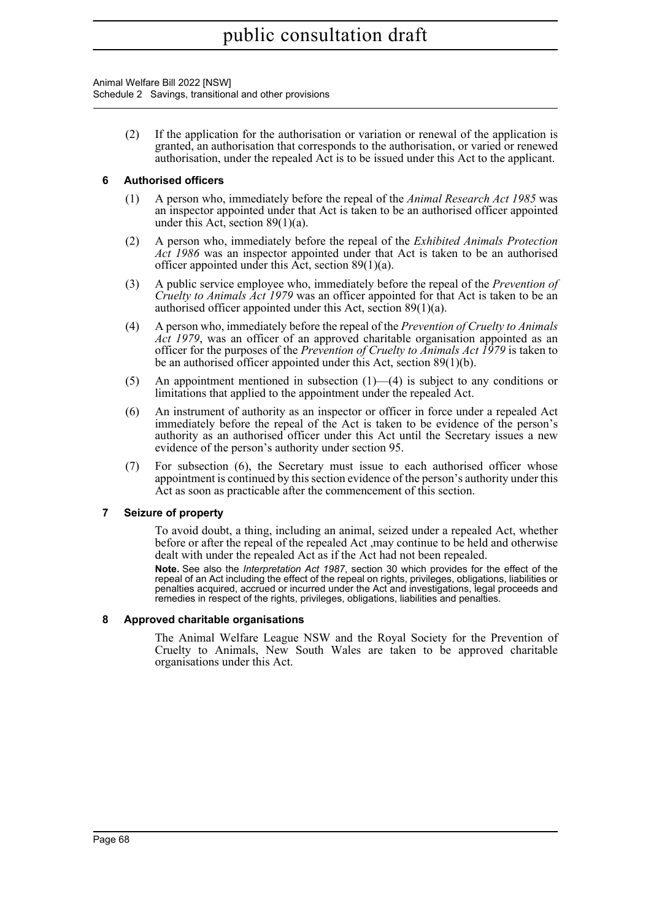Animal Welfare Bill 2022 [NSW] Schedule 2 Savings, transitional and other provisions

> (2) If the application for the authorisation or variation or renewal of the application is granted, an authorisation that corresponds to the authorisation, or varied or renewed authorisation, under the repealed Act is to be issued under this Act to the applicant.

### **6 Authorised officers**

- (1) A person who, immediately before the repeal of the *Animal Research Act 1985* was an inspector appointed under that Act is taken to be an authorised officer appointed under this Act, section  $89(1)(a)$ .
- (2) A person who, immediately before the repeal of the *Exhibited Animals Protection Act 1986* was an inspector appointed under that Act is taken to be an authorised officer appointed under this Act, section 89(1)(a).
- (3) A public service employee who, immediately before the repeal of the *Prevention of Cruelty to Animals Act 1979* was an officer appointed for that Act is taken to be an authorised officer appointed under this Act, section 89(1)(a).
- (4) A person who, immediately before the repeal of the *Prevention of Cruelty to Animals Act 1979*, was an officer of an approved charitable organisation appointed as an officer for the purposes of the *Prevention of Cruelty to Animals Act 1979* is taken to be an authorised officer appointed under this Act, section 89(1)(b).
- (5) An appointment mentioned in subsection (1)—(4) is subject to any conditions or limitations that applied to the appointment under the repealed Act.
- (6) An instrument of authority as an inspector or officer in force under a repealed Act immediately before the repeal of the Act is taken to be evidence of the person's authority as an authorised officer under this Act until the Secretary issues a new evidence of the person's authority under section 95.
- (7) For subsection (6), the Secretary must issue to each authorised officer whose appointment is continued by this section evidence of the person's authority under this Act as soon as practicable after the commencement of this section.

#### **7 Seizure of property**

To avoid doubt, a thing, including an animal, seized under a repealed Act, whether before or after the repeal of the repealed Act ,may continue to be held and otherwise dealt with under the repealed Act as if the Act had not been repealed.

**Note.** See also the *Interpretation Act 1987*, section 30 which provides for the effect of the repeal of an Act including the effect of the repeal on rights, privileges, obligations, liabilities or penalties acquired, accrued or incurred under the Act and investigations, legal proceeds and remedies in respect of the rights, privileges, obligations, liabilities and penalties.

#### **8 Approved charitable organisations**

The Animal Welfare League NSW and the Royal Society for the Prevention of Cruelty to Animals, New South Wales are taken to be approved charitable organisations under this Act.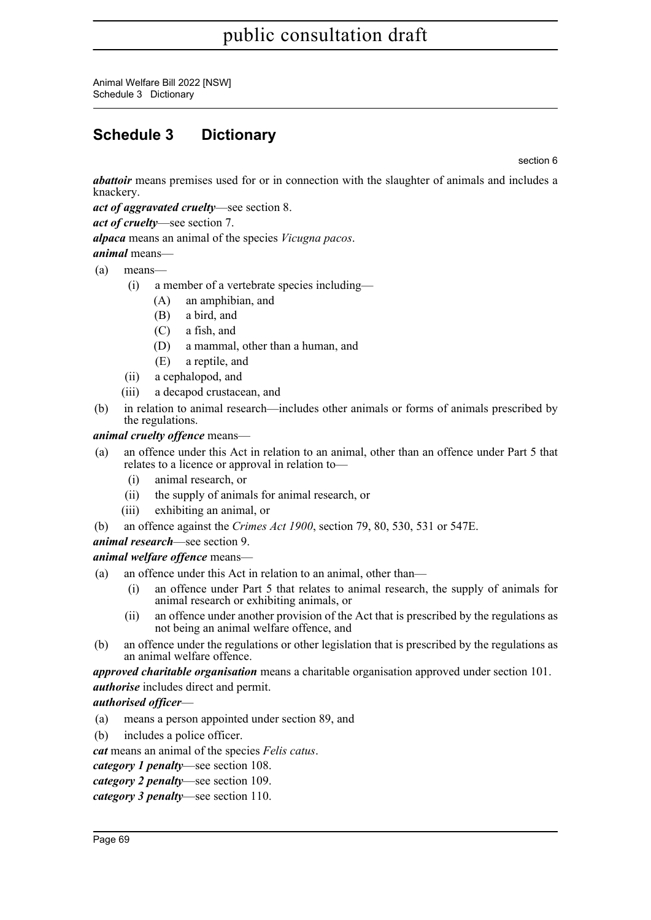Animal Welfare Bill 2022 [NSW] Schedule 3 Dictionary

# **Schedule 3 Dictionary**

section 6

*abattoir* means premises used for or in connection with the slaughter of animals and includes a knackery.

*act of aggravated cruelty*—see section 8.

*act of cruelty*—see section 7.

*alpaca* means an animal of the species *Vicugna pacos*.

*animal* means—

- (a) means—
	- (i) a member of a vertebrate species including—
		- (A) an amphibian, and
		- (B) a bird, and
		- (C) a fish, and
		- (D) a mammal, other than a human, and
		- (E) a reptile, and
	- (ii) a cephalopod, and
	- (iii) a decapod crustacean, and
- (b) in relation to animal research—includes other animals or forms of animals prescribed by the regulations.

*animal cruelty offence* means—

- (a) an offence under this Act in relation to an animal, other than an offence under Part 5 that relates to a licence or approval in relation to—
	- (i) animal research, or
	- (ii) the supply of animals for animal research, or
	- (iii) exhibiting an animal, or
- (b) an offence against the *Crimes Act 1900*, section 79, 80, 530, 531 or 547E.
- *animal research*—see section 9.

*animal welfare offence* means—

- (a) an offence under this Act in relation to an animal, other than—
	- (i) an offence under Part 5 that relates to animal research, the supply of animals for animal research or exhibiting animals, or
	- (ii) an offence under another provision of the Act that is prescribed by the regulations as not being an animal welfare offence, and
- (b) an offence under the regulations or other legislation that is prescribed by the regulations as an animal welfare offence.

*approved charitable organisation* means a charitable organisation approved under section 101. *authorise* includes direct and permit.

*authorised officer*—

- (a) means a person appointed under section 89, and
- (b) includes a police officer.

*cat* means an animal of the species *Felis catus*.

*category 1 penalty*—see section 108.

*category 2 penalty*—see section 109.

*category 3 penalty*—see section 110.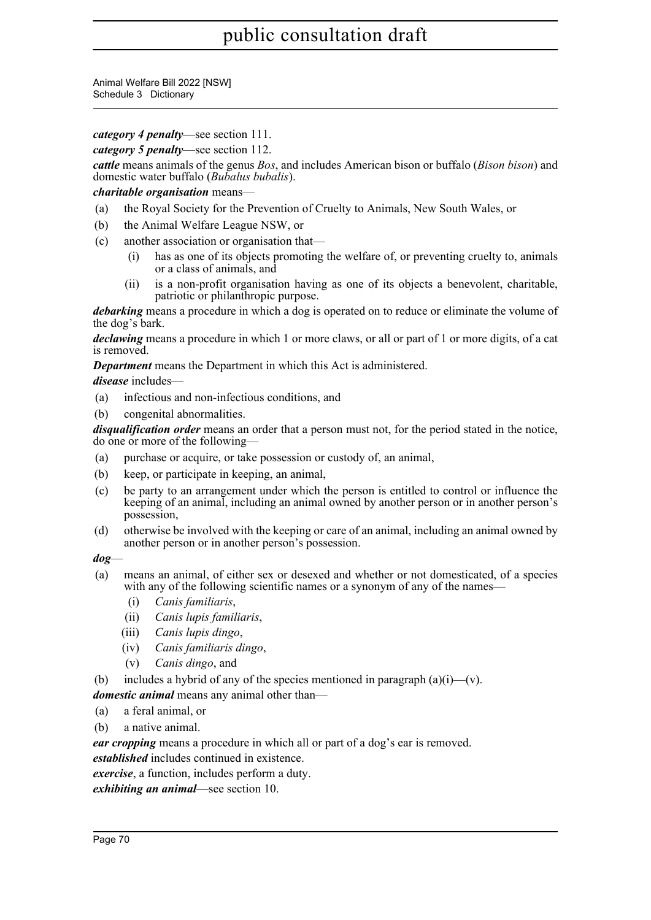Animal Welfare Bill 2022 [NSW] Schedule 3 Dictionary

*category 4 penalty*—see section 111.

*category 5 penalty*—see section 112.

*cattle* means animals of the genus *Bos*, and includes American bison or buffalo (*Bison bison*) and domestic water buffalo (*Bubalus bubalis*).

*charitable organisation* means—

- (a) the Royal Society for the Prevention of Cruelty to Animals, New South Wales, or
- (b) the Animal Welfare League NSW, or
- (c) another association or organisation that—
	- (i) has as one of its objects promoting the welfare of, or preventing cruelty to, animals or a class of animals, and
	- (ii) is a non-profit organisation having as one of its objects a benevolent, charitable, patriotic or philanthropic purpose.

*debarking* means a procedure in which a dog is operated on to reduce or eliminate the volume of the dog's bark.

*declawing* means a procedure in which 1 or more claws, or all or part of 1 or more digits, of a cat is removed.

*Department* means the Department in which this Act is administered.

*disease* includes—

- (a) infectious and non-infectious conditions, and
- (b) congenital abnormalities.

*disqualification order* means an order that a person must not, for the period stated in the notice, do one or more of the following—

- (a) purchase or acquire, or take possession or custody of, an animal,
- (b) keep, or participate in keeping, an animal,
- (c) be party to an arrangement under which the person is entitled to control or influence the keeping of an animal, including an animal owned by another person or in another person's possession,
- (d) otherwise be involved with the keeping or care of an animal, including an animal owned by another person or in another person's possession.

*dog*—

- (a) means an animal, of either sex or desexed and whether or not domesticated, of a species with any of the following scientific names or a synonym of any of the names
	- (i) *Canis familiaris*,
	- (ii) *Canis lupis familiaris*,
	- (iii) *Canis lupis dingo*,
	- (iv) *Canis familiaris dingo*,
	- (v) *Canis dingo*, and
- (b) includes a hybrid of any of the species mentioned in paragraph  $(a)(i)$ — $(v)$ .

*domestic animal* means any animal other than—

- (a) a feral animal, or
- (b) a native animal.

*ear cropping* means a procedure in which all or part of a dog's ear is removed. *established* includes continued in existence.

*exercise*, a function, includes perform a duty.

*exhibiting an animal*—see section 10.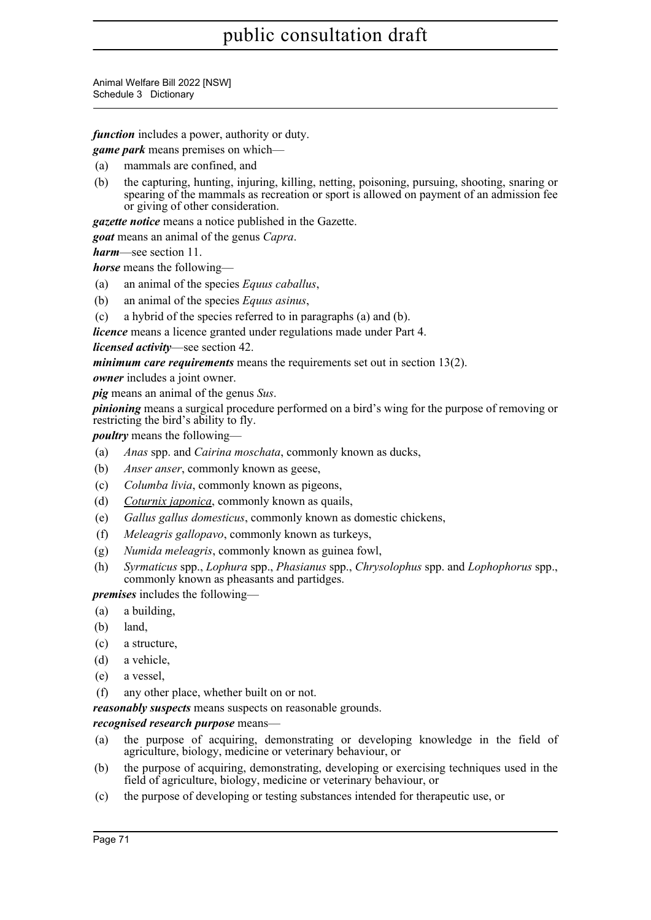Animal Welfare Bill 2022 [NSW] Schedule 3 Dictionary

*function* includes a power, authority or duty.

- *game park* means premises on which—
- (a) mammals are confined, and
- (b) the capturing, hunting, injuring, killing, netting, poisoning, pursuing, shooting, snaring or spearing of the mammals as recreation or sport is allowed on payment of an admission fee or giving of other consideration.

*gazette notice* means a notice published in the Gazette.

*goat* means an animal of the genus *Capra*.

*harm*—see section 11.

*horse* means the following—

- (a) an animal of the species *Equus caballus*,
- (b) an animal of the species *Equus asinus*,
- (c) a hybrid of the species referred to in paragraphs (a) and (b).

*licence* means a licence granted under regulations made under Part 4.

*licensed activity*—see section 42.

*minimum care requirements* means the requirements set out in section 13(2).

*owner* includes a joint owner.

*pig* means an animal of the genus *Sus*.

*pinioning* means a surgical procedure performed on a bird's wing for the purpose of removing or restricting the bird's ability to fly.

*poultry* means the following—

- (a) *Anas* spp. and *Cairina moschata*, commonly known as ducks,
- (b) *Anser anser*, commonly known as geese,
- (c) *Columba livia*, commonly known as pigeons,
- (d) *Coturnix japonica*, commonly known as quails,
- (e) *Gallus gallus domesticus*, commonly known as domestic chickens,
- (f) *Meleagris gallopavo*, commonly known as turkeys,
- (g) *Numida meleagris*, commonly known as guinea fowl,
- (h) *Syrmaticus* spp., *Lophura* spp., *Phasianus* spp., *Chrysolophus* spp. and *Lophophorus* spp., commonly known as pheasants and partidges.

*premises* includes the following—

- (a) a building,
- (b) land,
- (c) a structure,
- (d) a vehicle,
- (e) a vessel,
- (f) any other place, whether built on or not.

*reasonably suspects* means suspects on reasonable grounds.

*recognised research purpose* means—

- (a) the purpose of acquiring, demonstrating or developing knowledge in the field of agriculture, biology, medicine or veterinary behaviour, or
- (b) the purpose of acquiring, demonstrating, developing or exercising techniques used in the field of agriculture, biology, medicine or veterinary behaviour, or
- (c) the purpose of developing or testing substances intended for therapeutic use, or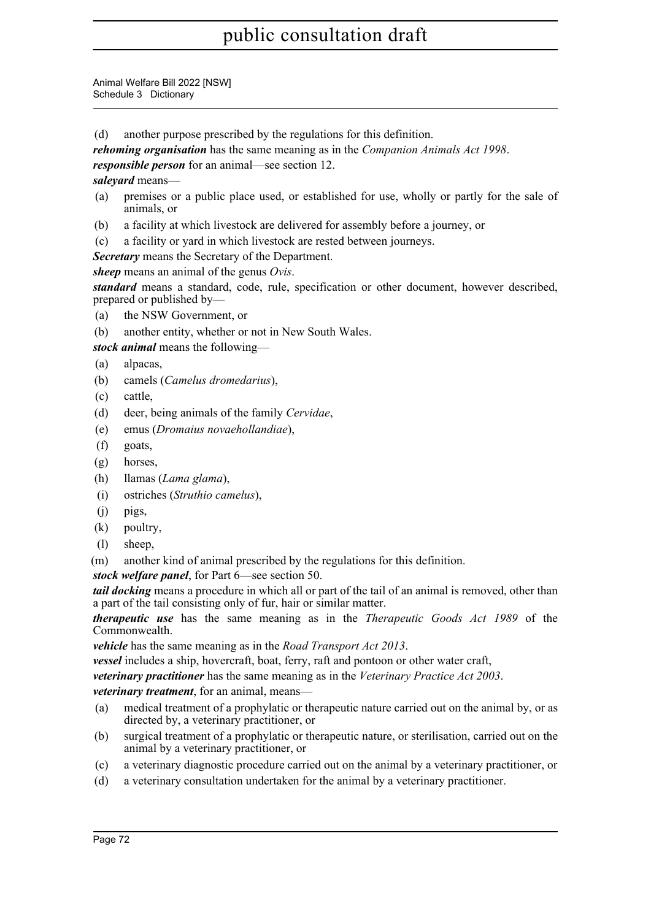Animal Welfare Bill 2022 [NSW] Schedule 3 Dictionary

(d) another purpose prescribed by the regulations for this definition.

*rehoming organisation* has the same meaning as in the *Companion Animals Act 1998*.

*responsible person* for an animal—see section 12.

### *saleyard* means—

- (a) premises or a public place used, or established for use, wholly or partly for the sale of animals, or
- (b) a facility at which livestock are delivered for assembly before a journey, or
- (c) a facility or yard in which livestock are rested between journeys.

*Secretary* means the Secretary of the Department.

*sheep* means an animal of the genus *Ovis*.

*standard* means a standard, code, rule, specification or other document, however described, prepared or published by—

- (a) the NSW Government, or
- (b) another entity, whether or not in New South Wales.

*stock animal* means the following—

- (a) alpacas,
- (b) camels (*Camelus dromedarius*),
- (c) cattle,
- (d) deer, being animals of the family *Cervidae*,
- (e) emus (*Dromaius novaehollandiae*),
- (f) goats,
- (g) horses,
- (h) llamas (*Lama glama*),
- (i) ostriches (*Struthio camelus*),
- (j) pigs,
- (k) poultry,
- (l) sheep,
- (m) another kind of animal prescribed by the regulations for this definition.

*stock welfare panel*, for Part 6—see section 50.

*tail docking* means a procedure in which all or part of the tail of an animal is removed, other than a part of the tail consisting only of fur, hair or similar matter.

*therapeutic use* has the same meaning as in the *Therapeutic Goods Act 1989* of the Commonwealth.

*vehicle* has the same meaning as in the *Road Transport Act 2013*.

*vessel* includes a ship, hovercraft, boat, ferry, raft and pontoon or other water craft,

*veterinary practitioner* has the same meaning as in the *Veterinary Practice Act 2003*.

*veterinary treatment*, for an animal, means—

- (a) medical treatment of a prophylatic or therapeutic nature carried out on the animal by, or as directed by, a veterinary practitioner, or
- (b) surgical treatment of a prophylatic or therapeutic nature, or sterilisation, carried out on the animal by a veterinary practitioner, or
- (c) a veterinary diagnostic procedure carried out on the animal by a veterinary practitioner, or
- (d) a veterinary consultation undertaken for the animal by a veterinary practitioner.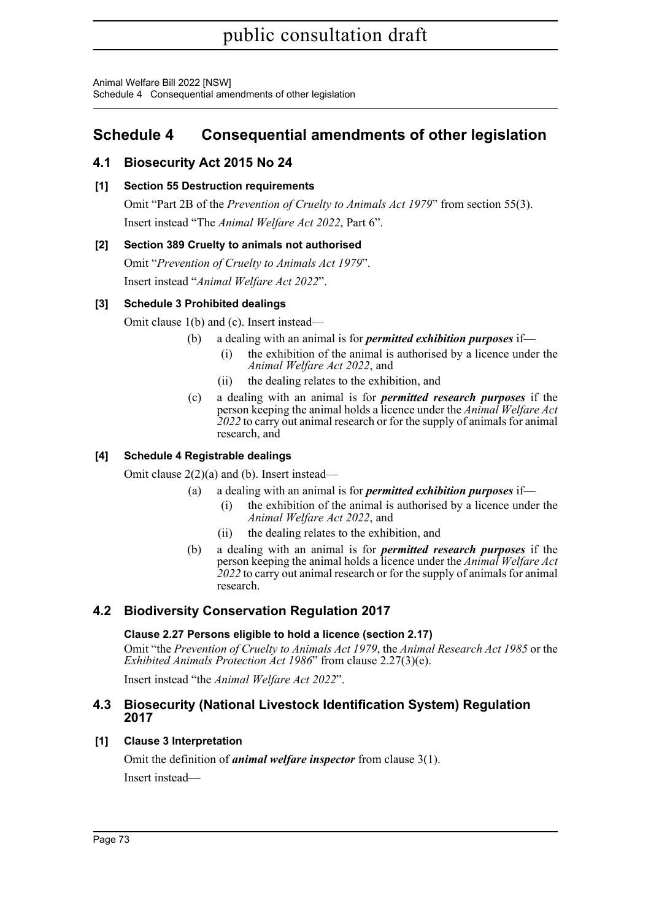Animal Welfare Bill 2022 [NSW] Schedule 4 Consequential amendments of other legislation

# **Schedule 4 Consequential amendments of other legislation**

# **4.1 Biosecurity Act 2015 No 24**

# **[1] Section 55 Destruction requirements**

Omit "Part 2B of the *Prevention of Cruelty to Animals Act 1979*" from section 55(3). Insert instead "The *Animal Welfare Act 2022*, Part 6".

# **[2] Section 389 Cruelty to animals not authorised**

Omit "*Prevention of Cruelty to Animals Act 1979*". Insert instead "*Animal Welfare Act 2022*".

# **[3] Schedule 3 Prohibited dealings**

Omit clause 1(b) and (c). Insert instead—

- (b) a dealing with an animal is for *permitted exhibition purposes* if
	- the exhibition of the animal is authorised by a licence under the *Animal Welfare Act 2022*, and
	- (ii) the dealing relates to the exhibition, and
	- (c) a dealing with an animal is for *permitted research purposes* if the person keeping the animal holds a licence under the *Animal Welfare Act 2022* to carry out animal research or for the supply of animals for animal research, and

# **[4] Schedule 4 Registrable dealings**

Omit clause 2(2)(a) and (b). Insert instead—

- (a) a dealing with an animal is for *permitted exhibition purposes* if—
	- (i) the exhibition of the animal is authorised by a licence under the *Animal Welfare Act 2022*, and
	- (ii) the dealing relates to the exhibition, and
- (b) a dealing with an animal is for *permitted research purposes* if the person keeping the animal holds a licence under the *Animal Welfare Act 2022* to carry out animal research or for the supply of animals for animal research.

# **4.2 Biodiversity Conservation Regulation 2017**

## **Clause 2.27 Persons eligible to hold a licence (section 2.17)**

Omit "the *Prevention of Cruelty to Animals Act 1979*, the *Animal Research Act 1985* or the *Exhibited Animals Protection Act 1986*" from clause 2.27(3)(e).

Insert instead "the *Animal Welfare Act 2022*".

## **4.3 Biosecurity (National Livestock Identification System) Regulation 2017**

## **[1] Clause 3 Interpretation**

Omit the definition of *animal welfare inspector* from clause 3(1). Insert instead—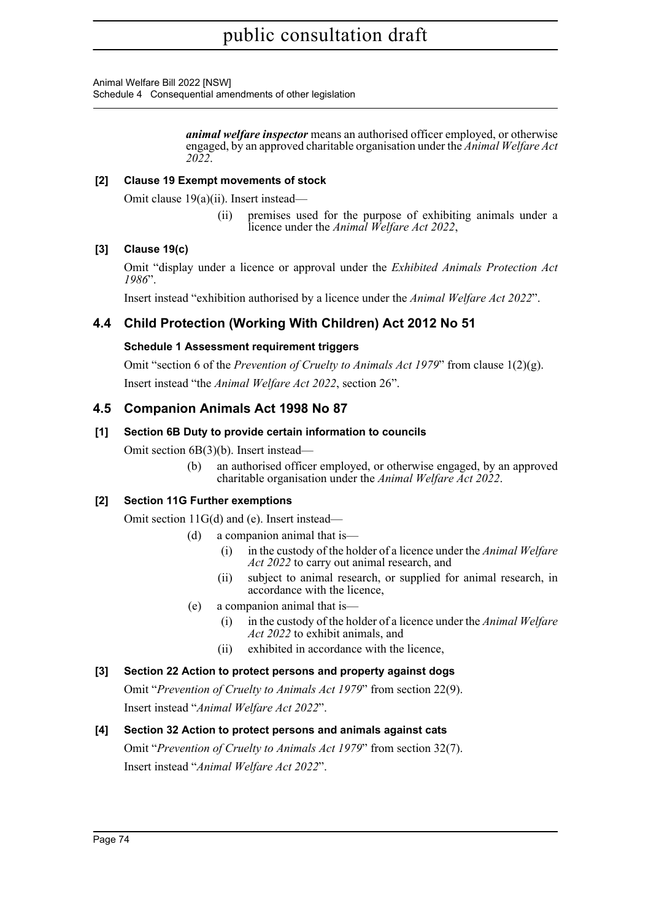Animal Welfare Bill 2022 [NSW] Schedule 4 Consequential amendments of other legislation

> *animal welfare inspector* means an authorised officer employed, or otherwise engaged, by an approved charitable organisation under the *Animal Welfare Act 2022*.

### **[2] Clause 19 Exempt movements of stock**

Omit clause 19(a)(ii). Insert instead—

(ii) premises used for the purpose of exhibiting animals under a licence under the *Animal Welfare Act 2022*,

## **[3] Clause 19(c)**

Omit "display under a licence or approval under the *Exhibited Animals Protection Act 1986*".

Insert instead "exhibition authorised by a licence under the *Animal Welfare Act 2022*".

# **4.4 Child Protection (Working With Children) Act 2012 No 51**

## **Schedule 1 Assessment requirement triggers**

Omit "section 6 of the *Prevention of Cruelty to Animals Act 1979*" from clause 1(2)(g). Insert instead "the *Animal Welfare Act 2022*, section 26".

# **4.5 Companion Animals Act 1998 No 87**

### **[1] Section 6B Duty to provide certain information to councils**

Omit section 6B(3)(b). Insert instead—

(b) an authorised officer employed, or otherwise engaged, by an approved charitable organisation under the *Animal Welfare Act 2022*.

## **[2] Section 11G Further exemptions**

Omit section 11G(d) and (e). Insert instead—

- (d) a companion animal that is
	- in the custody of the holder of a licence under the *Animal Welfare Act 2022* to carry out animal research, and
	- (ii) subject to animal research, or supplied for animal research, in accordance with the licence,
- (e) a companion animal that is—
	- (i) in the custody of the holder of a licence under the *Animal Welfare Act 2022* to exhibit animals, and
	- (ii) exhibited in accordance with the licence,

## **[3] Section 22 Action to protect persons and property against dogs**

Omit "*Prevention of Cruelty to Animals Act 1979*" from section 22(9). Insert instead "*Animal Welfare Act 2022*".

# **[4] Section 32 Action to protect persons and animals against cats**

Omit "*Prevention of Cruelty to Animals Act 1979*" from section 32(7). Insert instead "*Animal Welfare Act 2022*".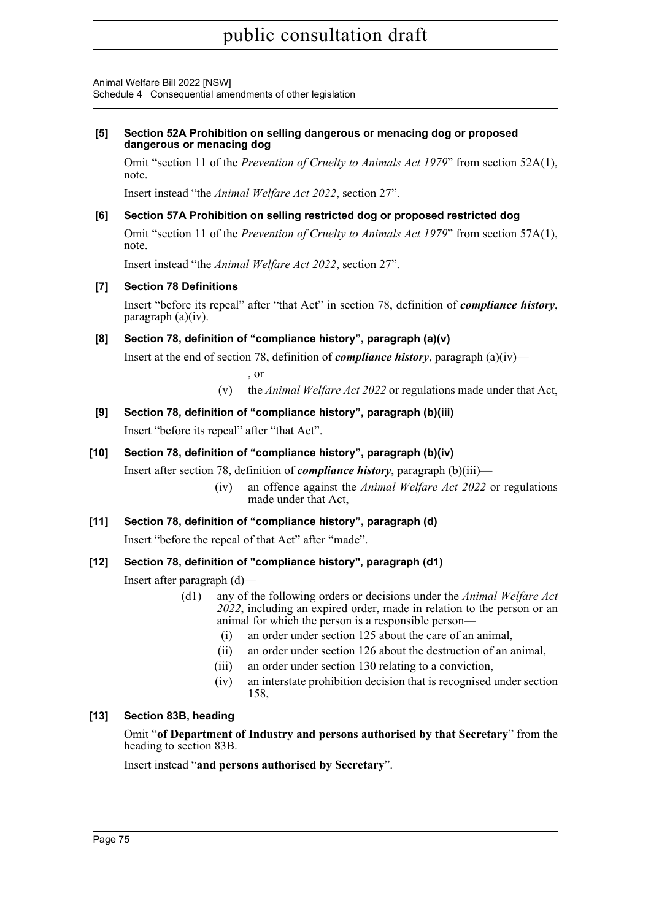Animal Welfare Bill 2022 [NSW] Schedule 4 Consequential amendments of other legislation

#### **[5] Section 52A Prohibition on selling dangerous or menacing dog or proposed dangerous or menacing dog**

Omit "section 11 of the *Prevention of Cruelty to Animals Act 1979*" from section 52A(1), note.

Insert instead "the *Animal Welfare Act 2022*, section 27".

## **[6] Section 57A Prohibition on selling restricted dog or proposed restricted dog**

Omit "section 11 of the *Prevention of Cruelty to Animals Act 1979*" from section 57A(1), note.

Insert instead "the *Animal Welfare Act 2022*, section 27".

### **[7] Section 78 Definitions**

Insert "before its repeal" after "that Act" in section 78, definition of *compliance history*, paragraph (a)(iv).

## **[8] Section 78, definition of "compliance history", paragraph (a)(v)**

Insert at the end of section 78, definition of *compliance history*, paragraph (a)(iv)—

, or

(v) the *Animal Welfare Act 2022* or regulations made under that Act,

## **[9] Section 78, definition of "compliance history", paragraph (b)(iii)**

Insert "before its repeal" after "that Act".

## **[10] Section 78, definition of "compliance history", paragraph (b)(iv)**

Insert after section 78, definition of *compliance history*, paragraph (b)(iii)—

- (iv) an offence against the *Animal Welfare Act 2022* or regulations made under that Act,
- **[11] Section 78, definition of "compliance history", paragraph (d)** Insert "before the repeal of that Act" after "made".

## **[12] Section 78, definition of "compliance history", paragraph (d1)**

Insert after paragraph (d)—

- (d1) any of the following orders or decisions under the *Animal Welfare Act 2022*, including an expired order, made in relation to the person or an animal for which the person is a responsible person—
	- (i) an order under section 125 about the care of an animal,
	- (ii) an order under section 126 about the destruction of an animal,
	- (iii) an order under section 130 relating to a conviction,
	- (iv) an interstate prohibition decision that is recognised under section 158,

# **[13] Section 83B, heading**

Omit "**of Department of Industry and persons authorised by that Secretary**" from the heading to section 83B.

Insert instead "**and persons authorised by Secretary**".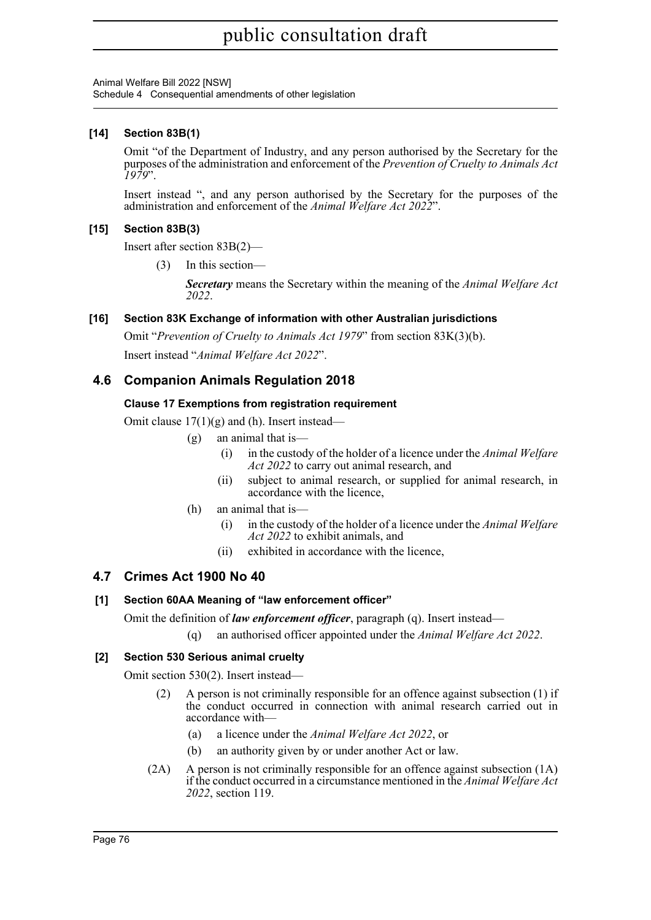Animal Welfare Bill 2022 [NSW] Schedule 4 Consequential amendments of other legislation

## **[14] Section 83B(1)**

Omit "of the Department of Industry, and any person authorised by the Secretary for the purposes of the administration and enforcement of the *Prevention of Cruelty to Animals Act 1979*".

Insert instead ", and any person authorised by the Secretary for the purposes of the administration and enforcement of the *Animal Welfare Act 2022*".

## **[15] Section 83B(3)**

Insert after section 83B(2)—

(3) In this section—

*Secretary* means the Secretary within the meaning of the *Animal Welfare Act 2022*.

## **[16] Section 83K Exchange of information with other Australian jurisdictions**

Omit "*Prevention of Cruelty to Animals Act 1979*" from section 83K(3)(b). Insert instead "*Animal Welfare Act 2022*".

# **4.6 Companion Animals Regulation 2018**

### **Clause 17 Exemptions from registration requirement**

Omit clause  $17(1)(g)$  and (h). Insert instead—

- $(g)$  an animal that is
	- (i) in the custody of the holder of a licence under the *Animal Welfare Act 2022* to carry out animal research, and
	- (ii) subject to animal research, or supplied for animal research, in accordance with the licence,
- (h) an animal that is—
	- (i) in the custody of the holder of a licence under the *Animal Welfare Act 2022* to exhibit animals, and
	- (ii) exhibited in accordance with the licence,

# **4.7 Crimes Act 1900 No 40**

## **[1] Section 60AA Meaning of "law enforcement officer"**

Omit the definition of *law enforcement officer*, paragraph (q). Insert instead—

(q) an authorised officer appointed under the *Animal Welfare Act 2022*.

## **[2] Section 530 Serious animal cruelty**

Omit section 530(2). Insert instead—

- (2) A person is not criminally responsible for an offence against subsection (1) if the conduct occurred in connection with animal research carried out in accordance with—
	- (a) a licence under the *Animal Welfare Act 2022*, or
	- (b) an authority given by or under another Act or law.
- (2A) A person is not criminally responsible for an offence against subsection (1A) if the conduct occurred in a circumstance mentioned in the *Animal Welfare Act 2022*, section 119.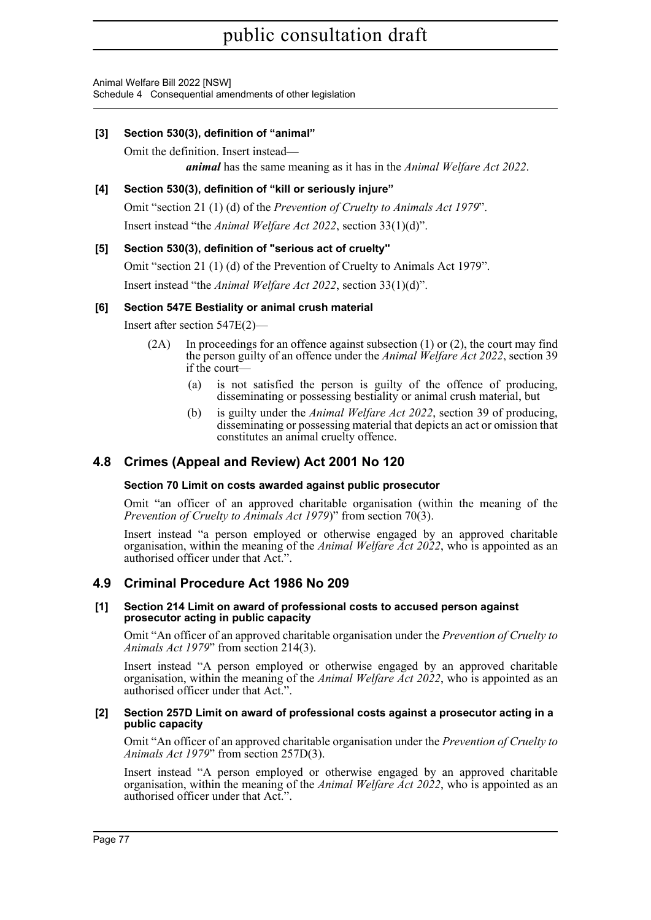Animal Welfare Bill 2022 [NSW] Schedule 4 Consequential amendments of other legislation

## **[3] Section 530(3), definition of "animal"**

Omit the definition. Insert instead *animal* has the same meaning as it has in the *Animal Welfare Act 2022*.

## **[4] Section 530(3), definition of "kill or seriously injure"**

Omit "section 21 (1) (d) of the *Prevention of Cruelty to Animals Act 1979*". Insert instead "the *Animal Welfare Act 2022*, section 33(1)(d)".

## **[5] Section 530(3), definition of "serious act of cruelty"**

Omit "section 21 (1) (d) of the Prevention of Cruelty to Animals Act 1979". Insert instead "the *Animal Welfare Act 2022*, section 33(1)(d)".

## **[6] Section 547E Bestiality or animal crush material**

Insert after section 547E(2)—

- $(2A)$  In proceedings for an offence against subsection  $(1)$  or  $(2)$ , the court may find the person guilty of an offence under the *Animal Welfare Act 2022*, section 39 if the court—
	- (a) is not satisfied the person is guilty of the offence of producing, disseminating or possessing bestiality or animal crush material, but
	- (b) is guilty under the *Animal Welfare Act 2022*, section 39 of producing, disseminating or possessing material that depicts an act or omission that constitutes an animal cruelty offence.

# **4.8 Crimes (Appeal and Review) Act 2001 No 120**

## **Section 70 Limit on costs awarded against public prosecutor**

Omit "an officer of an approved charitable organisation (within the meaning of the *Prevention of Cruelty to Animals Act 1979*)" from section 70(3).

Insert instead "a person employed or otherwise engaged by an approved charitable organisation, within the meaning of the *Animal Welfare Act 2022*, who is appointed as an authorised officer under that Act.".

# **4.9 Criminal Procedure Act 1986 No 209**

#### **[1] Section 214 Limit on award of professional costs to accused person against prosecutor acting in public capacity**

Omit "An officer of an approved charitable organisation under the *Prevention of Cruelty to Animals Act 1979*" from section 214(3).

Insert instead "A person employed or otherwise engaged by an approved charitable organisation, within the meaning of the *Animal Welfare Act 2022*, who is appointed as an authorised officer under that Act.".

#### **[2] Section 257D Limit on award of professional costs against a prosecutor acting in a public capacity**

Omit "An officer of an approved charitable organisation under the *Prevention of Cruelty to Animals Act 1979*" from section 257D(3).

Insert instead "A person employed or otherwise engaged by an approved charitable organisation, within the meaning of the *Animal Welfare Act 2022*, who is appointed as an authorised officer under that Act.".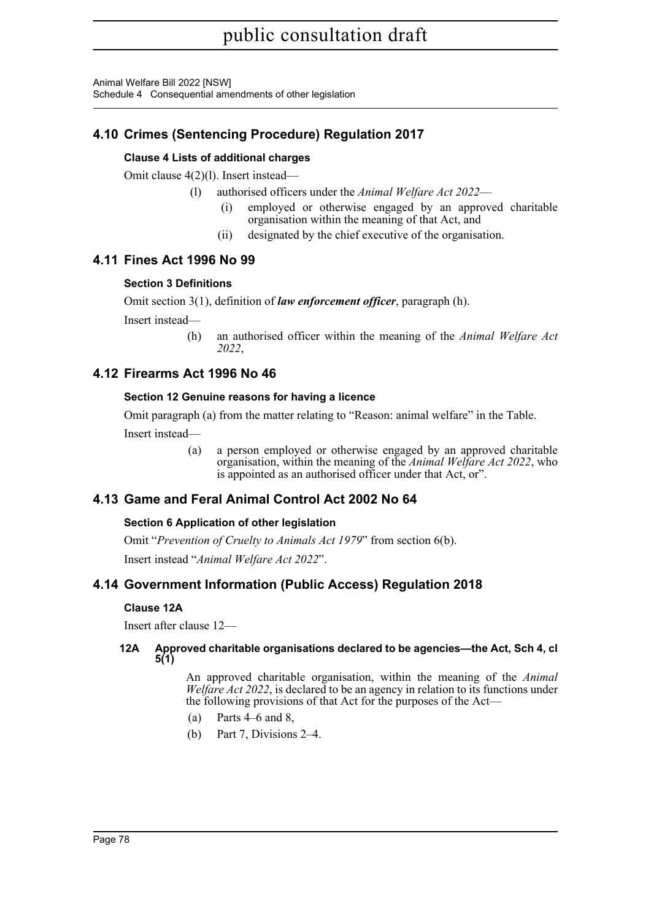Animal Welfare Bill 2022 [NSW] Schedule 4 Consequential amendments of other legislation

# **4.10 Crimes (Sentencing Procedure) Regulation 2017**

# **Clause 4 Lists of additional charges**

Omit clause 4(2)(l). Insert instead—

- (l) authorised officers under the *Animal Welfare Act 2022*
	- employed or otherwise engaged by an approved charitable organisation within the meaning of that Act, and
	- (ii) designated by the chief executive of the organisation.

# **4.11 Fines Act 1996 No 99**

## **Section 3 Definitions**

Omit section 3(1), definition of *law enforcement officer*, paragraph (h).

Insert instead—

(h) an authorised officer within the meaning of the *Animal Welfare Act 2022*,

# **4.12 Firearms Act 1996 No 46**

## **Section 12 Genuine reasons for having a licence**

Omit paragraph (a) from the matter relating to "Reason: animal welfare" in the Table.

Insert instead—

(a) a person employed or otherwise engaged by an approved charitable organisation, within the meaning of the *Animal Welfare Act 2022*, who is appointed as an authorised officer under that Act, or".

# **4.13 Game and Feral Animal Control Act 2002 No 64**

## **Section 6 Application of other legislation**

Omit "*Prevention of Cruelty to Animals Act 1979*" from section 6(b). Insert instead "*Animal Welfare Act 2022*".

# **4.14 Government Information (Public Access) Regulation 2018**

## **Clause 12A**

Insert after clause 12—

### **12A Approved charitable organisations declared to be agencies—the Act, Sch 4, cl 5(1)**

An approved charitable organisation, within the meaning of the *Animal Welfare Act 2022*, is declared to be an agency in relation to its functions under the following provisions of that Act for the purposes of the Act—

- (a) Parts 4–6 and 8,
- (b) Part 7, Divisions 2–4.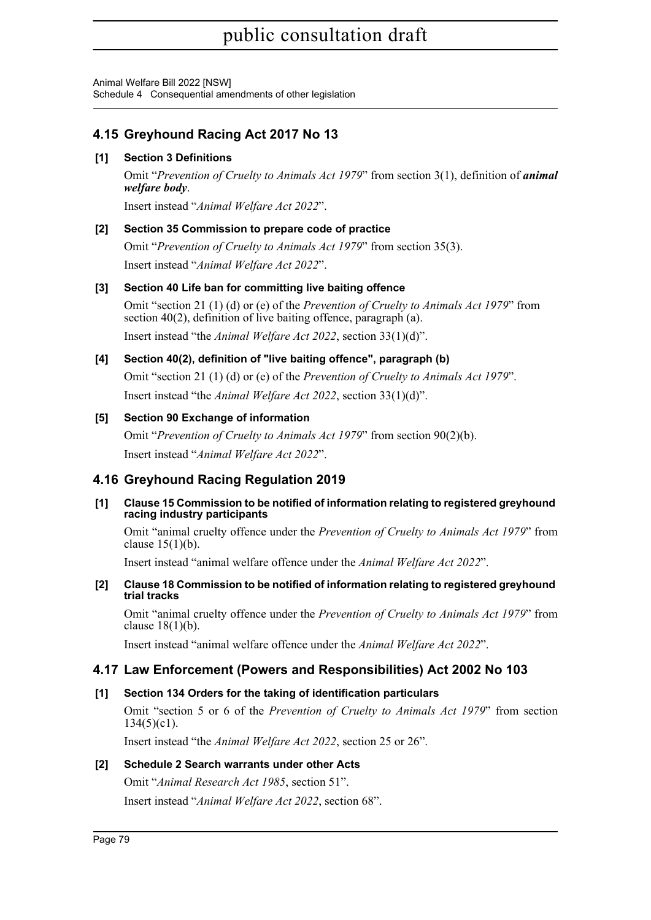Animal Welfare Bill 2022 [NSW] Schedule 4 Consequential amendments of other legislation

# **4.15 Greyhound Racing Act 2017 No 13**

# **[1] Section 3 Definitions**

Omit "*Prevention of Cruelty to Animals Act 1979*" from section 3(1), definition of *animal welfare body*.

Insert instead "*Animal Welfare Act 2022*".

## **[2] Section 35 Commission to prepare code of practice**

Omit "*Prevention of Cruelty to Animals Act 1979*" from section 35(3). Insert instead "*Animal Welfare Act 2022*".

# **[3] Section 40 Life ban for committing live baiting offence**

Omit "section 21 (1) (d) or (e) of the *Prevention of Cruelty to Animals Act 1979*" from section 40(2), definition of live baiting offence, paragraph (a). Insert instead "the *Animal Welfare Act 2022*, section 33(1)(d)".

# **[4] Section 40(2), definition of "live baiting offence", paragraph (b)**

Omit "section 21 (1) (d) or (e) of the *Prevention of Cruelty to Animals Act 1979*". Insert instead "the *Animal Welfare Act 2022*, section 33(1)(d)".

## **[5] Section 90 Exchange of information**

Omit "*Prevention of Cruelty to Animals Act 1979*" from section 90(2)(b). Insert instead "*Animal Welfare Act 2022*".

# **4.16 Greyhound Racing Regulation 2019**

### **[1] Clause 15 Commission to be notified of information relating to registered greyhound racing industry participants**

Omit "animal cruelty offence under the *Prevention of Cruelty to Animals Act 1979*" from clause  $15(1)(b)$ .

Insert instead "animal welfare offence under the *Animal Welfare Act 2022*".

### **[2] Clause 18 Commission to be notified of information relating to registered greyhound trial tracks**

Omit "animal cruelty offence under the *Prevention of Cruelty to Animals Act 1979*" from clause  $18(1)(b)$ .

Insert instead "animal welfare offence under the *Animal Welfare Act 2022*".

# **4.17 Law Enforcement (Powers and Responsibilities) Act 2002 No 103**

## **[1] Section 134 Orders for the taking of identification particulars**

Omit "section 5 or 6 of the *Prevention of Cruelty to Animals Act 1979*" from section  $134(5)(c1)$ .

Insert instead "the *Animal Welfare Act 2022*, section 25 or 26".

## **[2] Schedule 2 Search warrants under other Acts**

Omit "*Animal Research Act 1985*, section 51". Insert instead "*Animal Welfare Act 2022*, section 68".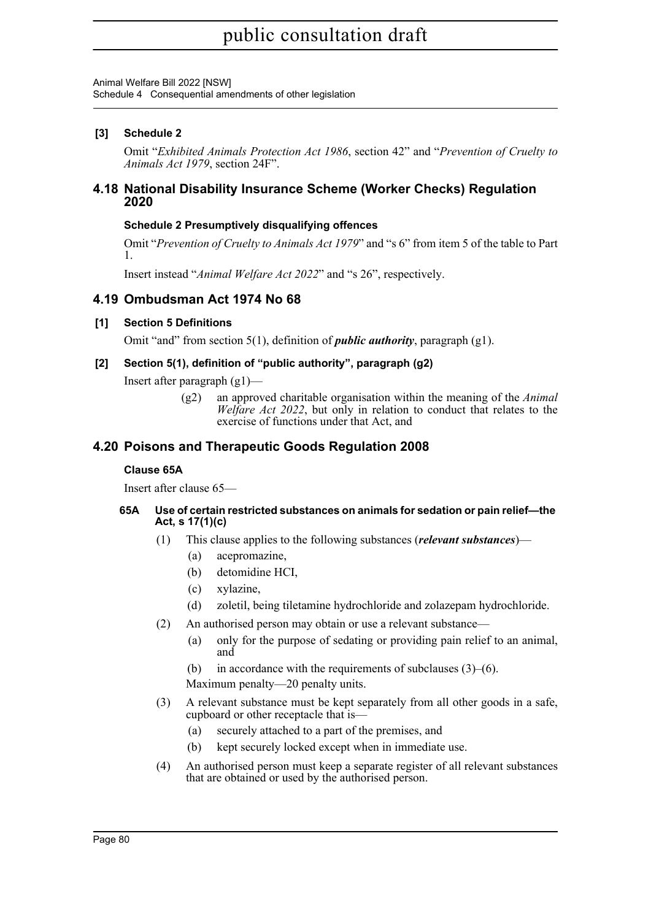Animal Welfare Bill 2022 [NSW] Schedule 4 Consequential amendments of other legislation

# **[3] Schedule 2**

Omit "*Exhibited Animals Protection Act 1986*, section 42" and "*Prevention of Cruelty to Animals Act 1979*, section 24F".

## **4.18 National Disability Insurance Scheme (Worker Checks) Regulation 2020**

### **Schedule 2 Presumptively disqualifying offences**

Omit "*Prevention of Cruelty to Animals Act 1979*" and "s 6" from item 5 of the table to Part 1.

Insert instead "*Animal Welfare Act 2022*" and "s 26", respectively.

# **4.19 Ombudsman Act 1974 No 68**

## **[1] Section 5 Definitions**

Omit "and" from section 5(1), definition of *public authority*, paragraph (g1).

### **[2] Section 5(1), definition of "public authority", paragraph (g2)**

Insert after paragraph (g1)—

(g2) an approved charitable organisation within the meaning of the *Animal Welfare Act 2022*, but only in relation to conduct that relates to the exercise of functions under that Act, and

# **4.20 Poisons and Therapeutic Goods Regulation 2008**

#### **Clause 65A**

Insert after clause 65—

### **65A Use of certain restricted substances on animals for sedation or pain relief—the Act, s 17(1)(c)**

- (1) This clause applies to the following substances (*relevant substances*)—
	- (a) acepromazine,
	- (b) detomidine HCI,
	- (c) xylazine,
	- (d) zoletil, being tiletamine hydrochloride and zolazepam hydrochloride.
- (2) An authorised person may obtain or use a relevant substance—
	- (a) only for the purpose of sedating or providing pain relief to an animal, and
	- (b) in accordance with the requirements of subclauses  $(3)$ – $(6)$ .

Maximum penalty—20 penalty units.

- (3) A relevant substance must be kept separately from all other goods in a safe, cupboard or other receptacle that is—
	- (a) securely attached to a part of the premises, and
	- (b) kept securely locked except when in immediate use.
- (4) An authorised person must keep a separate register of all relevant substances that are obtained or used by the authorised person.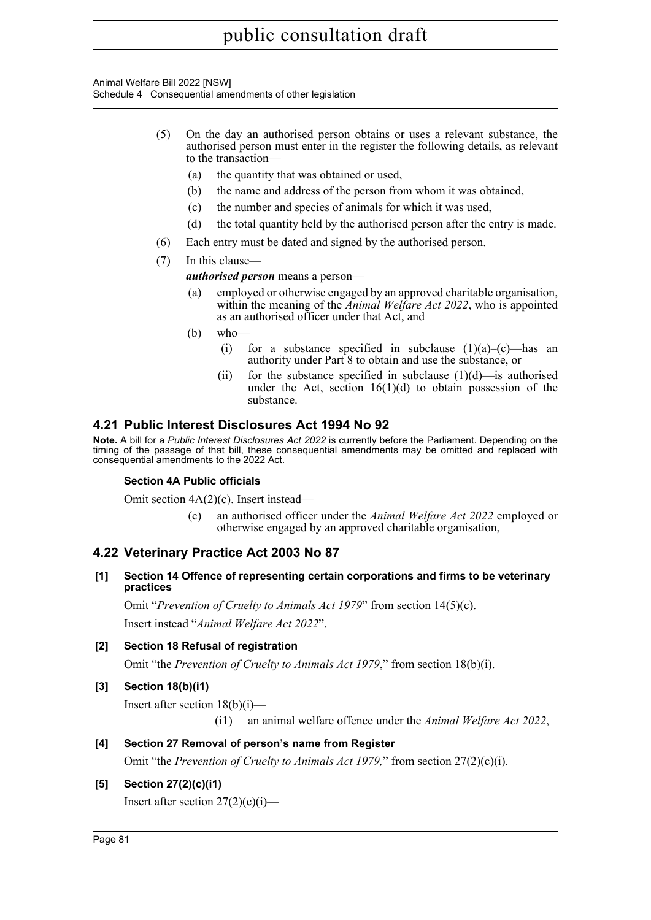Animal Welfare Bill 2022 [NSW]

Schedule 4 Consequential amendments of other legislation

- (5) On the day an authorised person obtains or uses a relevant substance, the authorised person must enter in the register the following details, as relevant to the transaction—
	- (a) the quantity that was obtained or used,
	- (b) the name and address of the person from whom it was obtained,
	- (c) the number and species of animals for which it was used,
	- (d) the total quantity held by the authorised person after the entry is made.
- (6) Each entry must be dated and signed by the authorised person.
- (7) In this clause—

*authorised person* means a person—

- (a) employed or otherwise engaged by an approved charitable organisation, within the meaning of the *Animal Welfare Act 2022*, who is appointed as an authorised officer under that Act, and
- $(b)$  who-
	- (i) for a substance specified in subclause  $(1)(a)$ – $(c)$ —has an authority under Part 8 to obtain and use the substance, or
	- (ii) for the substance specified in subclause  $(1)(d)$ —is authorised under the Act, section  $16(1)(d)$  to obtain possession of the substance.

# **4.21 Public Interest Disclosures Act 1994 No 92**

**Note.** A bill for a *Public Interest Disclosures Act 2022* is currently before the Parliament. Depending on the timing of the passage of that bill, these consequential amendments may be omitted and replaced with consequential amendments to the 2022 Act.

#### **Section 4A Public officials**

Omit section 4A(2)(c). Insert instead—

(c) an authorised officer under the *Animal Welfare Act 2022* employed or otherwise engaged by an approved charitable organisation,

# **4.22 Veterinary Practice Act 2003 No 87**

**[1] Section 14 Offence of representing certain corporations and firms to be veterinary practices**

Omit "*Prevention of Cruelty to Animals Act 1979*" from section 14(5)(c). Insert instead "*Animal Welfare Act 2022*".

## **[2] Section 18 Refusal of registration**

Omit "the *Prevention of Cruelty to Animals Act 1979*," from section 18(b)(i).

## **[3] Section 18(b)(i1)**

Insert after section  $18(b)(i)$ —

(i1) an animal welfare offence under the *Animal Welfare Act 2022*,

## **[4] Section 27 Removal of person's name from Register**

Omit "the *Prevention of Cruelty to Animals Act 1979,*" from section 27(2)(c)(i).

## **[5] Section 27(2)(c)(i1)**

Insert after section  $27(2)(c)(i)$ —